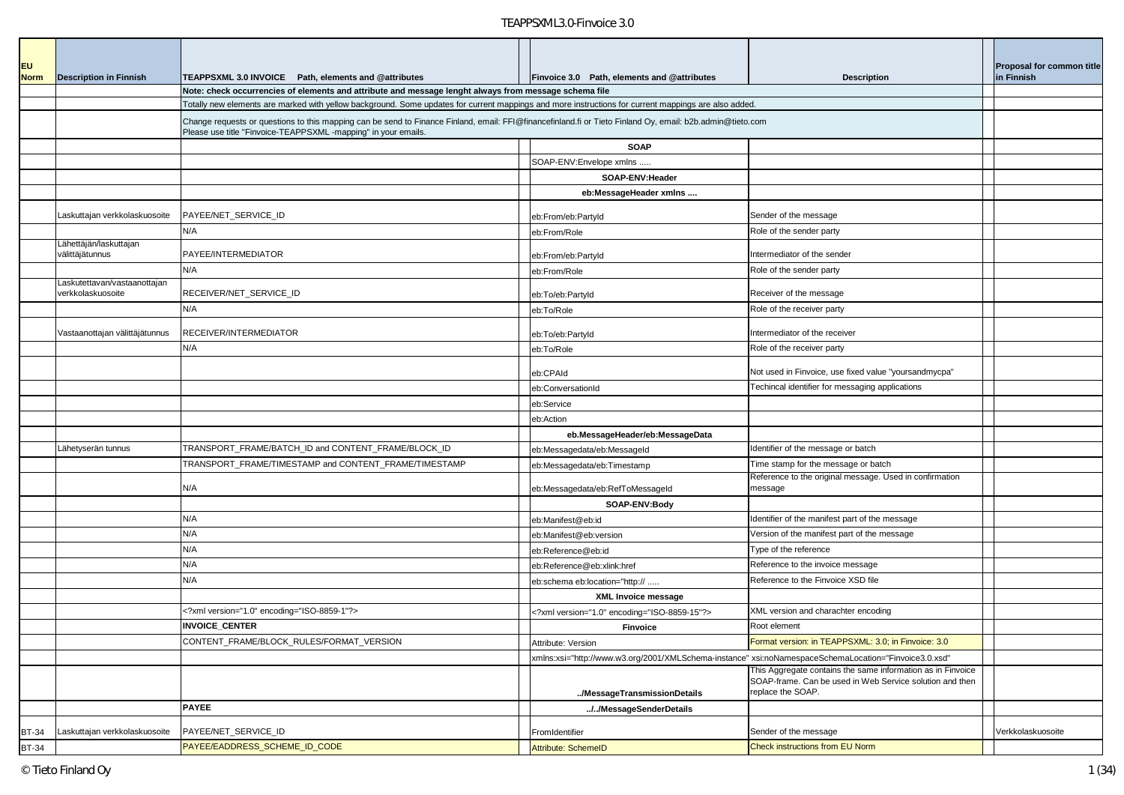| EU           |                                                  |                                                                                                                                                                                                                                                               |                                                                                                       |                                                                                                                                              | <b>Proposal for common title</b> |
|--------------|--------------------------------------------------|---------------------------------------------------------------------------------------------------------------------------------------------------------------------------------------------------------------------------------------------------------------|-------------------------------------------------------------------------------------------------------|----------------------------------------------------------------------------------------------------------------------------------------------|----------------------------------|
| <b>Norm</b>  | <b>Description in Finnish</b>                    | TEAPPSXML 3.0 INVOICE Path, elements and @attributes                                                                                                                                                                                                          | Finvoice 3.0 Path, elements and @attributes                                                           | <b>Description</b>                                                                                                                           | in Finnish                       |
|              |                                                  | Note: check occurrencies of elements and attribute and message lenght always from message schema file<br>Totally new elements are marked with yellow background. Some updates for current mappings and more instructions for current mappings are also added. |                                                                                                       |                                                                                                                                              |                                  |
|              |                                                  |                                                                                                                                                                                                                                                               |                                                                                                       |                                                                                                                                              |                                  |
|              |                                                  | Change requests or questions to this mapping can be send to Finance Finland, email: FFI@financefinland.fi or Tieto Finland Oy, email: b2b.admin@tieto.com<br>Please use title "Finvoice-TEAPPSXML -mapping" in your emails                                    |                                                                                                       |                                                                                                                                              |                                  |
|              |                                                  |                                                                                                                                                                                                                                                               | <b>SOAP</b>                                                                                           |                                                                                                                                              |                                  |
|              |                                                  |                                                                                                                                                                                                                                                               | SOAP-ENV:Envelope xmlns                                                                               |                                                                                                                                              |                                  |
|              |                                                  |                                                                                                                                                                                                                                                               | SOAP-ENV:Header                                                                                       |                                                                                                                                              |                                  |
|              |                                                  |                                                                                                                                                                                                                                                               | eb:MessageHeader xmlns                                                                                |                                                                                                                                              |                                  |
|              | askuttajan verkkolaskuosoite                     | PAYEE/NET_SERVICE_ID                                                                                                                                                                                                                                          | eb:From/eb:Partyld                                                                                    | Sender of the message                                                                                                                        |                                  |
|              |                                                  | N/A                                                                                                                                                                                                                                                           | eb:From/Role                                                                                          | Role of the sender party                                                                                                                     |                                  |
|              | ähettäjän/laskuttajan<br>välittäjätunnus         | PAYEE/INTERMEDIATOR                                                                                                                                                                                                                                           | eb:From/eb:PartyId                                                                                    | ntermediator of the sender                                                                                                                   |                                  |
|              |                                                  | N/A                                                                                                                                                                                                                                                           | eb:From/Role                                                                                          | Role of the sender party                                                                                                                     |                                  |
|              | askutettavan/vastaanottajan<br>verkkolaskuosoite | RECEIVER/NET_SERVICE_ID                                                                                                                                                                                                                                       | eb:To/eb:PartyId                                                                                      | Receiver of the message                                                                                                                      |                                  |
|              |                                                  | N/A                                                                                                                                                                                                                                                           | eb:To/Role                                                                                            | Role of the receiver party                                                                                                                   |                                  |
|              | Vastaanottajan välittäjätunnus                   | RECEIVER/INTERMEDIATOR                                                                                                                                                                                                                                        | eb:To/eb:PartyId                                                                                      | Intermediator of the receiver                                                                                                                |                                  |
|              |                                                  | N/A                                                                                                                                                                                                                                                           | eb:To/Role                                                                                            | Role of the receiver party                                                                                                                   |                                  |
|              |                                                  |                                                                                                                                                                                                                                                               | eb:CPAId                                                                                              | Not used in Finvoice, use fixed value "yoursandmycpa"                                                                                        |                                  |
|              |                                                  |                                                                                                                                                                                                                                                               | eb:ConversationId                                                                                     | Techincal identifier for messaging applications                                                                                              |                                  |
|              |                                                  |                                                                                                                                                                                                                                                               | eb:Service                                                                                            |                                                                                                                                              |                                  |
|              |                                                  |                                                                                                                                                                                                                                                               | eb:Action                                                                                             |                                                                                                                                              |                                  |
|              |                                                  |                                                                                                                                                                                                                                                               | eb.MessageHeader/eb:MessageData                                                                       |                                                                                                                                              |                                  |
|              | Lähetyserän tunnus                               | TRANSPORT_FRAME/BATCH_ID and CONTENT_FRAME/BLOCK_ID                                                                                                                                                                                                           | eb:Messagedata/eb:MessageId                                                                           | Identifier of the message or batch                                                                                                           |                                  |
|              |                                                  | TRANSPORT_FRAME/TIMESTAMP and CONTENT_FRAME/TIMESTAMP                                                                                                                                                                                                         | eb:Messagedata/eb:Timestamp                                                                           | Time stamp for the message or batch                                                                                                          |                                  |
|              |                                                  | N/A                                                                                                                                                                                                                                                           | eb:Messagedata/eb:RefToMessageId                                                                      | Reference to the original message. Used in confirmation<br>message                                                                           |                                  |
|              |                                                  |                                                                                                                                                                                                                                                               | SOAP-ENV:Body                                                                                         |                                                                                                                                              |                                  |
|              |                                                  | N/A                                                                                                                                                                                                                                                           | eb:Manifest@eb:id                                                                                     | Identifier of the manifest part of the message                                                                                               |                                  |
|              |                                                  | N/A                                                                                                                                                                                                                                                           | eb:Manifest@eb:version                                                                                | Version of the manifest part of the message                                                                                                  |                                  |
|              |                                                  | N/A                                                                                                                                                                                                                                                           | eb:Reference@eb:id                                                                                    | Type of the reference                                                                                                                        |                                  |
|              |                                                  | N/A                                                                                                                                                                                                                                                           | eb:Reference@eb:xlink:href                                                                            | Reference to the invoice message                                                                                                             |                                  |
|              |                                                  | N/A                                                                                                                                                                                                                                                           | eb:schema eb:location="http://                                                                        | Reference to the Finvoice XSD file                                                                                                           |                                  |
|              |                                                  |                                                                                                                                                                                                                                                               | <b>XML Invoice message</b>                                                                            |                                                                                                                                              |                                  |
|              |                                                  | xml version="1.0" encoding="ISO-8859-1"?                                                                                                                                                                                                                      | xml version="1.0" encoding="ISO-8859-15"?                                                             | XML version and charachter encoding                                                                                                          |                                  |
|              |                                                  | <b>INVOICE CENTER</b>                                                                                                                                                                                                                                         | <b>Finvoice</b>                                                                                       | Root element                                                                                                                                 |                                  |
|              |                                                  | CONTENT_FRAME/BLOCK_RULES/FORMAT_VERSION                                                                                                                                                                                                                      | Attribute: Version                                                                                    | Format version: in TEAPPSXML: 3.0; in Finvoice: 3.0                                                                                          |                                  |
|              |                                                  |                                                                                                                                                                                                                                                               | xmlns:xsi="http://www.w3.org/2001/XMLSchema-instance" xsi:noNamespaceSchemaLocation="Finvoice3.0.xsd" |                                                                                                                                              |                                  |
|              |                                                  |                                                                                                                                                                                                                                                               | /MessageTransmissionDetails                                                                           | This Aggregate contains the same information as in Finvoice<br>SOAP-frame. Can be used in Web Service solution and then<br>replace the SOAP. |                                  |
|              |                                                  | <b>PAYEE</b>                                                                                                                                                                                                                                                  | //MessageSenderDetails                                                                                |                                                                                                                                              |                                  |
|              |                                                  |                                                                                                                                                                                                                                                               |                                                                                                       |                                                                                                                                              |                                  |
| <b>BT-34</b> | Laskuttajan verkkolaskuosoite                    | PAYEE/NET_SERVICE_ID                                                                                                                                                                                                                                          | FromIdentifier                                                                                        | Sender of the message                                                                                                                        | Verkkolaskuosoite                |
| <b>BT-34</b> |                                                  | PAYEE/EADDRESS_SCHEME_ID_CODE                                                                                                                                                                                                                                 | Attribute: SchemeID                                                                                   | Check instructions from EU Norm                                                                                                              |                                  |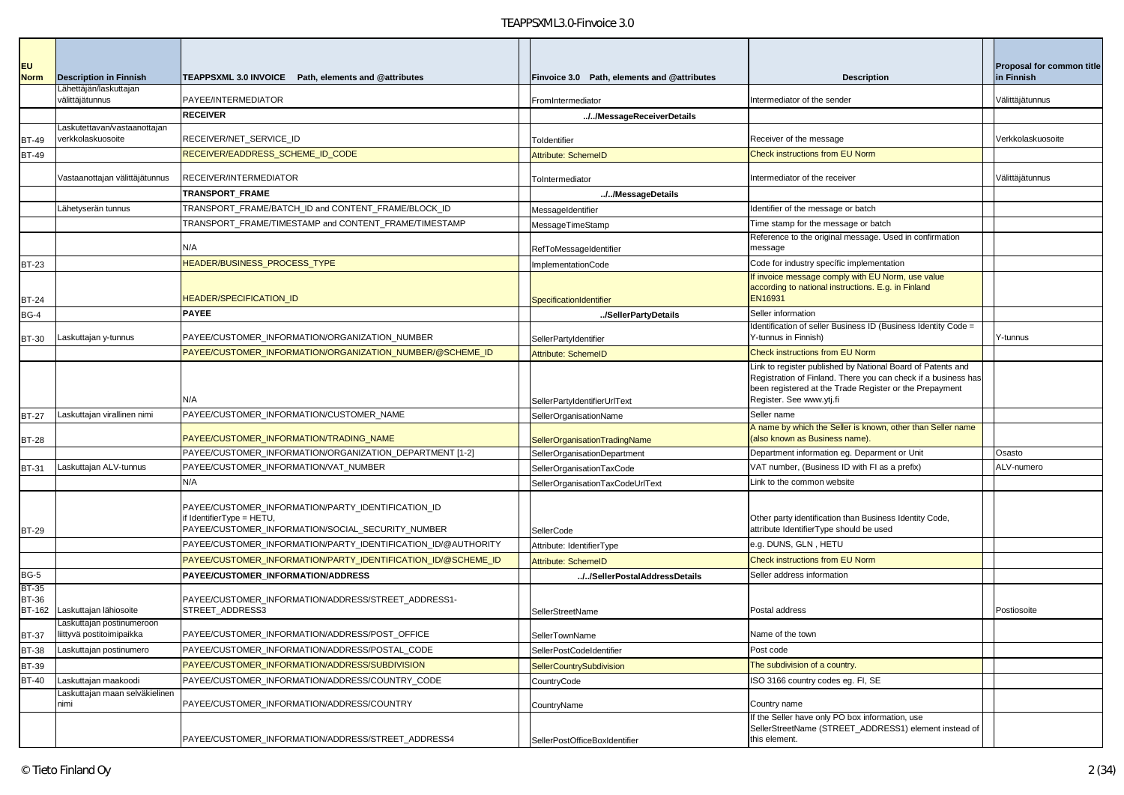| <b>EU</b>                    |                                                         |                                                                                                     |                                                           |                                                                                                                           | <b>Proposal for common title</b> |
|------------------------------|---------------------------------------------------------|-----------------------------------------------------------------------------------------------------|-----------------------------------------------------------|---------------------------------------------------------------------------------------------------------------------------|----------------------------------|
| <b>Norm</b>                  | <b>Description in Finnish</b><br>Lähettäjän/laskuttajan | TEAPPSXML 3.0 INVOICE Path, elements and @attributes                                                | Finvoice 3.0 Path, elements and @attributes               | <b>Description</b>                                                                                                        | in Finnish                       |
|                              | välittäjätunnus                                         | PAYEE/INTERMEDIATOR                                                                                 | FromIntermediator                                         | Intermediator of the sender                                                                                               | Välittäjätunnus                  |
|                              |                                                         | <b>RECEIVER</b>                                                                                     | //MessageReceiverDetails                                  |                                                                                                                           |                                  |
|                              | askutettavan/vastaanottajan<br>verkkolaskuosoite        | RECEIVER/NET_SERVICE_ID                                                                             |                                                           | Receiver of the message                                                                                                   | Verkkolaskuosoite                |
| <b>BT-49</b><br><b>BT-49</b> |                                                         | RECEIVER/EADDRESS_SCHEME_ID_CODE                                                                    | Toldentifier<br><b>Attribute: SchemeID</b>                | <b>Check instructions from EU Norm</b>                                                                                    |                                  |
|                              |                                                         |                                                                                                     |                                                           |                                                                                                                           |                                  |
|                              | Vastaanottajan välittäjätunnus                          | RECEIVER/INTERMEDIATOR                                                                              | ToIntermediator                                           | Intermediator of the receiver                                                                                             | /älittäjätunnus                  |
|                              |                                                         | TRANSPORT_FRAME                                                                                     | //MessageDetails                                          |                                                                                                                           |                                  |
|                              | Lähetyserän tunnus                                      | TRANSPORT_FRAME/BATCH_ID and CONTENT_FRAME/BLOCK_ID                                                 | MessageIdentifier                                         | Identifier of the message or batch                                                                                        |                                  |
|                              |                                                         | TRANSPORT_FRAME/TIMESTAMP and CONTENT_FRAME/TIMESTAMP                                               | MessageTimeStamp                                          | Time stamp for the message or batch                                                                                       |                                  |
|                              |                                                         | N/A                                                                                                 | RefToMessageIdentifier                                    | Reference to the original message. Used in confirmation<br>message                                                        |                                  |
| <b>BT-23</b>                 |                                                         | HEADER/BUSINESS_PROCESS_TYPE                                                                        | <b>ImplementationCode</b>                                 | Code for industry specific implementation                                                                                 |                                  |
|                              |                                                         |                                                                                                     |                                                           | If invoice message comply with EU Norm, use value                                                                         |                                  |
|                              |                                                         |                                                                                                     |                                                           | according to national instructions. E.g. in Finland                                                                       |                                  |
| <b>BT-24</b>                 |                                                         | <b>IEADER/SPECIFICATION_ID</b>                                                                      | SpecificationIdentifier                                   | EN16931                                                                                                                   |                                  |
| <b>BG-4</b>                  |                                                         | <b>PAYEE</b>                                                                                        | /SellerPartyDetails                                       | Seller information<br>Identification of seller Business ID (Business Identity Code =                                      |                                  |
| <b>BT-30</b>                 | Laskuttajan y-tunnus                                    | PAYEE/CUSTOMER_INFORMATION/ORGANIZATION_NUMBER                                                      | SellerPartyIdentifier                                     | Y-tunnus in Finnish)                                                                                                      | Y-tunnus                         |
|                              |                                                         | PAYEE/CUSTOMER INFORMATION/ORGANIZATION NUMBER/@SCHEME ID                                           | Attribute: SchemeID                                       | Check instructions from EU Norm                                                                                           |                                  |
|                              |                                                         |                                                                                                     |                                                           | Link to register published by National Board of Patents and                                                               |                                  |
|                              |                                                         |                                                                                                     |                                                           | Registration of Finland. There you can check if a business has<br>been registered at the Trade Register or the Prepayment |                                  |
|                              |                                                         | N/A                                                                                                 | SellerPartyIdentifierUrlText                              | Register. See www.ytj.fi                                                                                                  |                                  |
| <b>BT-27</b>                 | Laskuttajan virallinen nimi                             | PAYEE/CUSTOMER_INFORMATION/CUSTOMER_NAME                                                            | SellerOrganisationName                                    | Seller name                                                                                                               |                                  |
|                              |                                                         |                                                                                                     |                                                           | A name by which the Seller is known, other than Seller name                                                               |                                  |
| <b>BT-28</b>                 |                                                         | PAYEE/CUSTOMER_INFORMATION/TRADING_NAME<br>PAYEE/CUSTOMER_INFORMATION/ORGANIZATION_DEPARTMENT [1-2] | SellerOrganisationTradingName                             | (also known as Business name).<br>Department information eg. Deparment or Unit                                            | Osasto                           |
| BT-31                        | Laskuttajan ALV-tunnus                                  | PAYEE/CUSTOMER_INFORMATION/VAT_NUMBER                                                               | SellerOrganisationDepartment<br>SellerOrganisationTaxCode | VAT number, (Business ID with FI as a prefix)                                                                             | ALV-numero                       |
|                              |                                                         | N/A                                                                                                 | SellerOrganisationTaxCodeUrlText                          | Link to the common website                                                                                                |                                  |
|                              |                                                         |                                                                                                     |                                                           |                                                                                                                           |                                  |
|                              |                                                         | PAYEE/CUSTOMER_INFORMATION/PARTY_IDENTIFICATION_ID                                                  |                                                           |                                                                                                                           |                                  |
|                              |                                                         | f IdentifierType = HETU,<br>PAYEE/CUSTOMER_INFORMATION/SOCIAL_SECURITY_NUMBER                       |                                                           | Other party identification than Business Identity Code,<br>attribute IdentifierType should be used                        |                                  |
| <b>BT-29</b>                 |                                                         | PAYEE/CUSTOMER_INFORMATION/PARTY_IDENTIFICATION_ID/@AUTHORITY                                       | SellerCode<br>Attribute: IdentifierType                   | e.g. DUNS, GLN, HETU                                                                                                      |                                  |
|                              |                                                         | PAYEE/CUSTOMER_INFORMATION/PARTY_IDENTIFICATION_ID/@SCHEME_ID                                       | <b>Attribute: SchemeID</b>                                | <b>Check instructions from EU Norm</b>                                                                                    |                                  |
| <b>BG-5</b>                  |                                                         | PAYEE/CUSTOMER_INFORMATION/ADDRESS                                                                  | //SellerPostalAddressDetails                              | Seller address information                                                                                                |                                  |
| <b>BT-35</b>                 |                                                         |                                                                                                     |                                                           |                                                                                                                           |                                  |
| <b>BT-36</b>                 |                                                         | PAYEE/CUSTOMER INFORMATION/ADDRESS/STREET ADDRESS1-                                                 |                                                           |                                                                                                                           |                                  |
| <b>BT-162</b>                | Laskuttajan lähiosoite<br>Laskuttajan postinumeroon     | STREET_ADDRESS3                                                                                     | SellerStreetName                                          | Postal address                                                                                                            | Postiosoite                      |
| <b>BT-37</b>                 | liittyvä postitoimipaikka                               | PAYEE/CUSTOMER INFORMATION/ADDRESS/POST OFFICE                                                      | SellerTownName                                            | Name of the town                                                                                                          |                                  |
| <b>BT-38</b>                 | askuttajan postinumero                                  | PAYEE/CUSTOMER_INFORMATION/ADDRESS/POSTAL_CODE                                                      | SellerPostCodeIdentifier                                  | Post code                                                                                                                 |                                  |
| <b>BT-39</b>                 |                                                         | PAYEE/CUSTOMER INFORMATION/ADDRESS/SUBDIVISION                                                      | <b>SellerCountrySubdivision</b>                           | The subdivision of a country.                                                                                             |                                  |
| <b>BT-40</b>                 | Laskuttajan maakoodi                                    | PAYEE/CUSTOMER_INFORMATION/ADDRESS/COUNTRY_CODE                                                     | CountryCode                                               | ISO 3166 country codes eg. FI, SE                                                                                         |                                  |
|                              | Laskuttajan maan selväkielinen<br>nimi                  | PAYEE/CUSTOMER_INFORMATION/ADDRESS/COUNTRY                                                          |                                                           | Country name                                                                                                              |                                  |
|                              |                                                         |                                                                                                     | CountryName                                               | If the Seller have only PO box information, use                                                                           |                                  |
|                              |                                                         |                                                                                                     |                                                           | SellerStreetName (STREET_ADDRESS1) element instead of                                                                     |                                  |
|                              |                                                         | PAYEE/CUSTOMER_INFORMATION/ADDRESS/STREET_ADDRESS4                                                  | SellerPostOfficeBoxIdentifier                             | this element.                                                                                                             |                                  |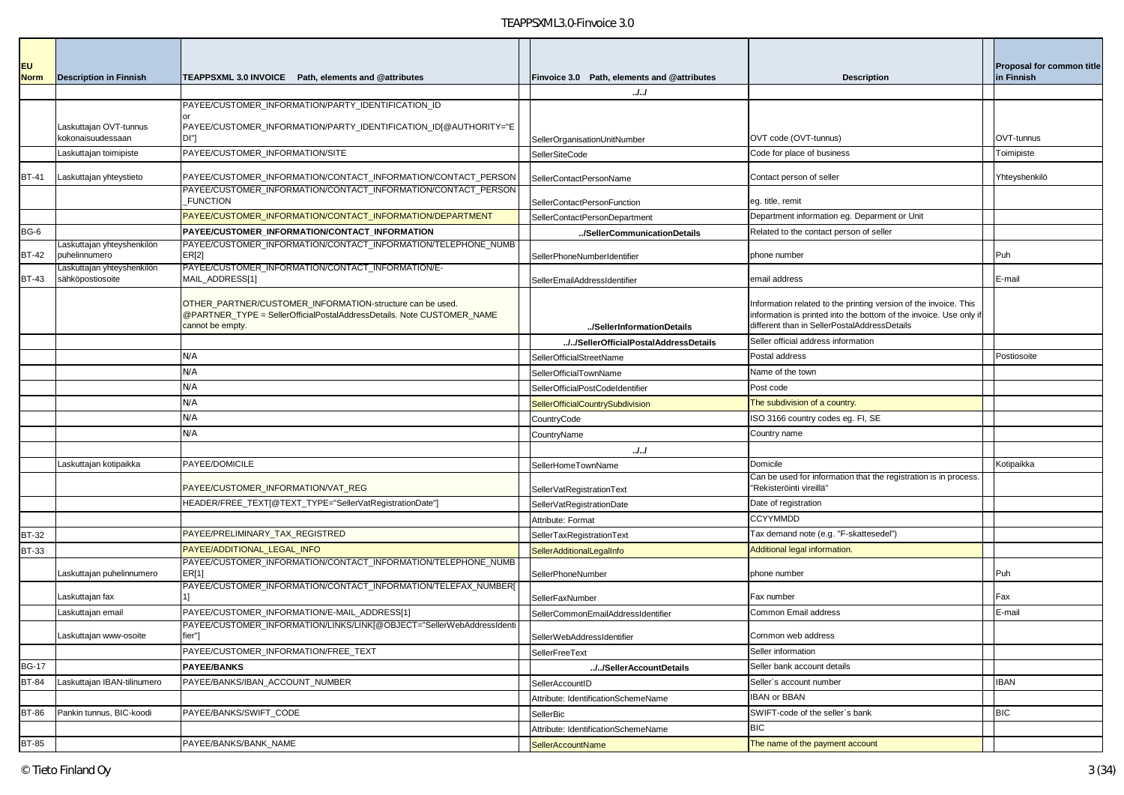| <b>EU</b>    |                                                |                                                                                                                                     |                                             |                                                                                                                                        | <b>Proposal for common title</b> |
|--------------|------------------------------------------------|-------------------------------------------------------------------------------------------------------------------------------------|---------------------------------------------|----------------------------------------------------------------------------------------------------------------------------------------|----------------------------------|
| <b>Norm</b>  | <b>Description in Finnish</b>                  | TEAPPSXML 3.0 INVOICE Path. elements and @attributes                                                                                | Finvoice 3.0 Path, elements and @attributes | <b>Description</b>                                                                                                                     | in Finnish                       |
|              |                                                |                                                                                                                                     | . J. J                                      |                                                                                                                                        |                                  |
|              |                                                | PAYEE/CUSTOMER_INFORMATION/PARTY_IDENTIFICATION_ID                                                                                  |                                             |                                                                                                                                        |                                  |
|              | Laskuttajan OVT-tunnus                         | PAYEE/CUSTOMER_INFORMATION/PARTY_IDENTIFICATION_ID[@AUTHORITY="E                                                                    |                                             |                                                                                                                                        |                                  |
|              | kokonaisuudessaan                              | DI"]                                                                                                                                | SellerOrganisationUnitNumber                | OVT code (OVT-tunnus)                                                                                                                  | OVT-tunnus                       |
|              | Laskuttajan toimipiste                         | PAYEE/CUSTOMER INFORMATION/SITE                                                                                                     | <b>SellerSiteCode</b>                       | Code for place of business                                                                                                             | Toimipiste                       |
| <b>BT-41</b> | Laskuttajan yhteystieto                        | PAYEE/CUSTOMER_INFORMATION/CONTACT_INFORMATION/CONTACT_PERSON                                                                       | SellerContactPersonName                     | Contact person of seller                                                                                                               | Yhteyshenkilö                    |
|              |                                                | PAYEE/CUSTOMER_INFORMATION/CONTACT_INFORMATION/CONTACT_PERSON<br><b>FUNCTION</b>                                                    | SellerContactPersonFunction                 | eg. title, remit                                                                                                                       |                                  |
|              |                                                | PAYEE/CUSTOMER_INFORMATION/CONTACT_INFORMATION/DEPARTMENT                                                                           | SellerContactPersonDepartment               | Department information eg. Deparment or Unit                                                                                           |                                  |
| BG-6         |                                                | PAYEE/CUSTOMER_INFORMATION/CONTACT_INFORMATION                                                                                      | /SellerCommunicationDetails                 | Related to the contact person of seller                                                                                                |                                  |
| <b>BT-42</b> | Laskuttajan yhteyshenkilön<br>puhelinnumero    | PAYEE/CUSTOMER_INFORMATION/CONTACT_INFORMATION/TELEPHONE_NUMB<br>ER[2]                                                              | SellerPhoneNumberIdentifier                 | phone number                                                                                                                           | Puh                              |
| <b>BT-43</b> | Laskuttajan yhteyshenkilön<br>sähköpostiosoite | PAYEE/CUSTOMER_INFORMATION/CONTACT_INFORMATION/E-<br>MAIL_ADDRESS[1]                                                                |                                             | email address                                                                                                                          | E-mail                           |
|              |                                                |                                                                                                                                     | SellerEmailAddressIdentifier                |                                                                                                                                        |                                  |
|              |                                                | OTHER_PARTNER/CUSTOMER_INFORMATION-structure can be used.<br>@PARTNER_TYPE = SellerOfficialPostalAddressDetails. Note CUSTOMER_NAME |                                             | Information related to the printing version of the invoice. This<br>information is printed into the bottom of the invoice. Use only if |                                  |
|              |                                                | cannot be empty.                                                                                                                    | /SellerInformationDetails                   | different than in SellerPostalAddressDetails                                                                                           |                                  |
|              |                                                |                                                                                                                                     | //SellerOfficialPostalAddressDetails        | Seller official address information                                                                                                    |                                  |
|              |                                                | N/A                                                                                                                                 | <b>SellerOfficialStreetName</b>             | Postal address                                                                                                                         | Postiosoite                      |
|              |                                                | N/A                                                                                                                                 | SellerOfficialTownName                      | Name of the town                                                                                                                       |                                  |
|              |                                                | N/A                                                                                                                                 | SellerOfficialPostCodeIdentifier            | Post code                                                                                                                              |                                  |
|              |                                                | N/A                                                                                                                                 | SellerOfficialCountrySubdivision            | The subdivision of a country.                                                                                                          |                                  |
|              |                                                | N/A                                                                                                                                 | CountryCode                                 | ISO 3166 country codes eg. FI, SE                                                                                                      |                                  |
|              |                                                | N/A                                                                                                                                 | CountryName                                 | Country name                                                                                                                           |                                  |
|              |                                                |                                                                                                                                     | J.J                                         |                                                                                                                                        |                                  |
|              | Laskuttajan kotipaikka                         | PAYEE/DOMICILE                                                                                                                      | SellerHomeTownName                          | Domicile                                                                                                                               | Kotipaikka                       |
|              |                                                | PAYEE/CUSTOMER_INFORMATION/VAT_REG                                                                                                  | SellerVatRegistrationText                   | Can be used for information that the registration is in process.<br>"Rekisteröinti vireillä"                                           |                                  |
|              |                                                | HEADER/FREE_TEXT[@TEXT_TYPE="SellerVatRegistrationDate"]                                                                            | SellerVatRegistrationDate                   | Date of registration                                                                                                                   |                                  |
|              |                                                |                                                                                                                                     | Attribute: Format                           | <b>CCYYMMDD</b>                                                                                                                        |                                  |
| <b>BT-32</b> |                                                | PAYEE/PRELIMINARY_TAX_REGISTRED                                                                                                     | SellerTaxRegistrationText                   | Tax demand note (e.g. "F-skattesedel")                                                                                                 |                                  |
| <b>BT-33</b> |                                                | PAYEE/ADDITIONAL_LEGAL_INFO                                                                                                         | SellerAdditionalLegalInfo                   | Additional legal information.                                                                                                          |                                  |
|              | askuttajan puhelinnumero                       | PAYEE/CUSTOMER INFORMATION/CONTACT INFORMATION/TELEPHONE NUMB<br>ER[1]                                                              | SellerPhoneNumber                           | phone number                                                                                                                           | Puh                              |
|              | Laskuttajan fax                                | PAYEE/CUSTOMER_INFORMATION/CONTACT_INFORMATION/TELEFAX_NUMBER[                                                                      | SellerFaxNumber                             | Fax number                                                                                                                             | Fax                              |
|              | Laskuttajan email                              | PAYEE/CUSTOMER_INFORMATION/E-MAIL_ADDRESS[1]                                                                                        | SellerCommonEmailAddressIdentifier          | Common Email address                                                                                                                   | E-mail                           |
|              | Laskuttajan www-osoite                         | PAYEE/CUSTOMER_INFORMATION/LINKS/LINK[@OBJECT="SellerWebAddressIdenti<br>fier"]                                                     | SellerWebAddressIdentifier                  | Common web address                                                                                                                     |                                  |
|              |                                                | PAYEE/CUSTOMER INFORMATION/FREE TEXT                                                                                                | SellerFreeText                              | Seller information                                                                                                                     |                                  |
| <b>BG-17</b> |                                                | <b>PAYEE/BANKS</b>                                                                                                                  | //SellerAccountDetails                      | Seller bank account details                                                                                                            |                                  |
| <b>BT-84</b> | Laskuttajan IBAN-tilinumero                    | PAYEE/BANKS/IBAN_ACCOUNT_NUMBER                                                                                                     | SellerAccountID                             | Seller's account number                                                                                                                | <b>IBAN</b>                      |
|              |                                                |                                                                                                                                     | Attribute: IdentificationSchemeName         | <b>IBAN or BBAN</b>                                                                                                                    |                                  |
| <b>BT-86</b> | Pankin tunnus, BIC-koodi                       | PAYEE/BANKS/SWIFT CODE                                                                                                              | SellerBic                                   | SWIFT-code of the seller's bank                                                                                                        | <b>BIC</b>                       |
|              |                                                |                                                                                                                                     | Attribute: IdentificationSchemeName         | <b>BIC</b>                                                                                                                             |                                  |
| <b>BT-85</b> |                                                | PAYEE/BANKS/BANK_NAME                                                                                                               | <b>SellerAccountName</b>                    | The name of the payment account                                                                                                        |                                  |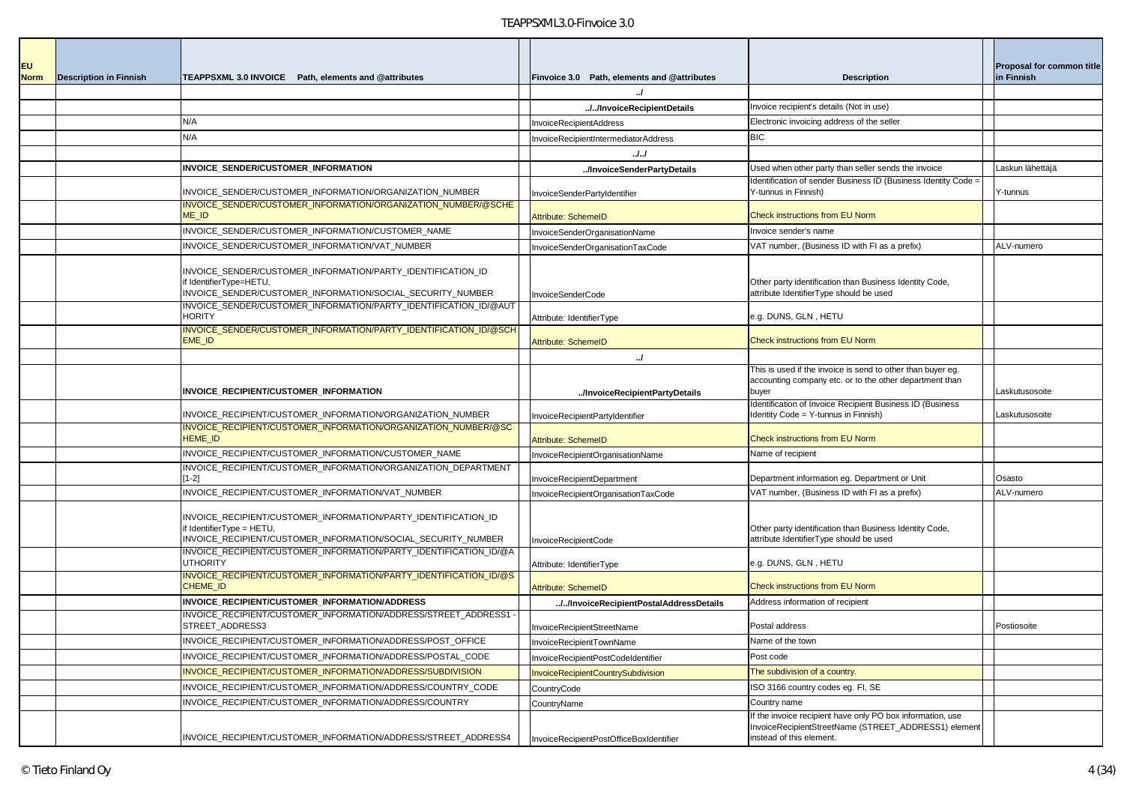| <b>EU</b><br><b>Norm</b> | <b>Description in Finnish</b> | TEAPPSXML 3.0 INVOICE Path, elements and @attributes                                                                                                        | Finvoice 3.0 Path, elements and @attributes | <b>Description</b>                                                                                                                             | Proposal for common title<br>in Finnish |
|--------------------------|-------------------------------|-------------------------------------------------------------------------------------------------------------------------------------------------------------|---------------------------------------------|------------------------------------------------------------------------------------------------------------------------------------------------|-----------------------------------------|
|                          |                               |                                                                                                                                                             |                                             |                                                                                                                                                |                                         |
|                          |                               |                                                                                                                                                             | //InvoiceRecipientDetails                   | Invoice recipient's details (Not in use)                                                                                                       |                                         |
|                          |                               | N/A                                                                                                                                                         | InvoiceRecipientAddress                     | Electronic invoicing address of the seller                                                                                                     |                                         |
|                          |                               | N/A                                                                                                                                                         | InvoiceRecipientIntermediatorAddress        | <b>BIC</b>                                                                                                                                     |                                         |
|                          |                               |                                                                                                                                                             | . J. J                                      |                                                                                                                                                |                                         |
|                          |                               | INVOICE_SENDER/CUSTOMER_INFORMATION                                                                                                                         | /InvoiceSenderPartyDetails                  | Used when other party than seller sends the invoice                                                                                            | Laskun lähettäjä                        |
|                          |                               | INVOICE_SENDER/CUSTOMER_INFORMATION/ORGANIZATION_NUMBER                                                                                                     | InvoiceSenderPartyIdentifier                | Identification of sender Business ID (Business Identity Code =<br>Y-tunnus in Finnish)                                                         | Y-tunnus                                |
|                          |                               | INVOICE_SENDER/CUSTOMER_INFORMATION/ORGANIZATION_NUMBER/@SCHE<br>ME_ID                                                                                      | Attribute: SchemeID                         | Check instructions from EU Norm                                                                                                                |                                         |
|                          |                               | INVOICE_SENDER/CUSTOMER_INFORMATION/CUSTOMER_NAME                                                                                                           | InvoiceSenderOrganisationName               | Invoice sender's name                                                                                                                          |                                         |
|                          |                               | INVOICE_SENDER/CUSTOMER_INFORMATION/VAT_NUMBER                                                                                                              | nvoiceSenderOrganisationTaxCode             | VAT number, (Business ID with FI as a prefix)                                                                                                  | ALV-numero                              |
|                          |                               | INVOICE_SENDER/CUSTOMER_INFORMATION/PARTY_IDENTIFICATION_ID<br>if IdentifierType=HETU,<br>INVOICE SENDER/CUSTOMER INFORMATION/SOCIAL SECURITY NUMBER        | <b>InvoiceSenderCode</b>                    | Other party identification than Business Identity Code,<br>attribute IdentifierType should be used                                             |                                         |
|                          |                               | INVOICE SENDER/CUSTOMER INFORMATION/PARTY IDENTIFICATION ID/@AUT<br><b>HORITY</b>                                                                           | Attribute: IdentifierType                   | e.g. DUNS, GLN, HETU                                                                                                                           |                                         |
|                          |                               | INVOICE_SENDER/CUSTOMER_INFORMATION/PARTY_IDENTIFICATION_ID/@SCH<br>EME ID                                                                                  | Attribute: SchemeID                         | Check instructions from EU Norm                                                                                                                |                                         |
|                          |                               |                                                                                                                                                             | $\cdot$                                     |                                                                                                                                                |                                         |
|                          |                               | INVOICE_RECIPIENT/CUSTOMER_INFORMATION                                                                                                                      | /InvoiceRecipientPartyDetails               | This is used if the invoice is send to other than buyer eg.<br>accounting company etc. or to the other department than<br>buyer                | Laskutusosoite                          |
|                          |                               | INVOICE RECIPIENT/CUSTOMER INFORMATION/ORGANIZATION NUMBER                                                                                                  | InvoiceRecipientPartyIdentifier             | Identification of Invoice Recipient Business ID (Business<br>Identity Code = Y-tunnus in Finnish)                                              | Laskutusosoite                          |
|                          |                               | INVOICE_RECIPIENT/CUSTOMER_INFORMATION/ORGANIZATION_NUMBER/@SC<br><b>HEME ID</b>                                                                            | Attribute: SchemeID                         | Check instructions from EU Norm                                                                                                                |                                         |
|                          |                               | INVOICE_RECIPIENT/CUSTOMER_INFORMATION/CUSTOMER_NAME                                                                                                        | InvoiceRecipientOrganisationName            | Name of recipient                                                                                                                              |                                         |
|                          |                               | INVOICE_RECIPIENT/CUSTOMER_INFORMATION/ORGANIZATION_DEPARTMENT<br>$[1-2]$                                                                                   | InvoiceRecipientDepartment                  | Department information eg. Department or Unit                                                                                                  | Osasto                                  |
|                          |                               | INVOICE_RECIPIENT/CUSTOMER_INFORMATION/VAT_NUMBER                                                                                                           | InvoiceRecipientOrganisationTaxCode         | VAT number, (Business ID with FI as a prefix)                                                                                                  | ALV-numero                              |
|                          |                               | INVOICE_RECIPIENT/CUSTOMER_INFORMATION/PARTY_IDENTIFICATION_ID<br>f IdentifierType = HETU,<br>INVOICE_RECIPIENT/CUSTOMER_INFORMATION/SOCIAL_SECURITY_NUMBER | InvoiceRecipientCode                        | Other party identification than Business Identity Code,<br>attribute IdentifierType should be used                                             |                                         |
|                          |                               | INVOICE RECIPIENT/CUSTOMER INFORMATION/PARTY IDENTIFICATION ID/@A<br><b>UTHORITY</b>                                                                        | Attribute: IdentifierType                   | e.g. DUNS, GLN, HETU                                                                                                                           |                                         |
|                          |                               | INVOICE RECIPIENT/CUSTOMER INFORMATION/PARTY IDENTIFICATION ID/@S<br><b>CHEME ID</b>                                                                        | Attribute: SchemeID                         | Check instructions from EU Norm                                                                                                                |                                         |
|                          |                               | INVOICE_RECIPIENT/CUSTOMER_INFORMATION/ADDRESS                                                                                                              | //InvoiceRecipientPostalAddressDetails      | Address information of recipient                                                                                                               |                                         |
|                          |                               | INVOICE RECIPIENT/CUSTOMER INFORMATION/ADDRESS/STREET ADDRESS1-<br>STREET_ADDRESS3                                                                          | InvoiceRecipientStreetName                  | Postal address                                                                                                                                 | Postiosoite                             |
|                          |                               | INVOICE_RECIPIENT/CUSTOMER_INFORMATION/ADDRESS/POST_OFFICE                                                                                                  | InvoiceRecipientTownName                    | Name of the town                                                                                                                               |                                         |
|                          |                               | INVOICE_RECIPIENT/CUSTOMER_INFORMATION/ADDRESS/POSTAL_CODE                                                                                                  | InvoiceRecipientPostCodeIdentifier          | Post code                                                                                                                                      |                                         |
|                          |                               | INVOICE_RECIPIENT/CUSTOMER_INFORMATION/ADDRESS/SUBDIVISION                                                                                                  | InvoiceRecipientCountrySubdivision          | The subdivision of a country.                                                                                                                  |                                         |
|                          |                               | INVOICE_RECIPIENT/CUSTOMER_INFORMATION/ADDRESS/COUNTRY_CODE                                                                                                 | CountryCode                                 | ISO 3166 country codes eg. FI, SE                                                                                                              |                                         |
|                          |                               | INVOICE_RECIPIENT/CUSTOMER_INFORMATION/ADDRESS/COUNTRY                                                                                                      | CountryName                                 | Country name                                                                                                                                   |                                         |
|                          |                               | INVOICE_RECIPIENT/CUSTOMER_INFORMATION/ADDRESS/STREET_ADDRESS4                                                                                              | InvoiceRecipientPostOfficeBoxIdentifier     | If the invoice recipient have only PO box information, use<br>InvoiceRecipientStreetName (STREET_ADDRESS1) element<br>instead of this element. |                                         |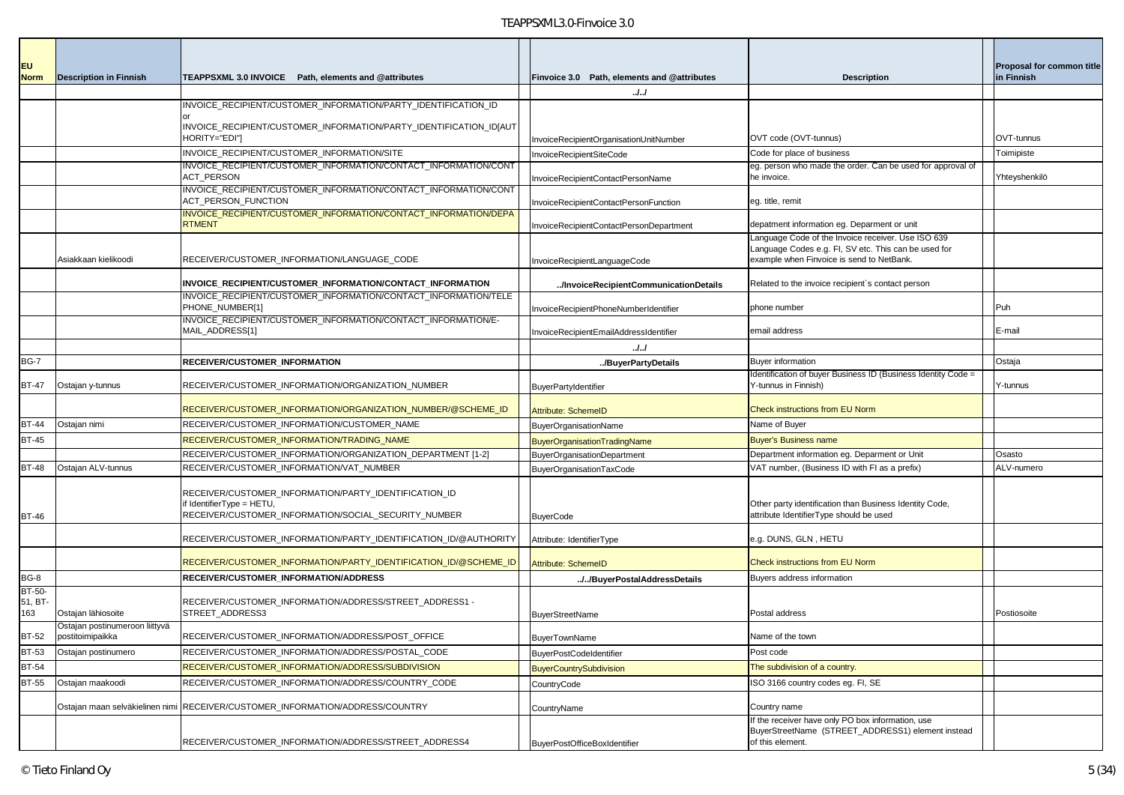| EU<br><b>Norm</b>        | <b>Description in Finnish</b>  | TEAPPSXML 3.0 INVOICE  Path. elements and @attributes                                                                                      | Finvoice 3.0 Path, elements and @attributes | <b>Description</b>                                                                                                                                      | Proposal for common title<br>in Finnish |
|--------------------------|--------------------------------|--------------------------------------------------------------------------------------------------------------------------------------------|---------------------------------------------|---------------------------------------------------------------------------------------------------------------------------------------------------------|-----------------------------------------|
|                          |                                |                                                                                                                                            | JJ                                          |                                                                                                                                                         |                                         |
|                          |                                | INVOICE_RECIPIENT/CUSTOMER_INFORMATION/PARTY_IDENTIFICATION_ID                                                                             |                                             |                                                                                                                                                         |                                         |
|                          |                                | INVOICE_RECIPIENT/CUSTOMER_INFORMATION/PARTY_IDENTIFICATION_ID[AUT                                                                         |                                             |                                                                                                                                                         |                                         |
|                          |                                | HORITY="EDI"]                                                                                                                              | InvoiceRecipientOrganisationUnitNumber      | OVT code (OVT-tunnus)                                                                                                                                   | OVT-tunnus                              |
|                          |                                | INVOICE_RECIPIENT/CUSTOMER_INFORMATION/SITE                                                                                                | InvoiceRecipientSiteCode                    | Code for place of business                                                                                                                              | Toimipiste                              |
|                          |                                | INVOICE_RECIPIENT/CUSTOMER_INFORMATION/CONTACT_INFORMATION/CONT<br>ACT_PERSON                                                              | InvoiceRecipientContactPersonName           | eg. person who made the order. Can be used for approval of<br>he invoice.                                                                               | Yhteyshenkilö                           |
|                          |                                | INVOICE_RECIPIENT/CUSTOMER_INFORMATION/CONTACT_INFORMATION/CONT<br>ACT_PERSON_FUNCTION                                                     | InvoiceRecipientContactPersonFunction       | eg. title, remit                                                                                                                                        |                                         |
|                          |                                | INVOICE_RECIPIENT/CUSTOMER_INFORMATION/CONTACT_INFORMATION/DEPA<br><b>RTMENT</b>                                                           | InvoiceRecipientContactPersonDepartment     | depatment information eg. Deparment or unit                                                                                                             |                                         |
|                          | Asiakkaan kielikoodi           | RECEIVER/CUSTOMER_INFORMATION/LANGUAGE_CODE                                                                                                | InvoiceRecipientLanguageCode                | Language Code of the Invoice receiver. Use ISO 639<br>Language Codes e.g. FI, SV etc. This can be used for<br>example when Finvoice is send to NetBank. |                                         |
|                          |                                |                                                                                                                                            |                                             |                                                                                                                                                         |                                         |
|                          |                                | INVOICE_RECIPIENT/CUSTOMER_INFORMATION/CONTACT_INFORMATION<br>INVOICE_RECIPIENT/CUSTOMER_INFORMATION/CONTACT_INFORMATION/TELE              | /InvoiceRecipientCommunicationDetails       | Related to the invoice recipient's contact person                                                                                                       |                                         |
|                          |                                | PHONE_NUMBER[1]<br>INVOICE_RECIPIENT/CUSTOMER_INFORMATION/CONTACT_INFORMATION/E-                                                           | InvoiceRecipientPhoneNumberIdentifier       | phone number                                                                                                                                            | Puh                                     |
|                          |                                | MAIL_ADDRESS[1]                                                                                                                            | InvoiceRecipientEmailAddressIdentifier      | email address                                                                                                                                           | E-mail                                  |
|                          |                                |                                                                                                                                            |                                             |                                                                                                                                                         |                                         |
| <b>BG-7</b>              |                                | RECEIVER/CUSTOMER INFORMATION                                                                                                              | /BuyerPartyDetails                          | <b>Buyer information</b>                                                                                                                                | Ostaja                                  |
| <b>BT-47</b>             | Ostajan y-tunnus               | RECEIVER/CUSTOMER_INFORMATION/ORGANIZATION_NUMBER                                                                                          | <b>BuyerPartyIdentifier</b>                 | Identification of buyer Business ID (Business Identity Code =<br>Y-tunnus in Finnish)                                                                   | Y-tunnus                                |
|                          |                                | RECEIVER/CUSTOMER_INFORMATION/ORGANIZATION_NUMBER/@SCHEME_ID                                                                               | <b>Attribute: SchemeID</b>                  | <b>Check instructions from EU Norm</b>                                                                                                                  |                                         |
| BT-44                    | Ostajan nimi                   | RECEIVER/CUSTOMER_INFORMATION/CUSTOMER_NAME                                                                                                | <b>BuyerOrganisationName</b>                | Name of Buyer                                                                                                                                           |                                         |
| <b>BT-45</b>             |                                | RECEIVER/CUSTOMER_INFORMATION/TRADING_NAME                                                                                                 | BuyerOrganisationTradingName                | <b>Buyer's Business name</b>                                                                                                                            |                                         |
|                          |                                | RECEIVER/CUSTOMER_INFORMATION/ORGANIZATION_DEPARTMENT [1-2]                                                                                | BuyerOrganisationDepartment                 | Department information eg. Deparment or Unit                                                                                                            | Osasto                                  |
| BT-48                    | Ostajan ALV-tunnus             | RECEIVER/CUSTOMER_INFORMATION/VAT_NUMBER                                                                                                   | BuyerOrganisationTaxCode                    | VAT number, (Business ID with FI as a prefix)                                                                                                           | ALV-numero                              |
| <b>BT-46</b>             |                                | RECEIVER/CUSTOMER_INFORMATION/PARTY_IDENTIFICATION_ID<br>if IdentifierType = HETU,<br>RECEIVER/CUSTOMER_INFORMATION/SOCIAL_SECURITY_NUMBER | <b>BuyerCode</b>                            | Other party identification than Business Identity Code,<br>attribute IdentifierType should be used                                                      |                                         |
|                          |                                | RECEIVER/CUSTOMER_INFORMATION/PARTY_IDENTIFICATION_ID/@AUTHORITY                                                                           | Attribute: IdentifierType                   | e.g. DUNS, GLN , HETU                                                                                                                                   |                                         |
|                          |                                | RECEIVER/CUSTOMER_INFORMATION/PARTY_IDENTIFICATION_ID/@SCHEME_ID                                                                           | <b>Attribute: SchemeID</b>                  | <b>Check instructions from EU Norm</b>                                                                                                                  |                                         |
| BG-8                     |                                | RECEIVER/CUSTOMER_INFORMATION/ADDRESS                                                                                                      | //BuyerPostalAddressDetails                 | Buyers address information                                                                                                                              |                                         |
| BT-50-<br>51, BT-<br>163 | Ostajan lähiosoite             | RECEIVER/CUSTOMER INFORMATION/ADDRESS/STREET ADDRESS1 -<br>STREET ADDRESS3                                                                 |                                             | Postal address                                                                                                                                          | Postiosoite                             |
|                          | Ostajan postinumeroon liittyvä |                                                                                                                                            | <b>BuyerStreetName</b>                      |                                                                                                                                                         |                                         |
| <b>BT-52</b>             | postitoimipaikka               | RECEIVER/CUSTOMER_INFORMATION/ADDRESS/POST_OFFICE                                                                                          | <b>BuyerTownName</b>                        | Name of the town                                                                                                                                        |                                         |
| <b>BT-53</b>             | Ostajan postinumero            | RECEIVER/CUSTOMER_INFORMATION/ADDRESS/POSTAL_CODE                                                                                          | <b>BuyerPostCodeIdentifier</b>              | Post code                                                                                                                                               |                                         |
| <b>BT-54</b>             |                                | RECEIVER/CUSTOMER_INFORMATION/ADDRESS/SUBDIVISION                                                                                          | <b>BuyerCountrySubdivision</b>              | The subdivision of a country.                                                                                                                           |                                         |
| BT-55                    | Ostajan maakoodi               | RECEIVER/CUSTOMER_INFORMATION/ADDRESS/COUNTRY_CODE                                                                                         | CountryCode                                 | ISO 3166 country codes eg. FI, SE                                                                                                                       |                                         |
|                          | Ostajan maan selväkielinen nim | RECEIVER/CUSTOMER_INFORMATION/ADDRESS/COUNTRY                                                                                              | CountryName                                 | Country name                                                                                                                                            |                                         |
|                          |                                | RECEIVER/CUSTOMER_INFORMATION/ADDRESS/STREET_ADDRESS4                                                                                      | <b>BuyerPostOfficeBoxIdentifier</b>         | If the receiver have only PO box information, use<br>BuyerStreetName (STREET_ADDRESS1) element instead<br>of this element.                              |                                         |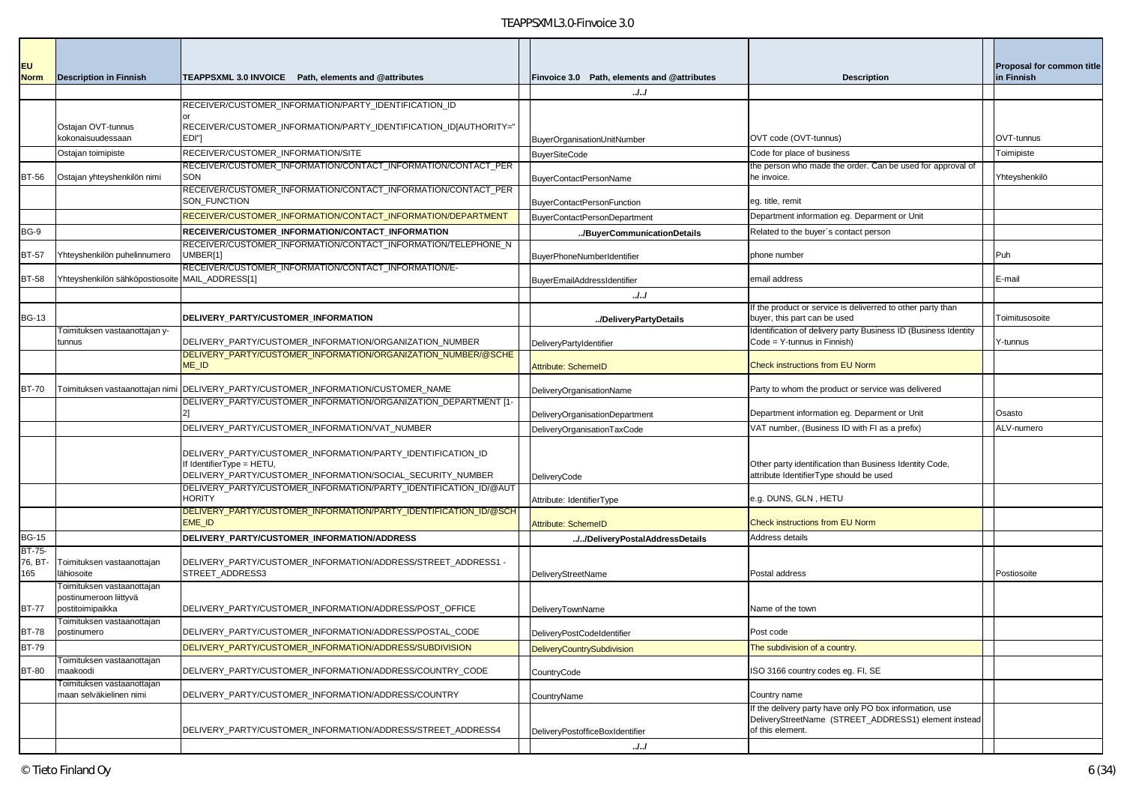| <b>EU</b><br><b>Norm</b> | <b>Description in Finnish</b>                                            | TEAPPSXML 3.0 INVOICE Path, elements and @attributes                                                                                                   | Finvoice 3.0 Path, elements and @attributes              | <b>Description</b>                                                                                                                  | Proposal for common title<br>in Finnish |
|--------------------------|--------------------------------------------------------------------------|--------------------------------------------------------------------------------------------------------------------------------------------------------|----------------------------------------------------------|-------------------------------------------------------------------------------------------------------------------------------------|-----------------------------------------|
|                          |                                                                          |                                                                                                                                                        | J. J                                                     |                                                                                                                                     |                                         |
|                          |                                                                          | RECEIVER/CUSTOMER_INFORMATION/PARTY_IDENTIFICATION_ID                                                                                                  |                                                          |                                                                                                                                     |                                         |
|                          | Ostajan OVT-tunnus                                                       | RECEIVER/CUSTOMER_INFORMATION/PARTY_IDENTIFICATION_ID[AUTHORITY="                                                                                      |                                                          |                                                                                                                                     |                                         |
|                          | kokonaisuudessaan                                                        | EDI"]                                                                                                                                                  | BuyerOrganisationUnitNumber                              | OVT code (OVT-tunnus)                                                                                                               | OVT-tunnus                              |
|                          | Ostajan toimipiste                                                       | RECEIVER/CUSTOMER_INFORMATION/SITE<br>RECEIVER/CUSTOMER INFORMATION/CONTACT INFORMATION/CONTACT PER                                                    | <b>BuyerSiteCode</b>                                     | Code for place of business<br>the person who made the order. Can be used for approval of                                            | Toimipiste                              |
| <b>BT-56</b>             | Ostajan yhteyshenkilön nimi                                              | SON                                                                                                                                                    | BuyerContactPersonName                                   | he invoice.                                                                                                                         | Yhteyshenkilö                           |
|                          |                                                                          | RECEIVER/CUSTOMER_INFORMATION/CONTACT_INFORMATION/CONTACT_PER<br>SON_FUNCTION                                                                          | <b>BuyerContactPersonFunction</b>                        | eg. title, remit                                                                                                                    |                                         |
|                          |                                                                          | RECEIVER/CUSTOMER_INFORMATION/CONTACT_INFORMATION/DEPARTMENT                                                                                           | BuyerContactPersonDepartment                             | Department information eg. Deparment or Unit                                                                                        |                                         |
| <b>BG-9</b>              |                                                                          | RECEIVER/CUSTOMER_INFORMATION/CONTACT_INFORMATION                                                                                                      | /BuyerCommunicationDetails                               | Related to the buyer's contact person                                                                                               |                                         |
|                          |                                                                          | RECEIVER/CUSTOMER_INFORMATION/CONTACT_INFORMATION/TELEPHONE_N                                                                                          |                                                          |                                                                                                                                     |                                         |
| <b>BT-57</b>             | Yhteyshenkilön puhelinnumero                                             | UMBER[1]                                                                                                                                               | BuyerPhoneNumberIdentifier                               | phone number                                                                                                                        | Puh                                     |
| <b>BT-58</b>             | Yhteyshenkilön sähköpostiosoite MAIL_ADDRESS[1]                          | RECEIVER/CUSTOMER_INFORMATION/CONTACT_INFORMATION/E-                                                                                                   | BuyerEmailAddressIdentifier                              | email address                                                                                                                       | E-mail                                  |
|                          |                                                                          |                                                                                                                                                        | . J. J                                                   |                                                                                                                                     |                                         |
| <b>BG-13</b>             |                                                                          | DELIVERY PARTY/CUSTOMER INFORMATION                                                                                                                    | /DeliveryPartyDetails                                    | If the product or service is deliverred to other party than<br>buyer, this part can be used                                         | Toimitusosoite                          |
|                          | Toimituksen vastaanottajan y-                                            |                                                                                                                                                        |                                                          | Identification of delivery party Business ID (Business Identity                                                                     |                                         |
|                          | tunnus                                                                   | DELIVERY_PARTY/CUSTOMER_INFORMATION/ORGANIZATION_NUMBER                                                                                                | DeliveryPartyIdentifier                                  | Code = Y-tunnus in Finnish)                                                                                                         | Y-tunnus                                |
|                          |                                                                          | DELIVERY_PARTY/CUSTOMER_INFORMATION/ORGANIZATION_NUMBER/@SCHE<br>ME <sub>ID</sub>                                                                      | <b>Attribute: SchemeID</b>                               | <b>Check instructions from EU Norm</b>                                                                                              |                                         |
|                          |                                                                          |                                                                                                                                                        |                                                          |                                                                                                                                     |                                         |
| <b>BT-70</b>             |                                                                          | Toimituksen vastaanottajan nimi DELIVERY PARTY/CUSTOMER INFORMATION/CUSTOMER NAME                                                                      | DeliveryOrganisationName                                 | Party to whom the product or service was delivered                                                                                  |                                         |
|                          |                                                                          | DELIVERY_PARTY/CUSTOMER_INFORMATION/ORGANIZATION_DEPARTMENT [1-                                                                                        | DeliveryOrganisationDepartment                           | Department information eg. Deparment or Unit                                                                                        | Osasto                                  |
|                          |                                                                          | DELIVERY_PARTY/CUSTOMER_INFORMATION/VAT_NUMBER                                                                                                         | DeliveryOrganisationTaxCode                              | VAT number, (Business ID with FI as a prefix)                                                                                       | ALV-numero                              |
|                          |                                                                          | DELIVERY_PARTY/CUSTOMER_INFORMATION/PARTY_IDENTIFICATION_ID<br>If IdentifierType = HETU,<br>DELIVERY_PARTY/CUSTOMER_INFORMATION/SOCIAL_SECURITY_NUMBER | <b>DeliveryCode</b>                                      | Other party identification than Business Identity Code,<br>attribute IdentifierType should be used                                  |                                         |
|                          |                                                                          | DELIVERY_PARTY/CUSTOMER_INFORMATION/PARTY_IDENTIFICATION_ID/@AUT<br><b>HORITY</b>                                                                      | Attribute: IdentifierType                                | e.g. DUNS, GLN, HETU                                                                                                                |                                         |
|                          |                                                                          | DELIVERY_PARTY/CUSTOMER_INFORMATION/PARTY_IDENTIFICATION_ID/@SCH<br>EME_ID                                                                             | <b>Attribute: SchemeID</b>                               | <b>Check instructions from EU Norm</b>                                                                                              |                                         |
| <b>BG-15</b>             |                                                                          | DELIVERY_PARTY/CUSTOMER_INFORMATION/ADDRESS                                                                                                            | //DeliveryPostalAddressDetails                           | Address details                                                                                                                     |                                         |
| BT-75-<br>76, BT-<br>165 | Toimituksen vastaanottajan<br>lähiosoite                                 | DELIVERY_PARTY/CUSTOMER_INFORMATION/ADDRESS/STREET_ADDRESS1 -<br>STREET_ADDRESS3                                                                       | DeliveryStreetName                                       | Postal address                                                                                                                      | Postiosoite                             |
| <b>BT-77</b>             | Toimituksen vastaanottajan<br>postinumeroon liittyvä<br>postitoimipaikka | DELIVERY_PARTY/CUSTOMER_INFORMATION/ADDRESS/POST_OFFICE                                                                                                | DeliveryTownName                                         | Name of the town                                                                                                                    |                                         |
| <b>BT-78</b>             | Toimituksen vastaanottajan                                               | DELIVERY_PARTY/CUSTOMER_INFORMATION/ADDRESS/POSTAL_CODE                                                                                                |                                                          | ost code-                                                                                                                           |                                         |
| <b>BT-79</b>             | postinumero                                                              | DELIVERY PARTY/CUSTOMER INFORMATION/ADDRESS/SUBDIVISION                                                                                                | DeliveryPostCodeIdentifier<br>DeliveryCountrySubdivision | The subdivision of a country.                                                                                                       |                                         |
|                          | Toimituksen vastaanottajan                                               |                                                                                                                                                        |                                                          |                                                                                                                                     |                                         |
| <b>BT-80</b>             | maakoodi                                                                 | DELIVERY PARTY/CUSTOMER INFORMATION/ADDRESS/COUNTRY CODE                                                                                               | CountryCode                                              | ISO 3166 country codes eg. FI, SE                                                                                                   |                                         |
|                          | Toimituksen vastaanottajan<br>maan selväkielinen nimi                    | DELIVERY_PARTY/CUSTOMER_INFORMATION/ADDRESS/COUNTRY                                                                                                    | CountryName                                              | Country name                                                                                                                        |                                         |
|                          |                                                                          | DELIVERY_PARTY/CUSTOMER_INFORMATION/ADDRESS/STREET_ADDRESS4                                                                                            | DeliveryPostofficeBoxIdentifier                          | If the delivery party have only PO box information, use<br>DeliveryStreetName (STREET_ADDRESS1) element instead<br>of this element. |                                         |
|                          |                                                                          |                                                                                                                                                        | J.J                                                      |                                                                                                                                     |                                         |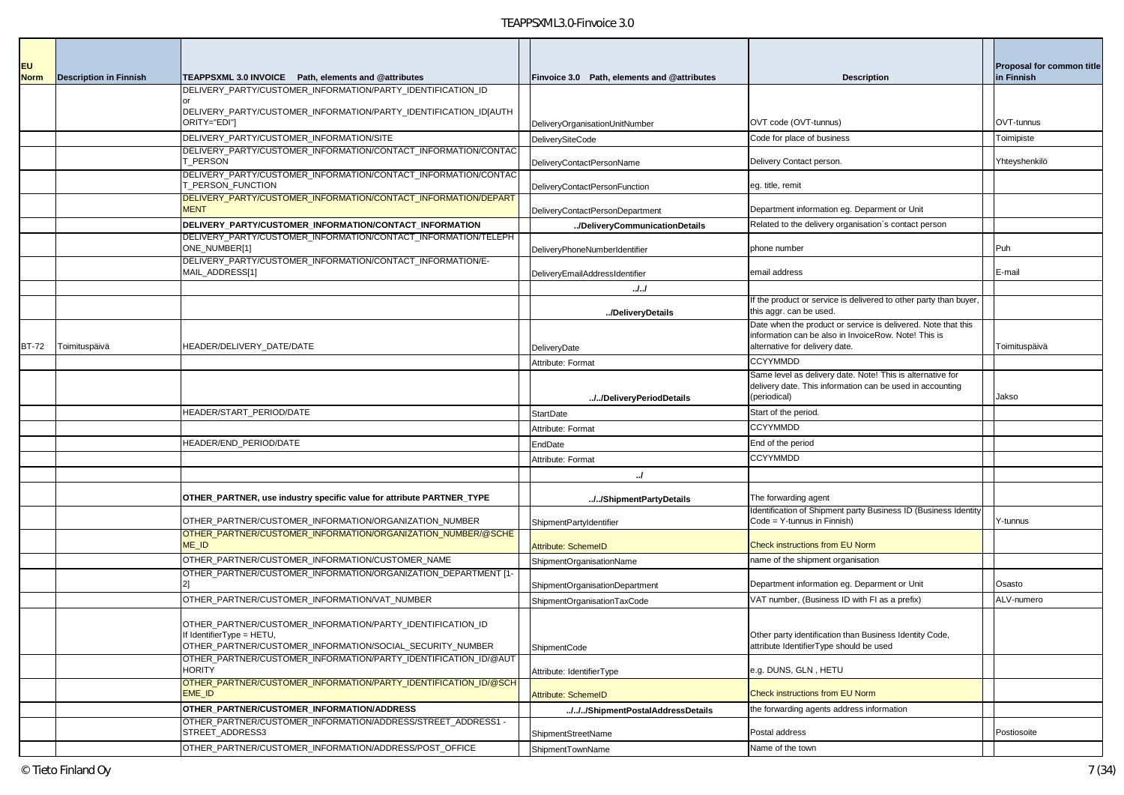| <b>EU</b>   |                               |                                                                                                                              |                                             |                                                                                                                       | Proposal for common title |
|-------------|-------------------------------|------------------------------------------------------------------------------------------------------------------------------|---------------------------------------------|-----------------------------------------------------------------------------------------------------------------------|---------------------------|
| <b>Norm</b> | <b>Description in Finnish</b> | TEAPPSXML 3.0 INVOICE Path, elements and @attributes                                                                         | Finvoice 3.0 Path, elements and @attributes | <b>Description</b>                                                                                                    | in Finnish                |
|             |                               | DELIVERY_PARTY/CUSTOMER_INFORMATION/PARTY_IDENTIFICATION_ID                                                                  |                                             |                                                                                                                       |                           |
|             |                               | DELIVERY_PARTY/CUSTOMER_INFORMATION/PARTY_IDENTIFICATION_ID[AUTH                                                             |                                             |                                                                                                                       |                           |
|             |                               | ORITY="EDI"]                                                                                                                 | DeliveryOrganisationUnitNumber              | OVT code (OVT-tunnus)                                                                                                 | OVT-tunnus                |
|             |                               | DELIVERY_PARTY/CUSTOMER_INFORMATION/SITE                                                                                     | <b>DeliverySiteCode</b>                     | Code for place of business                                                                                            | Toimipiste                |
|             |                               | DELIVERY_PARTY/CUSTOMER_INFORMATION/CONTACT_INFORMATION/CONTAC<br><b>T PERSON</b>                                            | DeliveryContactPersonName                   | Delivery Contact person.                                                                                              | Yhteyshenkilö             |
|             |                               | DELIVERY_PARTY/CUSTOMER_INFORMATION/CONTACT_INFORMATION/CONTAC                                                               |                                             |                                                                                                                       |                           |
|             |                               | <b>L_PERSON_FUNCTION</b>                                                                                                     | DeliveryContactPersonFunction               | eg. title, remit                                                                                                      |                           |
|             |                               | DELIVERY_PARTY/CUSTOMER_INFORMATION/CONTACT_INFORMATION/DEPART<br><b>MENT</b>                                                |                                             | Department information eg. Deparment or Unit                                                                          |                           |
|             |                               | DELIVERY_PARTY/CUSTOMER_INFORMATION/CONTACT_INFORMATION                                                                      | DeliveryContactPersonDepartment             | Related to the delivery organisation's contact person                                                                 |                           |
|             |                               | DELIVERY_PARTY/CUSTOMER_INFORMATION/CONTACT_INFORMATION/TELEPH                                                               | /DeliveryCommunicationDetails               |                                                                                                                       |                           |
|             |                               | ONE_NUMBER[1]                                                                                                                | DeliveryPhoneNumberIdentifier               | phone number                                                                                                          | Puh                       |
|             |                               | DELIVERY_PARTY/CUSTOMER_INFORMATION/CONTACT_INFORMATION/E-                                                                   |                                             |                                                                                                                       |                           |
|             |                               | MAIL_ADDRESS[1]                                                                                                              | DeliveryEmailAddressIdentifier              | email address                                                                                                         | E-mail                    |
|             |                               |                                                                                                                              | . J. J                                      | If the product or service is delivered to other party than buyer,                                                     |                           |
|             |                               |                                                                                                                              | /DeliveryDetails                            | this aggr. can be used.                                                                                               |                           |
|             |                               |                                                                                                                              |                                             | Date when the product or service is delivered. Note that this<br>information can be also in InvoiceRow. Note! This is |                           |
| BT-72       | Toimituspäivä                 | IEADER/DELIVERY_DATE/DATE                                                                                                    | DeliveryDate                                | alternative for delivery date.                                                                                        | Toimituspäivä             |
|             |                               |                                                                                                                              | Attribute: Format                           | <b>CCYYMMDD</b>                                                                                                       |                           |
|             |                               |                                                                                                                              |                                             | Same level as delivery date. Note! This is alternative for                                                            |                           |
|             |                               |                                                                                                                              | //DeliveryPeriodDetails                     | delivery date. This information can be used in accounting<br>(periodical)                                             | Jakso                     |
|             |                               | HEADER/START PERIOD/DATE                                                                                                     | StartDate                                   | Start of the period.                                                                                                  |                           |
|             |                               |                                                                                                                              | Attribute: Format                           | <b>CCYYMMDD</b>                                                                                                       |                           |
|             |                               | HEADER/END_PERIOD/DATE                                                                                                       | EndDate                                     | End of the period                                                                                                     |                           |
|             |                               |                                                                                                                              | Attribute: Format                           | <b>CCYYMMDD</b>                                                                                                       |                           |
|             |                               |                                                                                                                              | $\cdot$                                     |                                                                                                                       |                           |
|             |                               |                                                                                                                              |                                             |                                                                                                                       |                           |
|             |                               | OTHER_PARTNER, use industry specific value for attribute PARTNER_TYPE                                                        | //ShipmentPartyDetails                      | The forwarding agent                                                                                                  |                           |
|             |                               | OTHER_PARTNER/CUSTOMER_INFORMATION/ORGANIZATION_NUMBER                                                                       |                                             | Identification of Shipment party Business ID (Business Identity<br>Code = Y-tunnus in Finnish)                        | Y-tunnus                  |
|             |                               | OTHER_PARTNER/CUSTOMER_INFORMATION/ORGANIZATION_NUMBER/@SCHE                                                                 | ShipmentPartyIdentifier                     |                                                                                                                       |                           |
|             |                               | ME_ID                                                                                                                        | Attribute: SchemeID                         | <b>Check instructions from EU Norm</b>                                                                                |                           |
|             |                               | OTHER_PARTNER/CUSTOMER_INFORMATION/CUSTOMER_NAME                                                                             | ShipmentOrganisationName                    | name of the shipment organisation                                                                                     |                           |
|             |                               | OTHER PARTNER/CUSTOMER INFORMATION/ORGANIZATION DEPARTMENT [1-                                                               |                                             |                                                                                                                       | Osasto                    |
|             |                               | OTHER_PARTNER/CUSTOMER_INFORMATION/VAT_NUMBER                                                                                | ShipmentOrganisationDepartment              | Department information eg. Deparment or Unit<br>VAT number, (Business ID with FI as a prefix)                         | ALV-numero                |
|             |                               |                                                                                                                              | ShipmentOrganisationTaxCode                 |                                                                                                                       |                           |
|             |                               | OTHER PARTNER/CUSTOMER INFORMATION/PARTY IDENTIFICATION ID                                                                   |                                             |                                                                                                                       |                           |
|             |                               | If IdentifierType = HETU,                                                                                                    |                                             | Other party identification than Business Identity Code,                                                               |                           |
|             |                               | OTHER_PARTNER/CUSTOMER_INFORMATION/SOCIAL_SECURITY_NUMBER<br>OTHER PARTNER/CUSTOMER INFORMATION/PARTY IDENTIFICATION ID/@AUT | ShipmentCode                                | attribute IdentifierType should be used                                                                               |                           |
|             |                               | <b>HORITY</b>                                                                                                                | Attribute: IdentifierType                   | e.g. DUNS, GLN, HETU                                                                                                  |                           |
|             |                               | OTHER_PARTNER/CUSTOMER_INFORMATION/PARTY_IDENTIFICATION_ID/@SCH<br>EME_ID                                                    | Attribute: SchemeID                         | Check instructions from EU Norm                                                                                       |                           |
|             |                               | OTHER_PARTNER/CUSTOMER_INFORMATION/ADDRESS                                                                                   | ///ShipmentPostalAddressDetails             | the forwarding agents address information                                                                             |                           |
|             |                               | OTHER PARTNER/CUSTOMER INFORMATION/ADDRESS/STREET ADDRESS1-                                                                  |                                             |                                                                                                                       |                           |
|             |                               | STREET ADDRESS3                                                                                                              | ShipmentStreetName                          | Postal address                                                                                                        | Postiosoite               |
|             |                               | OTHER PARTNER/CUSTOMER INFORMATION/ADDRESS/POST OFFICE                                                                       | ShipmentTownName                            | Name of the town                                                                                                      |                           |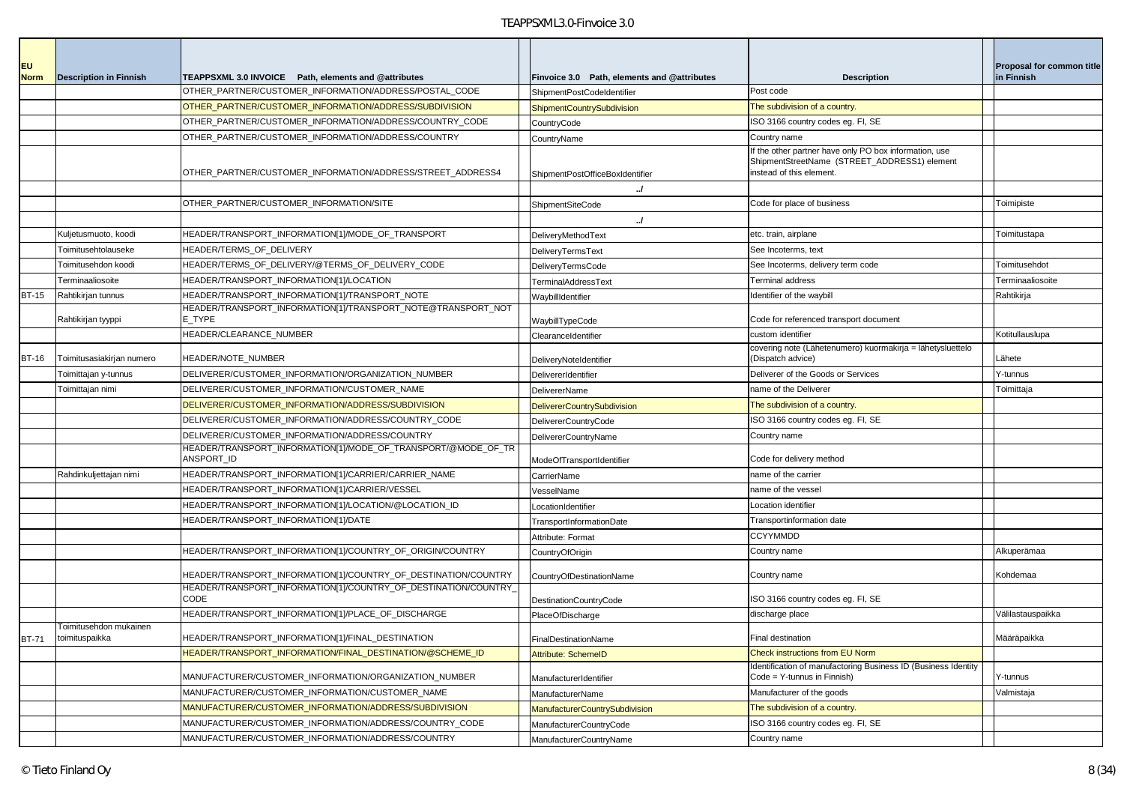| <b>EU</b>    |                               |                                                                             |                                             |                                                                                                                                   | <b>Proposal for common title</b> |
|--------------|-------------------------------|-----------------------------------------------------------------------------|---------------------------------------------|-----------------------------------------------------------------------------------------------------------------------------------|----------------------------------|
| <b>Norm</b>  | <b>Description in Finnish</b> | TEAPPSXML 3.0 INVOICE Path, elements and @attributes                        | Finvoice 3.0 Path, elements and @attributes | <b>Description</b>                                                                                                                | in Finnish                       |
|              |                               | OTHER_PARTNER/CUSTOMER_INFORMATION/ADDRESS/POSTAL_CODE                      | ShipmentPostCodeIdentifier                  | Post code                                                                                                                         |                                  |
|              |                               | OTHER_PARTNER/CUSTOMER_INFORMATION/ADDRESS/SUBDIVISION                      | ShipmentCountrySubdivision                  | The subdivision of a country.                                                                                                     |                                  |
|              |                               | OTHER_PARTNER/CUSTOMER_INFORMATION/ADDRESS/COUNTRY_CODE                     | CountryCode                                 | ISO 3166 country codes eg. FI, SE                                                                                                 |                                  |
|              |                               | OTHER_PARTNER/CUSTOMER_INFORMATION/ADDRESS/COUNTRY                          | CountryName                                 | Country name                                                                                                                      |                                  |
|              |                               | OTHER PARTNER/CUSTOMER INFORMATION/ADDRESS/STREET ADDRESS4                  | ShipmentPostOfficeBoxIdentifier             | f the other partner have only PO box information, use<br>ShipmentStreetName (STREET_ADDRESS1) element<br>instead of this element. |                                  |
|              |                               |                                                                             |                                             |                                                                                                                                   |                                  |
|              |                               | OTHER_PARTNER/CUSTOMER_INFORMATION/SITE                                     | ShipmentSiteCode                            | Code for place of business                                                                                                        | Toimipiste                       |
|              |                               |                                                                             | $\cdot$                                     |                                                                                                                                   |                                  |
|              | Kuljetusmuoto, koodi          | HEADER/TRANSPORT_INFORMATION[1]/MODE_OF_TRANSPORT                           | DeliveryMethodText                          | etc. train, airplane                                                                                                              | Toimitustapa                     |
|              | Toimitusehtolauseke           | HEADER/TERMS_OF_DELIVERY                                                    | DeliveryTermsText                           | See Incoterms, text                                                                                                               |                                  |
|              | Toimitusehdon koodi           | IEADER/TERMS_OF_DELIVERY/@TERMS_OF_DELIVERY_CODE                            | DeliveryTermsCode                           | See Incoterms, delivery term code                                                                                                 | Toimitusehdot                    |
|              | Terminaaliosoite              | HEADER/TRANSPORT_INFORMATION[1]/LOCATION                                    | <b>TerminalAddressText</b>                  | Terminal address                                                                                                                  | Terminaaliosoite                 |
| <b>BT-15</b> | Rahtikirjan tunnus            | IEADER/TRANSPORT_INFORMATION[1]/TRANSPORT_NOTE                              | WaybillIdentifier                           | Identifier of the waybill                                                                                                         | Rahtikirja                       |
|              | Rahtikirjan tyyppi            | HEADER/TRANSPORT_INFORMATION[1]/TRANSPORT_NOTE@TRANSPORT_NOT<br>E TYPE      | WaybillTypeCode                             | Code for referenced transport document                                                                                            |                                  |
|              |                               | HEADER/CLEARANCE_NUMBER                                                     | ClearanceIdentifier                         | custom identifier                                                                                                                 | Kotitullauslupa                  |
| <b>BT-16</b> | Toimitusasiakirjan numero     | HEADER/NOTE_NUMBER                                                          | DeliveryNoteIdentifier                      | covering note (Lähetenumero) kuormakirja = lähetysluettelo<br>(Dispatch advice)                                                   | Lähete                           |
|              | Toimittajan y-tunnus          | DELIVERER/CUSTOMER_INFORMATION/ORGANIZATION_NUMBER                          | DelivererIdentifier                         | Deliverer of the Goods or Services                                                                                                | Y-tunnus                         |
|              | Toimittajan nimi              | DELIVERER/CUSTOMER_INFORMATION/CUSTOMER_NAME                                | <b>DelivererName</b>                        | name of the Deliverer                                                                                                             | Toimittaja                       |
|              |                               | DELIVERER/CUSTOMER_INFORMATION/ADDRESS/SUBDIVISION                          | <b>DelivererCountrySubdivision</b>          | The subdivision of a country.                                                                                                     |                                  |
|              |                               | DELIVERER/CUSTOMER_INFORMATION/ADDRESS/COUNTRY_CODE                         | <b>DelivererCountryCode</b>                 | ISO 3166 country codes eg. FI, SE                                                                                                 |                                  |
|              |                               | DELIVERER/CUSTOMER_INFORMATION/ADDRESS/COUNTRY                              | DelivererCountryName                        | Country name                                                                                                                      |                                  |
|              |                               | HEADER/TRANSPORT_INFORMATION[1]/MODE_OF_TRANSPORT/@MODE_OF_TR<br>ANSPORT ID | ModeOfTransportIdentifier                   | Code for delivery method                                                                                                          |                                  |
|              | Rahdinkuljettajan nimi        | HEADER/TRANSPORT_INFORMATION[1]/CARRIER/CARRIER_NAME                        | CarrierName                                 | name of the carrier                                                                                                               |                                  |
|              |                               | IEADER/TRANSPORT_INFORMATION[1]/CARRIER/VESSEL                              | VesselName                                  | name of the vessel                                                                                                                |                                  |
|              |                               | IEADER/TRANSPORT_INFORMATION[1]/LOCATION/@LOCATION_ID                       | LocationIdentifier                          | Location identifier                                                                                                               |                                  |
|              |                               | IEADER/TRANSPORT_INFORMATION[1]/DATE                                        | TransportInformationDate                    | Transportinformation date                                                                                                         |                                  |
|              |                               |                                                                             | Attribute: Format                           | <b>CCYYMMDD</b>                                                                                                                   |                                  |
|              |                               | HEADER/TRANSPORT_INFORMATION[1]/COUNTRY_OF_ORIGIN/COUNTRY                   | CountryOfOrigin                             | Country name                                                                                                                      | Alkuperämaa                      |
|              |                               | IEADER/TRANSPORT_INFORMATION[1]/COUNTRY_OF_DESTINATION/COUNTRY              | CountryOfDestinationName                    | Country name                                                                                                                      | Kohdemaa                         |
|              |                               | HEADER/TRANSPORT INFORMATION[1]/COUNTRY OF DESTINATION/COUNTRY<br>CODE      | <b>DestinationCountryCode</b>               | ISO 3166 country codes eg. FI, SE                                                                                                 |                                  |
|              |                               | HEADER/TRANSPORT INFORMATION[1]/PLACE OF DISCHARGE                          | PlaceOfDischarge                            | discharge place                                                                                                                   | Välilastauspaikka                |
|              | Toimitusehdon mukainen        |                                                                             |                                             |                                                                                                                                   |                                  |
|              | BT-71 toimituspaikka          | HEADER/TRANSPORT_INFORMATION[1]/FINAL_DESTINATION                           | FinalDestinationName                        | Final destination                                                                                                                 | Määräpaikka                      |
|              |                               | IEADER/TRANSPORT_INFORMATION/FINAL_DESTINATION/@SCHEME_ID                   | Attribute: SchemeID                         | <b>Check instructions from EU Norm</b>                                                                                            |                                  |
|              |                               | MANUFACTURER/CUSTOMER_INFORMATION/ORGANIZATION_NUMBER                       | ManufacturerIdentifier                      | Identification of manufactoring Business ID (Business Identity<br>Code = Y-tunnus in Finnish)                                     | Y-tunnus                         |
|              |                               | MANUFACTURER/CUSTOMER_INFORMATION/CUSTOMER_NAME                             | ManufacturerName                            | Manufacturer of the goods                                                                                                         | Valmistaja                       |
|              |                               | MANUFACTURER/CUSTOMER_INFORMATION/ADDRESS/SUBDIVISION                       | <b>ManufacturerCountrySubdivision</b>       | The subdivision of a country.                                                                                                     |                                  |
|              |                               | MANUFACTURER/CUSTOMER_INFORMATION/ADDRESS/COUNTRY_CODE                      | ManufacturerCountryCode                     | ISO 3166 country codes eg. FI, SE                                                                                                 |                                  |
|              |                               | MANUFACTURER/CUSTOMER_INFORMATION/ADDRESS/COUNTRY                           | ManufacturerCountryName                     | Country name                                                                                                                      |                                  |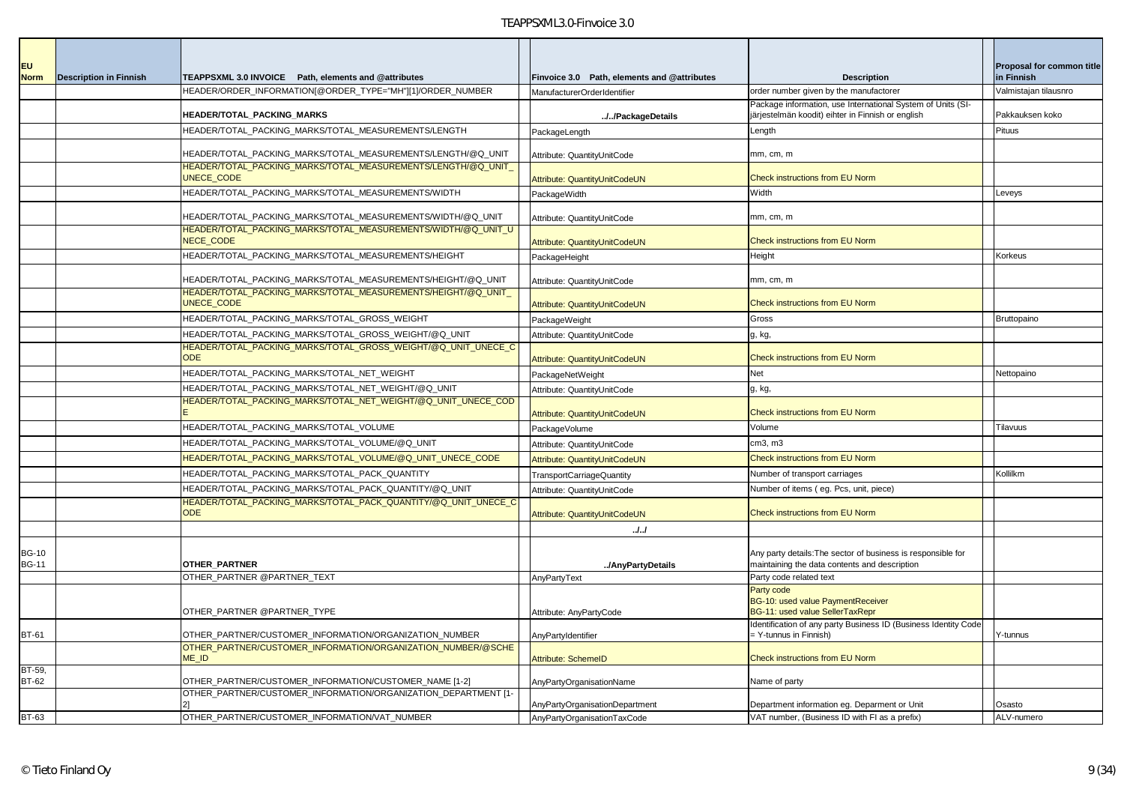| <b>EU</b>                    |                               |                                                                                   |                                             |                                                                                                                  | Proposal for common title |
|------------------------------|-------------------------------|-----------------------------------------------------------------------------------|---------------------------------------------|------------------------------------------------------------------------------------------------------------------|---------------------------|
| <b>Norm</b>                  | <b>Description in Finnish</b> | TEAPPSXML 3.0 INVOICE Path, elements and @attributes                              | Finvoice 3.0 Path, elements and @attributes | <b>Description</b>                                                                                               | in Finnish                |
|                              |                               | HEADER/ORDER_INFORMATION[@ORDER_TYPE="MH"][1]/ORDER_NUMBER                        | ManufacturerOrderIdentifier                 | order number given by the manufactorer                                                                           | Valmistajan tilausnro     |
|                              |                               | HEADER/TOTAL PACKING MARKS                                                        | //PackageDetails                            | Package information, use International System of Units (SI-<br>järjestelmän koodit) eihter in Finnish or english | Pakkauksen koko           |
|                              |                               | HEADER/TOTAL_PACKING_MARKS/TOTAL_MEASUREMENTS/LENGTH                              | PackageLength                               | Length                                                                                                           | Pituus                    |
|                              |                               | HEADER/TOTAL_PACKING_MARKS/TOTAL_MEASUREMENTS/LENGTH/@Q_UNIT                      | Attribute: QuantityUnitCode                 | mm, cm, m                                                                                                        |                           |
|                              |                               | UNECE CODE                                                                        | Attribute: QuantityUnitCodeUN               | <b>Check instructions from EU Norm</b>                                                                           |                           |
|                              |                               | HEADER/TOTAL_PACKING_MARKS/TOTAL_MEASUREMENTS/WIDTH                               | PackageWidth                                | Width                                                                                                            | Leveys                    |
|                              |                               |                                                                                   |                                             |                                                                                                                  |                           |
|                              |                               | HEADER/TOTAL_PACKING_MARKS/TOTAL_MEASUREMENTS/WIDTH/@Q_UNIT                       | Attribute: QuantityUnitCode                 | mm, cm, m                                                                                                        |                           |
|                              |                               | HEADER/TOTAL PACKING MARKS/TOTAL MEASUREMENTS/WIDTH/@Q_UNIT_U<br><b>NECE CODE</b> | Attribute: QuantityUnitCodeUN               | <b>Check instructions from EU Norm</b>                                                                           |                           |
|                              |                               | HEADER/TOTAL_PACKING_MARKS/TOTAL_MEASUREMENTS/HEIGHT                              | PackageHeight                               | Height                                                                                                           | Korkeus                   |
|                              |                               | HEADER/TOTAL_PACKING_MARKS/TOTAL_MEASUREMENTS/HEIGHT/@Q_UNIT                      | Attribute: QuantityUnitCode                 | mm, cm, m                                                                                                        |                           |
|                              |                               | HEADER/TOTAL_PACKING_MARKS/TOTAL_MEASUREMENTS/HEIGHT/@Q_UNIT_<br>UNECE CODE       | Attribute: QuantityUnitCodeUN               | <b>Check instructions from EU Norm</b>                                                                           |                           |
|                              |                               | HEADER/TOTAL PACKING MARKS/TOTAL GROSS WEIGHT                                     | PackageWeight                               | Gross                                                                                                            | Bruttopaino               |
|                              |                               | HEADER/TOTAL_PACKING_MARKS/TOTAL_GROSS_WEIGHT/@Q_UNIT                             | Attribute: QuantityUnitCode                 | g, kg,                                                                                                           |                           |
|                              |                               | HEADER/TOTAL_PACKING_MARKS/TOTAL_GROSS_WEIGHT/@Q_UNIT_UNECE_C<br><b>ODE</b>       | Attribute: QuantityUnitCodeUN               | <b>Check instructions from EU Norm</b>                                                                           |                           |
|                              |                               | HEADER/TOTAL_PACKING_MARKS/TOTAL_NET_WEIGHT                                       | PackageNetWeight                            | Net                                                                                                              | Nettopaino                |
|                              |                               | HEADER/TOTAL PACKING MARKS/TOTAL NET WEIGHT/@Q UNIT                               | Attribute: QuantityUnitCode                 | g, kg,                                                                                                           |                           |
|                              |                               | HEADER/TOTAL_PACKING_MARKS/TOTAL_NET_WEIGHT/@Q_UNIT_UNECE_COD                     | Attribute: QuantityUnitCodeUN               | <b>Check instructions from EU Norm</b>                                                                           |                           |
|                              |                               | HEADER/TOTAL_PACKING_MARKS/TOTAL_VOLUME                                           | PackageVolume                               | Volume                                                                                                           | Tilavuus                  |
|                              |                               | HEADER/TOTAL_PACKING_MARKS/TOTAL_VOLUME/@Q_UNIT                                   | Attribute: QuantityUnitCode                 | cm3, m3                                                                                                          |                           |
|                              |                               | HEADER/TOTAL_PACKING_MARKS/TOTAL_VOLUME/@Q_UNIT_UNECE_CODE                        | Attribute: QuantityUnitCodeUN               | <b>Check instructions from EU Norm</b>                                                                           |                           |
|                              |                               | HEADER/TOTAL_PACKING_MARKS/TOTAL_PACK_QUANTITY                                    | <b>TransportCarriageQuantity</b>            | Number of transport carriages                                                                                    | Kollilkm                  |
|                              |                               | HEADER/TOTAL_PACKING_MARKS/TOTAL_PACK_QUANTITY/@Q_UNIT                            | Attribute: QuantityUnitCode                 | Number of items (eg. Pcs, unit, piece)                                                                           |                           |
|                              |                               | HEADER/TOTAL_PACKING_MARKS/TOTAL_PACK_QUANTITY/@Q_UNIT_UNECE_C<br><b>ODE</b>      | Attribute: QuantityUnitCodeUN               | <b>Check instructions from EU Norm</b>                                                                           |                           |
|                              |                               |                                                                                   | . J. J                                      |                                                                                                                  |                           |
| <b>BG-10</b><br><b>BG-11</b> |                               | OTHER_PARTNER                                                                     | /AnyPartyDetails                            | Any party details: The sector of business is responsible for<br>maintaining the data contents and description    |                           |
|                              |                               | OTHER_PARTNER @PARTNER_TEXT                                                       | AnyPartyText                                | Party code related text                                                                                          |                           |
|                              |                               | OTHER PARTNER @PARTNER TYPE                                                       | Attribute: AnyPartyCode                     | Party code<br>BG-10: used value PaymentReceiver<br>BG-11: used value SellerTaxRepr                               |                           |
| <b>BT-61</b>                 |                               | OTHER_PARTNER/CUSTOMER_INFORMATION/ORGANIZATION_NUMBER                            | AnyPartyIdentifier                          | Identification of any party Business ID (Business Identity Code<br>- Y-tunnus in Finnish)                        | Y-tunnus                  |
|                              |                               | OTHER_PARTNER/CUSTOMER_INFORMATION/ORGANIZATION_NUMBER/@SCHE<br>ME ID             | Attribute: SchemeID                         | <b>Check instructions from EU Norm</b>                                                                           |                           |
| BT-59,<br>BT-62              |                               | OTHER_PARTNER/CUSTOMER_INFORMATION/CUSTOMER_NAME [1-2]                            | AnyPartyOrganisationName                    | Name of party                                                                                                    |                           |
|                              |                               | OTHER PARTNER/CUSTOMER INFORMATION/ORGANIZATION DEPARTMENT [1-                    | AnyPartyOrganisationDepartment              | Department information eq. Deparment or Unit                                                                     | Osasto                    |
| <b>BT-63</b>                 |                               | OTHER_PARTNER/CUSTOMER_INFORMATION/VAT_NUMBER                                     | AnyPartyOrganisationTaxCode                 | VAT number, (Business ID with FI as a prefix)                                                                    | ALV-numero                |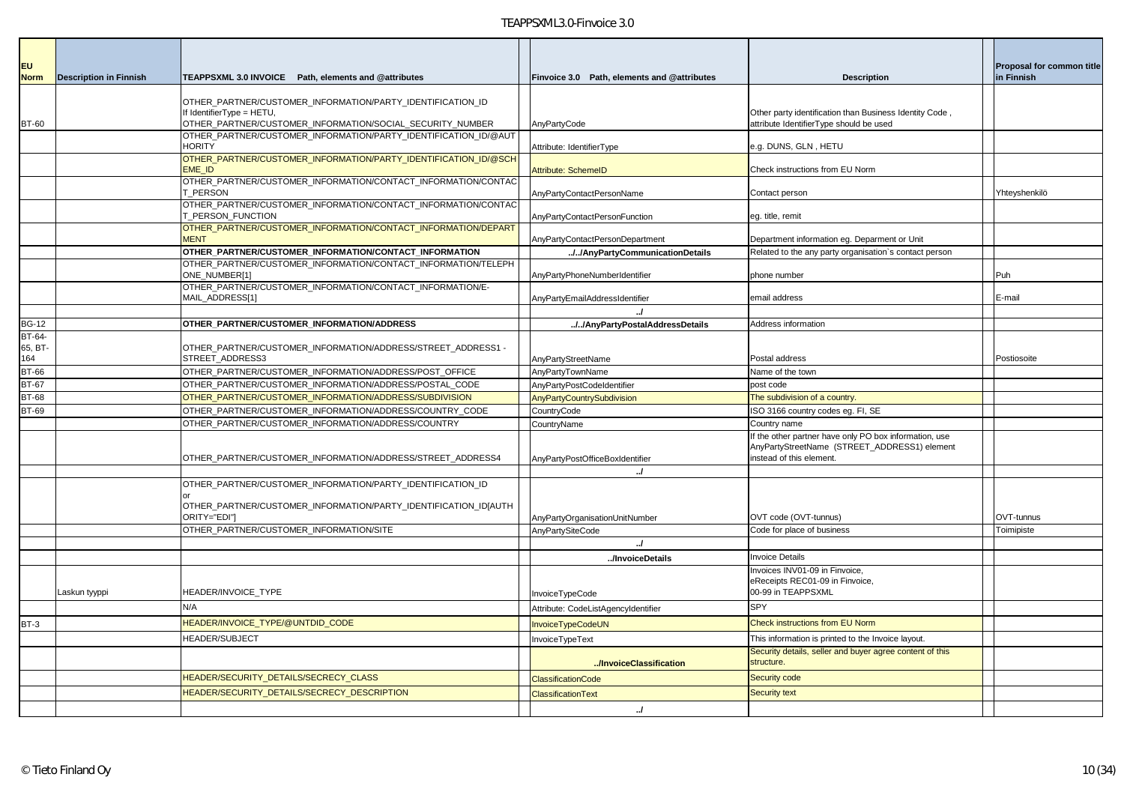| <b>EU</b>      |                               |                                                                                         |                                             |                                                                                                                                   |                                         |
|----------------|-------------------------------|-----------------------------------------------------------------------------------------|---------------------------------------------|-----------------------------------------------------------------------------------------------------------------------------------|-----------------------------------------|
| <b>Norm</b>    | <b>Description in Finnish</b> | TEAPPSXML 3.0 INVOICE Path, elements and @attributes                                    | Finvoice 3.0 Path, elements and @attributes | <b>Description</b>                                                                                                                | Proposal for common title<br>in Finnish |
|                |                               |                                                                                         |                                             |                                                                                                                                   |                                         |
|                |                               | OTHER PARTNER/CUSTOMER INFORMATION/PARTY IDENTIFICATION ID<br>If IdentifierType = HETU, |                                             | Other party identification than Business Identity Code,                                                                           |                                         |
| <b>BT-60</b>   |                               | OTHER_PARTNER/CUSTOMER_INFORMATION/SOCIAL_SECURITY_NUMBER                               | AnyPartyCode                                | attribute IdentifierType should be used                                                                                           |                                         |
|                |                               | OTHER PARTNER/CUSTOMER INFORMATION/PARTY IDENTIFICATION ID/@AUT                         |                                             |                                                                                                                                   |                                         |
|                |                               | <b>HORITY</b>                                                                           | Attribute: IdentifierType                   | e.g. DUNS, GLN, HETU                                                                                                              |                                         |
|                |                               | OTHER PARTNER/CUSTOMER INFORMATION/PARTY IDENTIFICATION ID/@SCH<br><b>EME ID</b>        | <b>Attribute: SchemelD</b>                  | Check instructions from EU Norm                                                                                                   |                                         |
|                |                               | OTHER PARTNER/CUSTOMER INFORMATION/CONTACT INFORMATION/CONTAC<br>T PERSON               | AnyPartyContactPersonName                   | Contact person                                                                                                                    | Yhteyshenkilö                           |
|                |                               | OTHER PARTNER/CUSTOMER INFORMATION/CONTACT INFORMATION/CONTAC                           |                                             |                                                                                                                                   |                                         |
|                |                               | T_PERSON_FUNCTION                                                                       | AnyPartyContactPersonFunction               | eg. title, remit                                                                                                                  |                                         |
|                |                               | OTHER PARTNER/CUSTOMER INFORMATION/CONTACT INFORMATION/DEPART<br><b>MENT</b>            | AnyPartyContactPersonDepartment             | Department information eg. Deparment or Unit                                                                                      |                                         |
|                |                               | OTHER_PARTNER/CUSTOMER_INFORMATION/CONTACT_INFORMATION                                  | //AnyPartyCommunicationDetails              | Related to the any party organisation's contact person                                                                            |                                         |
|                |                               | OTHER PARTNER/CUSTOMER INFORMATION/CONTACT INFORMATION/TELEPH                           |                                             |                                                                                                                                   |                                         |
|                |                               | ONE_NUMBER[1]                                                                           | AnyPartyPhoneNumberIdentifier               | phone number                                                                                                                      | Puh                                     |
|                |                               | OTHER PARTNER/CUSTOMER INFORMATION/CONTACT INFORMATION/E-<br>MAIL_ADDRESS[1]            | AnyPartyEmailAddressIdentifier              | email address                                                                                                                     | E-mail                                  |
|                |                               |                                                                                         | $\cdot$                                     |                                                                                                                                   |                                         |
| <b>BG-12</b>   |                               | OTHER PARTNER/CUSTOMER INFORMATION/ADDRESS                                              | //AnyPartyPostalAddressDetails              | Address information                                                                                                               |                                         |
| BT-64-         |                               |                                                                                         |                                             |                                                                                                                                   |                                         |
| 65, BT-<br>164 |                               | OTHER_PARTNER/CUSTOMER_INFORMATION/ADDRESS/STREET_ADDRESS1 -<br>STREET ADDRESS3         | AnyPartyStreetName                          | Postal address                                                                                                                    | Postiosoite                             |
| <b>BT-66</b>   |                               | OTHER_PARTNER/CUSTOMER_INFORMATION/ADDRESS/POST_OFFICE                                  | AnyPartyTownName                            | Name of the town                                                                                                                  |                                         |
| <b>BT-67</b>   |                               | OTHER_PARTNER/CUSTOMER_INFORMATION/ADDRESS/POSTAL_CODE                                  | AnyPartyPostCodeIdentifier                  | post code                                                                                                                         |                                         |
| <b>BT-68</b>   |                               | OTHER PARTNER/CUSTOMER INFORMATION/ADDRESS/SUBDIVISION                                  | <b>AnyPartyCountrySubdivision</b>           | The subdivision of a country.                                                                                                     |                                         |
| <b>BT-69</b>   |                               | OTHER_PARTNER/CUSTOMER_INFORMATION/ADDRESS/COUNTRY_CODE                                 | CountryCode                                 | ISO 3166 country codes eg. FI, SE                                                                                                 |                                         |
|                |                               | OTHER PARTNER/CUSTOMER INFORMATION/ADDRESS/COUNTRY                                      | CountryName                                 | Country name                                                                                                                      |                                         |
|                |                               | OTHER_PARTNER/CUSTOMER_INFORMATION/ADDRESS/STREET_ADDRESS4                              | AnyPartyPostOfficeBoxIdentifier             | If the other partner have only PO box information, use<br>AnyPartyStreetName (STREET_ADDRESS1) element<br>instead of this element |                                         |
|                |                               |                                                                                         | $\cdot$                                     |                                                                                                                                   |                                         |
|                |                               | OTHER_PARTNER/CUSTOMER_INFORMATION/PARTY_IDENTIFICATION_ID                              |                                             |                                                                                                                                   |                                         |
|                |                               | OTHER_PARTNER/CUSTOMER_INFORMATION/PARTY_IDENTIFICATION_ID[AUTH<br>ORITY="EDI"I         | AnyPartyOrganisationUnitNumber              | OVT code (OVT-tunnus)                                                                                                             | OVT-tunnus                              |
|                |                               | OTHER_PARTNER/CUSTOMER_INFORMATION/SITE                                                 | AnyPartySiteCode                            | Code for place of business                                                                                                        | Toimipiste                              |
|                |                               |                                                                                         | $\overline{J}$                              |                                                                                                                                   |                                         |
|                |                               |                                                                                         | /InvoiceDetails                             | <b>Invoice Details</b>                                                                                                            |                                         |
|                |                               |                                                                                         |                                             | Invoices INV01-09 in Finvoice,                                                                                                    |                                         |
|                | Laskun tyyppi                 | HEADER/INVOICE_TYPE                                                                     | InvoiceTypeCode                             | eReceipts REC01-09 in Finvoice,<br>00-99 in TEAPPSXML                                                                             |                                         |
|                |                               | N/A                                                                                     | Attribute: CodeListAgencyIdentifier         | <b>SPY</b>                                                                                                                        |                                         |
| $BT-3$         |                               | HEADER/INVOICE_TYPE/@UNTDID_CODE                                                        | InvoiceTypeCodeUN                           | <b>Check instructions from EU Norm</b>                                                                                            |                                         |
|                |                               | HEADER/SUBJECT                                                                          | InvoiceTypeText                             | This information is printed to the Invoice layout.                                                                                |                                         |
|                |                               |                                                                                         | /InvoiceClassification                      | Security details, seller and buyer agree content of this<br>structure.                                                            |                                         |
|                |                               | HEADER/SECURITY_DETAILS/SECRECY_CLASS                                                   | <b>ClassificationCode</b>                   | Security code                                                                                                                     |                                         |
|                |                               | HEADER/SECURITY_DETAILS/SECRECY_DESCRIPTION                                             | <b>ClassificationText</b>                   | <b>Security text</b>                                                                                                              |                                         |
|                |                               |                                                                                         | $\overline{a}$                              |                                                                                                                                   |                                         |
|                |                               |                                                                                         |                                             |                                                                                                                                   |                                         |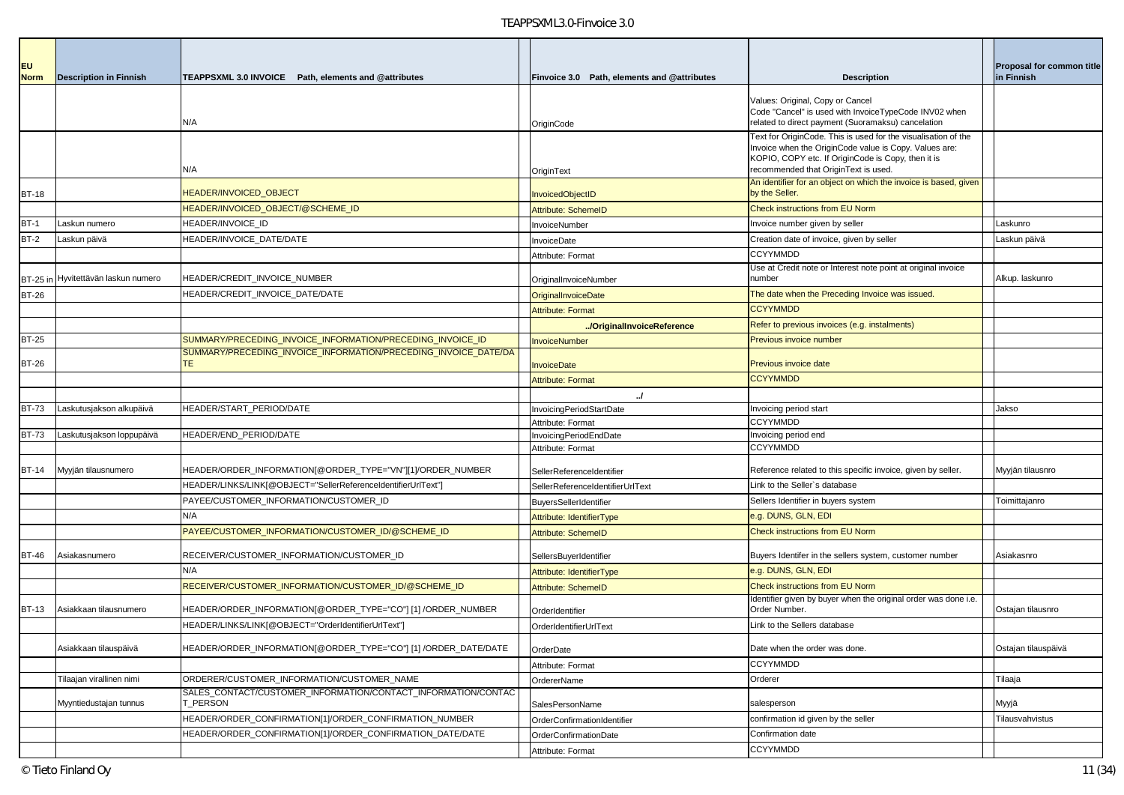| EU.          |                                     |                                                                          |                                             |                                                                                                                      | Proposal for common title |
|--------------|-------------------------------------|--------------------------------------------------------------------------|---------------------------------------------|----------------------------------------------------------------------------------------------------------------------|---------------------------|
| <b>Norm</b>  | <b>Description in Finnish</b>       | TEAPPSXML 3.0 INVOICE Path. elements and @attributes                     | Finvoice 3.0 Path, elements and @attributes | <b>Description</b>                                                                                                   | in Finnish                |
|              |                                     |                                                                          |                                             | Values: Original, Copy or Cancel                                                                                     |                           |
|              |                                     |                                                                          |                                             | Code "Cancel" is used with InvoiceTypeCode INV02 when                                                                |                           |
|              |                                     | N/A                                                                      | OriginCode                                  | related to direct payment (Suoramaksu) cancelation<br>Text for OriginCode. This is used for the visualisation of the |                           |
|              |                                     |                                                                          |                                             | Invoice when the OriginCode value is Copy. Values are:                                                               |                           |
|              |                                     |                                                                          |                                             | KOPIO, COPY etc. If OriginCode is Copy, then it is                                                                   |                           |
|              |                                     | N/A                                                                      | OriginText                                  | recommended that OriginText is used.<br>An identifier for an object on which the invoice is based, given             |                           |
| <b>BT-18</b> |                                     | <b>HEADER/INVOICED OBJECT</b>                                            | <b>InvoicedObjectID</b>                     | by the Seller.                                                                                                       |                           |
|              |                                     | HEADER/INVOICED_OBJECT/@SCHEME_ID                                        | <b>Attribute: SchemeID</b>                  | <b>Check instructions from EU Norm</b>                                                                               |                           |
| $BT-1$       | Laskun numero                       | HEADER/INVOICE_ID                                                        | InvoiceNumber                               | Invoice number given by seller                                                                                       | Laskunro                  |
| $BT-2$       | Laskun päivä                        | HEADER/INVOICE DATE/DATE                                                 | InvoiceDate                                 | Creation date of invoice, given by seller                                                                            | Laskun päivä              |
|              |                                     |                                                                          | Attribute: Format                           | <b>CCYYMMDD</b>                                                                                                      |                           |
|              |                                     |                                                                          |                                             | Use at Credit note or Interest note point at original invoice                                                        |                           |
|              | BT-25 in Hyvitettävän laskun numero | HEADER/CREDIT_INVOICE_NUMBER                                             | OriginalInvoiceNumber                       | number                                                                                                               | Alkup. laskunro           |
| <b>BT-26</b> |                                     | HEADER/CREDIT_INVOICE_DATE/DATE                                          | OriginalInvoiceDate                         | The date when the Preceding Invoice was issued.                                                                      |                           |
|              |                                     |                                                                          | <b>Attribute: Format</b>                    | <b>CCYYMMDD</b>                                                                                                      |                           |
|              |                                     |                                                                          | /OriginalInvoiceReference                   | Refer to previous invoices (e.g. instalments)                                                                        |                           |
| <b>BT-25</b> |                                     | SUMMARY/PRECEDING_INVOICE_INFORMATION/PRECEDING_INVOICE_ID               | <b>InvoiceNumber</b>                        | <b>Previous invoice number</b>                                                                                       |                           |
| BT-26        |                                     | SUMMARY/PRECEDING_INVOICE_INFORMATION/PRECEDING_INVOICE_DATE/DA<br>ГE.   | nvoiceDate                                  | <b>Previous invoice date</b>                                                                                         |                           |
|              |                                     |                                                                          | <b>Attribute: Format</b>                    | <b>CCYYMMDD</b>                                                                                                      |                           |
|              |                                     |                                                                          | $\cdot$                                     |                                                                                                                      |                           |
| <b>BT-73</b> | Laskutusjakson alkupäivä            | HEADER/START_PERIOD/DATE                                                 | InvoicingPeriodStartDate                    | Invoicing period start                                                                                               | Jakso                     |
|              |                                     |                                                                          | Attribute: Format                           | <b>CCYYMMDD</b>                                                                                                      |                           |
| <b>BT-73</b> | Laskutusjakson loppupäivä           | HEADER/END_PERIOD/DATE                                                   | InvoicingPeriodEndDate                      | Invoicing period end                                                                                                 |                           |
|              |                                     |                                                                          | Attribute: Format                           | <b>CCYYMMDD</b>                                                                                                      |                           |
| BT-14        | Myyjän tilausnumero                 | HEADER/ORDER_INFORMATION[@ORDER_TYPE="VN"][1]/ORDER_NUMBER               | SellerReferenceIdentifier                   | Reference related to this specific invoice, given by seller.                                                         | Myyjän tilausnro          |
|              |                                     | HEADER/LINKS/LINK[@OBJECT="SellerReferenceIdentifierUrlText"]            | SellerReferenceIdentifierUrlText            | Link to the Seller's database                                                                                        |                           |
|              |                                     | PAYEE/CUSTOMER_INFORMATION/CUSTOMER_ID                                   | BuyersSellerIdentifier                      | Sellers Identifier in buyers system                                                                                  | Toimittajanro             |
|              |                                     | N/A                                                                      | Attribute: IdentifierType                   | e.g. DUNS, GLN, EDI                                                                                                  |                           |
|              |                                     | PAYEE/CUSTOMER_INFORMATION/CUSTOMER_ID/@SCHEME_ID                        | Attribute: SchemeID                         | <b>Check instructions from EU Norm</b>                                                                               |                           |
| BT-46        | Asiakasnumero                       | RECEIVER/CUSTOMER_INFORMATION/CUSTOMER_ID                                | SellersBuyerIdentifier                      | Buyers Identifer in the sellers system, customer number                                                              | Asiakasnro                |
|              |                                     | N/A                                                                      | Attribute: IdentifierType                   | e.g. DUNS, GLN, EDI                                                                                                  |                           |
|              |                                     | RECEIVER/CUSTOMER INFORMATION/CUSTOMER ID/@SCHEME ID                     | <b>Attribute: SchemeID</b>                  | <b>Check instructions from EU Norm</b>                                                                               |                           |
| <b>BT-13</b> | Asiakkaan tilausnumero              | HEADER/ORDER_INFORMATION[@ORDER_TYPE="CO"] [1] /ORDER_NUMBER             |                                             | Identifier given by buyer when the original order was done i.e.<br>Order Number.                                     | Ostajan tilausnro         |
|              |                                     | HEADER/LINKS/LINK[@OBJECT="OrderIdentifierUrlText"]                      | OrderIdentifier<br>OrderIdentifierUrlText   | Link to the Sellers database                                                                                         |                           |
|              |                                     |                                                                          |                                             |                                                                                                                      |                           |
|              | Asiakkaan tilauspäivä               | HEADER/ORDER_INFORMATION[@ORDER_TYPE="CO"] [1] /ORDER_DATE/DATE          | OrderDate                                   | Date when the order was done.                                                                                        | Ostajan tilauspäivä       |
|              |                                     |                                                                          | Attribute: Format                           | <b>CCYYMMDD</b>                                                                                                      |                           |
|              | Tilaajan virallinen nimi            | ORDERER/CUSTOMER_INFORMATION/CUSTOMER_NAME                               | OrdererName                                 | Orderer                                                                                                              | Tilaaja                   |
|              | Myyntiedustajan tunnus              | SALES CONTACT/CUSTOMER INFORMATION/CONTACT INFORMATION/CONTAC<br>LPERSON | SalesPersonName                             | salesperson                                                                                                          | Myyjä                     |
|              |                                     | HEADER/ORDER_CONFIRMATION[1]/ORDER_CONFIRMATION_NUMBER                   | OrderConfirmationIdentifier                 | confirmation id given by the seller                                                                                  | Tilausvahvistus           |
|              |                                     | HEADER/ORDER_CONFIRMATION[1]/ORDER_CONFIRMATION_DATE/DATE                | OrderConfirmationDate                       | Confirmation date                                                                                                    |                           |
|              |                                     |                                                                          | Attribute: Format                           | <b>CCYYMMDD</b>                                                                                                      |                           |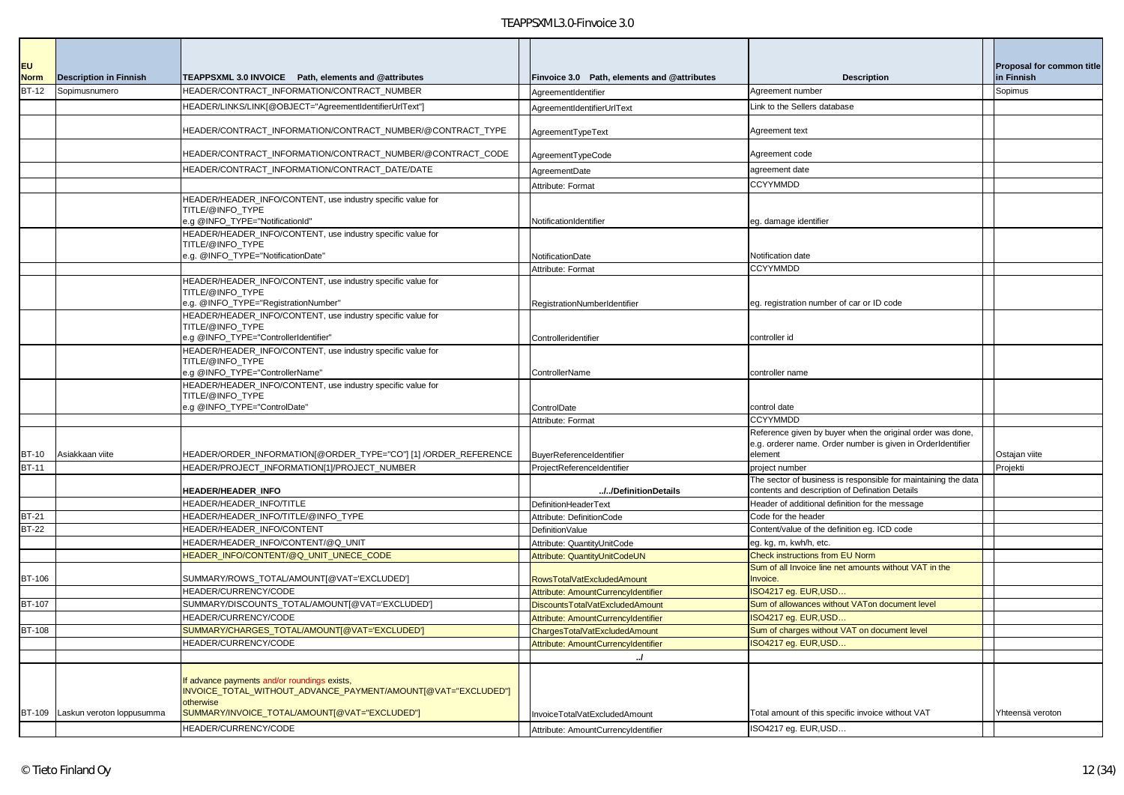| EU<br><b>Norm</b> | <b>Description in Finnish</b>    | TEAPPSXML 3.0 INVOICE Path, elements and @attributes                  | Finvoice 3.0 Path, elements and @attributes                          | <b>Description</b>                                                                                               | Proposal for common title<br>in Finnish |
|-------------------|----------------------------------|-----------------------------------------------------------------------|----------------------------------------------------------------------|------------------------------------------------------------------------------------------------------------------|-----------------------------------------|
| <b>BT-12</b>      | Sopimusnumero                    | HEADER/CONTRACT_INFORMATION/CONTRACT_NUMBER                           | AgreementIdentifier                                                  | Agreement number                                                                                                 | Sopimus                                 |
|                   |                                  | HEADER/LINKS/LINK[@OBJECT="AgreementIdentifierUrlText"]               | AgreementIdentifierUrlText                                           | Link to the Sellers database                                                                                     |                                         |
|                   |                                  |                                                                       |                                                                      |                                                                                                                  |                                         |
|                   |                                  | HEADER/CONTRACT_INFORMATION/CONTRACT_NUMBER/@CONTRACT_TYPE            | AgreementTypeText                                                    | Agreement text                                                                                                   |                                         |
|                   |                                  | HEADER/CONTRACT_INFORMATION/CONTRACT_NUMBER/@CONTRACT_CODE            | AgreementTypeCode                                                    | Agreement code                                                                                                   |                                         |
|                   |                                  | HEADER/CONTRACT_INFORMATION/CONTRACT_DATE/DATE                        | AgreementDate                                                        | agreement date                                                                                                   |                                         |
|                   |                                  |                                                                       | Attribute: Format                                                    | <b>CCYYMMDD</b>                                                                                                  |                                         |
|                   |                                  | HEADER/HEADER_INFO/CONTENT, use industry specific value for           |                                                                      |                                                                                                                  |                                         |
|                   |                                  | TITLE/@INFO_TYPE                                                      |                                                                      |                                                                                                                  |                                         |
|                   |                                  | e.g @INFO_TYPE="NotificationId"                                       | NotificationIdentifier                                               | eg. damage identifier                                                                                            |                                         |
|                   |                                  | HEADER/HEADER_INFO/CONTENT, use industry specific value for           |                                                                      |                                                                                                                  |                                         |
|                   |                                  | TITLE/@INFO_TYPE<br>e.g. @INFO_TYPE="NotificationDate"                | NotificationDate                                                     | Notification date                                                                                                |                                         |
|                   |                                  |                                                                       | Attribute: Format                                                    | <b>CCYYMMDD</b>                                                                                                  |                                         |
|                   |                                  | HEADER/HEADER_INFO/CONTENT, use industry specific value for           |                                                                      |                                                                                                                  |                                         |
|                   |                                  | TITLE/@INFO TYPE                                                      |                                                                      |                                                                                                                  |                                         |
|                   |                                  | e.g. @INFO_TYPE="RegistrationNumber"                                  | RegistrationNumberIdentifier                                         | eg. registration number of car or ID code                                                                        |                                         |
|                   |                                  | HEADER/HEADER_INFO/CONTENT, use industry specific value for           |                                                                      |                                                                                                                  |                                         |
|                   |                                  | TITLE/@INFO_TYPE<br>e.g @INFO TYPE="ControllerIdentifier"             | Controlleridentifier                                                 | controller id                                                                                                    |                                         |
|                   |                                  | HEADER/HEADER INFO/CONTENT, use industry specific value for           |                                                                      |                                                                                                                  |                                         |
|                   |                                  | TITLE/@INFO TYPE                                                      |                                                                      |                                                                                                                  |                                         |
|                   |                                  | e.g @INFO_TYPE="ControllerName"                                       | ControllerName                                                       | controller name                                                                                                  |                                         |
|                   |                                  | HEADER/HEADER_INFO/CONTENT, use industry specific value for           |                                                                      |                                                                                                                  |                                         |
|                   |                                  | TITLE/@INFO TYPE<br>e.g @INFO_TYPE="ControlDate"                      | ControlDate                                                          | control date                                                                                                     |                                         |
|                   |                                  |                                                                       | Attribute: Format                                                    | <b>CCYYMMDD</b>                                                                                                  |                                         |
|                   |                                  |                                                                       |                                                                      | Reference given by buyer when the original order was done,                                                       |                                         |
|                   |                                  |                                                                       |                                                                      | e.g. orderer name. Order number is given in Orderldentifier                                                      |                                         |
| <b>BT-10</b>      | Asiakkaan viite                  | HEADER/ORDER_INFORMATION[@ORDER_TYPE="CO"] [1] /ORDER_REFERENCE       | BuyerReferenceIdentifier                                             | element                                                                                                          | Ostajan viite                           |
| <b>BT-11</b>      |                                  | HEADER/PROJECT_INFORMATION[1]/PROJECT_NUMBER                          | ProjectReferenceIdentifier                                           | project number                                                                                                   | Projekti                                |
|                   |                                  | <b>HEADER/HEADER_INFO</b>                                             | //DefinitionDetails                                                  | The sector of business is responsible for maintaining the data<br>contents and description of Defination Details |                                         |
|                   |                                  | HEADER/HEADER_INFO/TITLE                                              | DefinitionHeaderText                                                 | Header of additional definition for the message                                                                  |                                         |
| <b>BT-21</b>      |                                  | HEADER/HEADER_INFO/TITLE/@INFO_TYPE                                   | Attribute: DefinitionCode                                            | Code for the header                                                                                              |                                         |
| <b>BT-22</b>      |                                  | HEADER/HEADER_INFO/CONTENT                                            | DefinitionValue                                                      | Content/value of the definition eg. ICD code                                                                     |                                         |
|                   |                                  | HEADER/HEADER_INFO/CONTENT/@Q_UNIT                                    | Attribute: QuantityUnitCode                                          | eg. kg, m, kwh/h, etc.                                                                                           |                                         |
|                   |                                  | HEADER_INFO/CONTENT/@Q_UNIT_UNECE_CODE                                | Attribute: QuantityUnitCodeUN                                        | Check instructions from EU Norm                                                                                  |                                         |
|                   |                                  |                                                                       |                                                                      | Sum of all Invoice line net amounts without VAT in the                                                           |                                         |
| BT-106            |                                  | SUMMARY/ROWS_TOTAL/AMOUNT[@VAT='EXCLUDED']                            | RowsTotalVatExcludedAmount                                           | Invoice.                                                                                                         |                                         |
|                   |                                  | HEADER/CURRENCY/CODE                                                  | Attribute: AmountCurrencyIdentifier                                  | ISO4217 eg. EUR, USD                                                                                             |                                         |
| <b>BT-107</b>     |                                  | SUMMARY/DISCOUNTS_TOTAL/AMOUNT[@VAT='EXCLUDED']                       | DiscountsTotalVatExcludedAmount                                      | Sum of allowances without VATon document level                                                                   |                                         |
| <b>BT-108</b>     |                                  | HEADER/CURRENCY/CODE<br>SUMMARY/CHARGES_TOTAL/AMOUNT[@VAT='EXCLUDED'] | Attribute: AmountCurrencyIdentifier<br>ChargesTotalVatExcludedAmount | SO4217 eg. EUR,USD<br>Sum of charges without VAT on document level                                               |                                         |
|                   |                                  | HEADER/CURRENCY/CODE                                                  | Attribute: AmountCurrencyIdentifier                                  | ISO4217 eg. EUR, USD                                                                                             |                                         |
|                   |                                  |                                                                       | $\overline{a}$                                                       |                                                                                                                  |                                         |
|                   |                                  |                                                                       |                                                                      |                                                                                                                  |                                         |
|                   |                                  | If advance payments and/or roundings exists,                          |                                                                      |                                                                                                                  |                                         |
|                   |                                  | INVOICE TOTAL WITHOUT ADVANCE PAYMENT/AMOUNT[@VAT="EXCLUDED"]         |                                                                      |                                                                                                                  |                                         |
|                   | BT-109 Laskun veroton loppusumma | otherwise<br>SUMMARY/INVOICE_TOTAL/AMOUNT[@VAT="EXCLUDED"]            |                                                                      | Total amount of this specific invoice without VAT                                                                | Yhteensä veroton                        |
|                   |                                  |                                                                       | InvoiceTotalVatExcludedAmount                                        |                                                                                                                  |                                         |
|                   |                                  | HEADER/CURRENCY/CODE                                                  | Attribute: AmountCurrencyIdentifier                                  | ISO4217 eg. EUR,USD                                                                                              |                                         |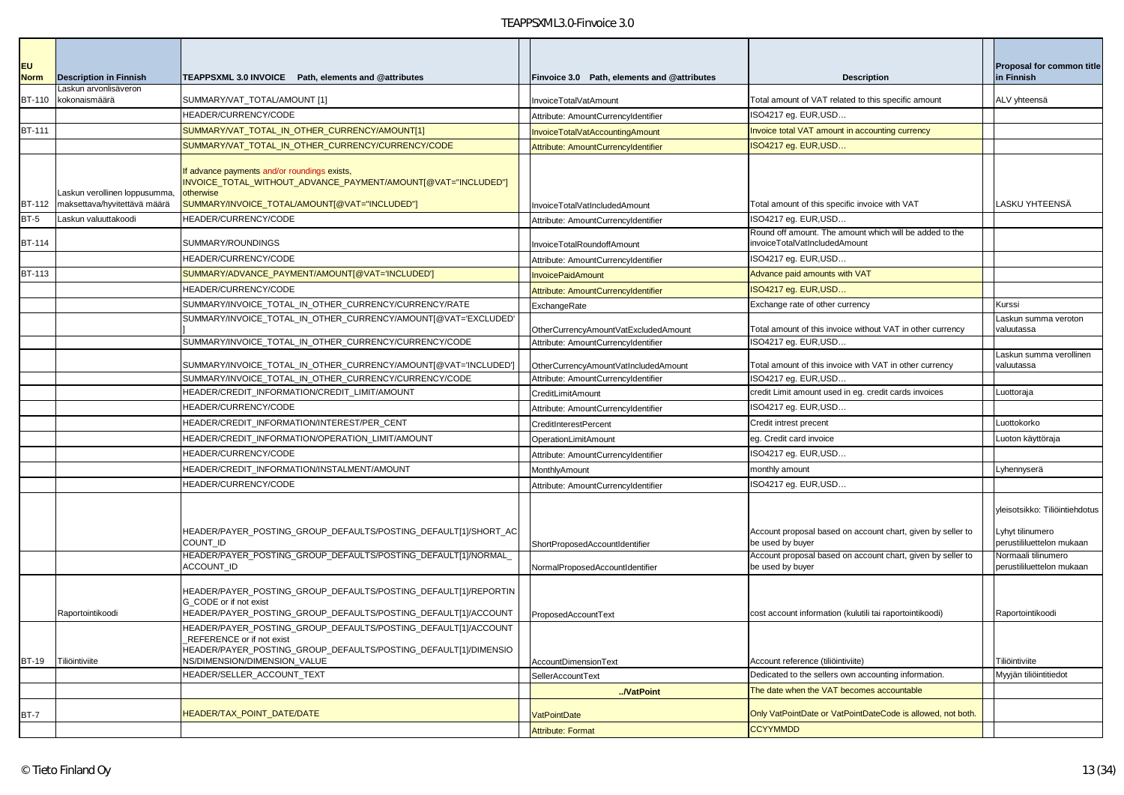| <b>EU</b><br><b>Norm</b> | <b>Description in Finnish</b>                                 | TEAPPSXML 3.0 INVOICE Path, elements and @attributes                                                                                                                        | Finvoice 3.0 Path, elements and @attributes | <b>Description</b>                                                                       | Proposal for common title<br>in Finnish          |
|--------------------------|---------------------------------------------------------------|-----------------------------------------------------------------------------------------------------------------------------------------------------------------------------|---------------------------------------------|------------------------------------------------------------------------------------------|--------------------------------------------------|
| BT-110                   | Laskun arvonlisäveron<br>kokonaismäärä                        | SUMMARY/VAT_TOTAL/AMOUNT [1]                                                                                                                                                | InvoiceTotalVatAmount                       | Total amount of VAT related to this specific amount                                      | ALV yhteensä                                     |
|                          |                                                               | HEADER/CURRENCY/CODE                                                                                                                                                        | Attribute: AmountCurrencyIdentifier         | ISO4217 eg. EUR, USD                                                                     |                                                  |
| <b>BT-111</b>            |                                                               | SUMMARY/VAT_TOTAL_IN_OTHER_CURRENCY/AMOUNT[1]                                                                                                                               | InvoiceTotalVatAccountingAmount             | Invoice total VAT amount in accounting currency                                          |                                                  |
|                          |                                                               | SUMMARY/VAT_TOTAL_IN_OTHER_CURRENCY/CURRENCY/CODE                                                                                                                           | Attribute: AmountCurrencyIdentifier         | ISO4217 eg. EUR, USD.                                                                    |                                                  |
| BT-112                   | Laskun verollinen loppusumma,<br>maksettava/hyvitettävä määrä | If advance payments and/or roundings exists,<br>INVOICE_TOTAL_WITHOUT_ADVANCE_PAYMENT/AMOUNT[@VAT="INCLUDED"]<br>otherwise<br>SUMMARY/INVOICE_TOTAL/AMOUNT[@VAT="INCLUDED"] | InvoiceTotalVatIncludedAmount               | Total amount of this specific invoice with VAT                                           | LASKU YHTEENSÄ                                   |
| $BT-5$                   | askun valuuttakoodi                                           | HEADER/CURRENCY/CODE                                                                                                                                                        | Attribute: AmountCurrencyIdentifier         | ISO4217 eq. EUR, USD                                                                     |                                                  |
| <b>BT-114</b>            |                                                               | SUMMARY/ROUNDINGS                                                                                                                                                           | InvoiceTotalRoundoffAmount                  | Round off amount. The amount which will be added to the<br>invoiceTotalVatIncludedAmount |                                                  |
|                          |                                                               | HEADER/CURRENCY/CODE                                                                                                                                                        | Attribute: AmountCurrencyIdentifier         | ISO4217 eg. EUR, USD                                                                     |                                                  |
| BT-113                   |                                                               | SUMMARY/ADVANCE_PAYMENT/AMOUNT[@VAT='INCLUDED']                                                                                                                             | <b>InvoicePaidAmount</b>                    | Advance paid amounts with VAT                                                            |                                                  |
|                          |                                                               | HEADER/CURRENCY/CODE                                                                                                                                                        | Attribute: AmountCurrencyIdentifier         | ISO4217 eg. EUR, USD.                                                                    |                                                  |
|                          |                                                               | SUMMARY/INVOICE TOTAL IN OTHER CURRENCY/CURRENCY/RATE                                                                                                                       | ExchangeRate                                | Exchange rate of other currency                                                          | Kurssi                                           |
|                          |                                                               | SUMMARY/INVOICE_TOTAL_IN_OTHER_CURRENCY/AMOUNT[@VAT='EXCLUDED                                                                                                               | OtherCurrencyAmountVatExcludedAmount        | Total amount of this invoice without VAT in other currency                               | askun summa veroton<br>valuutassa                |
|                          |                                                               | SUMMARY/INVOICE_TOTAL_IN_OTHER_CURRENCY/CURRENCY/CODE                                                                                                                       | Attribute: AmountCurrencyIdentifier         | ISO4217 eg. EUR, USD                                                                     |                                                  |
|                          |                                                               | SUMMARY/INVOICE TOTAL IN OTHER CURRENCY/AMOUNT[@VAT='INCLUDED']                                                                                                             | OtherCurrencyAmountVatIncludedAmount        | Total amount of this invoice with VAT in other currency                                  | askun summa verollinen<br>valuutassa             |
|                          |                                                               | SUMMARY/INVOICE_TOTAL_IN_OTHER_CURRENCY/CURRENCY/CODE                                                                                                                       | Attribute: AmountCurrencyIdentifier         | ISO4217 eg. EUR,USD.                                                                     |                                                  |
|                          |                                                               | HEADER/CREDIT_INFORMATION/CREDIT_LIMIT/AMOUNT                                                                                                                               | CreditLimitAmount                           | credit Limit amount used in eg. credit cards invoices                                    | Luottoraja                                       |
|                          |                                                               | HEADER/CURRENCY/CODE                                                                                                                                                        | Attribute: AmountCurrencyIdentifier         | ISO4217 eg. EUR, USD                                                                     |                                                  |
|                          |                                                               | HEADER/CREDIT INFORMATION/INTEREST/PER CENT                                                                                                                                 | CreditInterestPercent                       | Credit intrest precent                                                                   | Luottokorko                                      |
|                          |                                                               | HEADER/CREDIT_INFORMATION/OPERATION_LIMIT/AMOUNT                                                                                                                            | <b>OperationLimitAmount</b>                 | eg. Credit card invoice                                                                  | Luoton käyttöraja                                |
|                          |                                                               | HEADER/CURRENCY/CODE                                                                                                                                                        | Attribute: AmountCurrencyIdentifier         | ISO4217 eg. EUR,USD                                                                      |                                                  |
|                          |                                                               | HEADER/CREDIT_INFORMATION/INSTALMENT/AMOUNT                                                                                                                                 | MonthlyAmount                               | monthly amount                                                                           | Lyhennyserä                                      |
|                          |                                                               | HEADER/CURRENCY/CODE                                                                                                                                                        | Attribute: AmountCurrencyIdentifier         | ISO4217 eg. EUR,USD                                                                      |                                                  |
|                          |                                                               |                                                                                                                                                                             |                                             |                                                                                          | yleisotsikko: Tiliöintiehdotus                   |
|                          |                                                               | HEADER/PAYER_POSTING_GROUP_DEFAULTS/POSTING_DEFAULT[1]/SHORT_AC<br>COUNT_ID                                                                                                 | ShortProposedAccountIdentifier              | Account proposal based on account chart, given by seller to<br>be used by buyer          | Lyhyt tilinumero<br>perustililuettelon mukaan    |
|                          |                                                               | HEADER/PAYER_POSTING_GROUP_DEFAULTS/POSTING_DEFAULT[1]/NORMAL_<br>ACCOUNT_ID                                                                                                | NormalProposedAccountIdentifier             | Account proposal based on account chart, given by seller to<br>be used by buyer          | Normaali tilinumero<br>perustililuettelon mukaan |
|                          |                                                               | HEADER/PAYER_POSTING_GROUP_DEFAULTS/POSTING_DEFAULT[1]/REPORTIN<br>G CODE or if not exist                                                                                   |                                             |                                                                                          |                                                  |
|                          | Raportointikoodi                                              | HEADER/PAYER_POSTING_GROUP_DEFAULTS/POSTING_DEFAULT[1]/ACCOUNT                                                                                                              | ProposedAccountText                         | cost account information (kulutili tai raportointikoodi)                                 | Raportointikoodi                                 |
|                          |                                                               | HEADER/PAYER_POSTING_GROUP_DEFAULTS/POSTING_DEFAULT[1]/ACCOUNT<br>REFERENCE or if not exist<br>HEADER/PAYER_POSTING_GROUP_DEFAULTS/POSTING_DEFAULT[1]/DIMENSIO              |                                             |                                                                                          |                                                  |
| <b>BT-19</b>             | Tiliöintiviite                                                | NS/DIMENSION/DIMENSION VALUE                                                                                                                                                | <b>AccountDimensionText</b>                 | Account reference (tiliöintiviite)                                                       | Tiliöintiviite                                   |
|                          |                                                               | HEADER/SELLER ACCOUNT TEXT                                                                                                                                                  | SellerAccountText                           | Dedicated to the sellers own accounting information.                                     | Myyjän tiliöintitiedot                           |
|                          |                                                               |                                                                                                                                                                             | /VatPoint                                   | The date when the VAT becomes accountable                                                |                                                  |
| BT-7                     |                                                               | HEADER/TAX_POINT_DATE/DATE                                                                                                                                                  | <b>VatPointDate</b>                         | Only VatPointDate or VatPointDateCode is allowed, not both                               |                                                  |
|                          |                                                               |                                                                                                                                                                             | <b>Attribute: Format</b>                    | <b>CCYYMMDD</b>                                                                          |                                                  |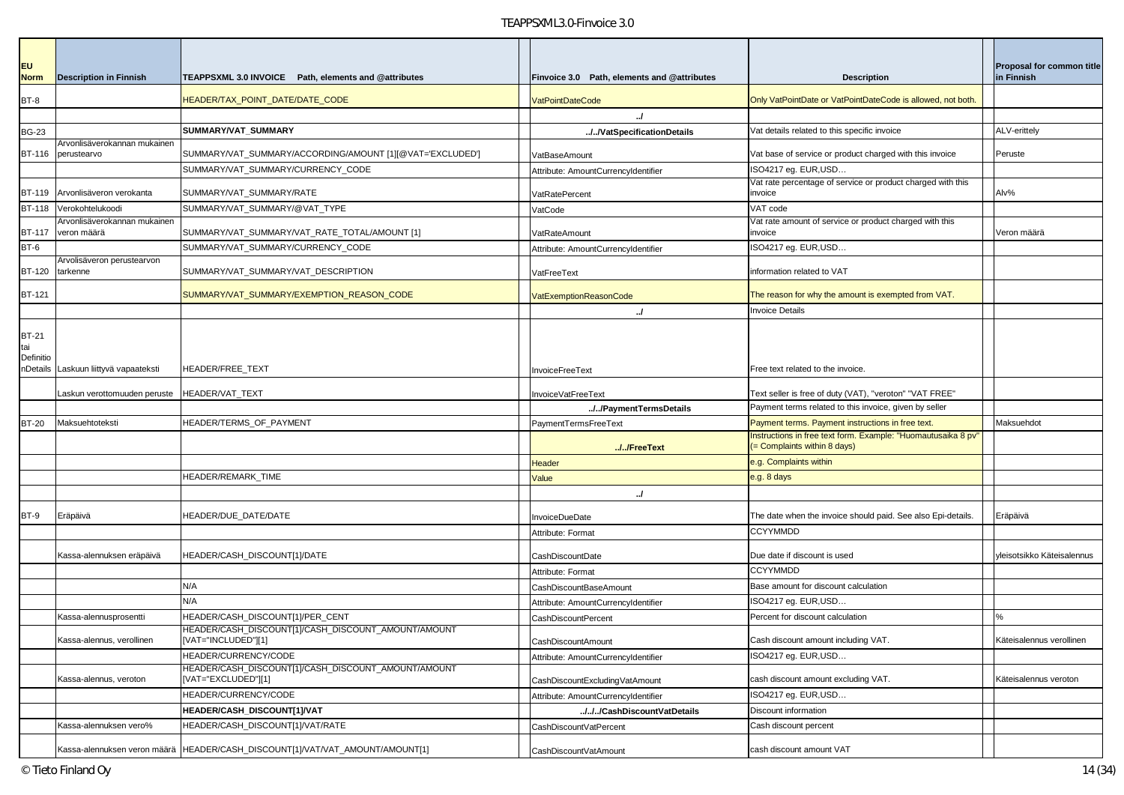| <b>EU</b><br><b>Norm</b>         | <b>Description in Finnish</b>               | TEAPPSXML 3.0 INVOICE Path, elements and @attributes                          | Finvoice 3.0 Path, elements and @attributes | <b>Description</b>                                                                          | Proposal for common title<br>in Finnish |
|----------------------------------|---------------------------------------------|-------------------------------------------------------------------------------|---------------------------------------------|---------------------------------------------------------------------------------------------|-----------------------------------------|
| BT-8                             |                                             | HEADER/TAX_POINT_DATE/DATE_CODE                                               | <b>VatPointDateCode</b>                     | Only VatPointDate or VatPointDateCode is allowed, not both.                                 |                                         |
|                                  |                                             |                                                                               | /                                           |                                                                                             |                                         |
| <b>BG-23</b>                     |                                             | SUMMARY/VAT SUMMARY                                                           | //VatSpecificationDetails                   | Vat details related to this specific invoice                                                | ALV-erittely                            |
| BT-116                           | Arvonlisäverokannan mukainen<br>perustearvo | SUMMARY/VAT_SUMMARY/ACCORDING/AMOUNT [1][@VAT='EXCLUDED']                     | VatBaseAmount                               | Vat base of service or product charged with this invoice                                    | Peruste                                 |
|                                  |                                             | SUMMARY/VAT_SUMMARY/CURRENCY_CODE                                             | Attribute: AmountCurrencyIdentifier         | ISO4217 eg. EUR, USD                                                                        |                                         |
| <b>BT-119</b>                    | Arvonlisäveron verokanta                    | SUMMARY/VAT_SUMMARY/RATE                                                      | VatRatePercent                              | Vat rate percentage of service or product charged with this<br>invoice                      | Alv%                                    |
| <b>BT-118</b>                    | Verokohtelukoodi                            | SUMMARY/VAT_SUMMARY/@VAT_TYPE                                                 | VatCode                                     | VAT code                                                                                    |                                         |
| <b>BT-117</b>                    | Arvonlisäverokannan mukainen<br>veron määrä | SUMMARY/VAT_SUMMARY/VAT_RATE_TOTAL/AMOUNT [1]                                 | VatRateAmount                               | Vat rate amount of service or product charged with this<br>invoice                          | Veron määrä                             |
| BT-6                             |                                             | SUMMARY/VAT_SUMMARY/CURRENCY_CODE                                             | Attribute: AmountCurrencyIdentifier         | ISO4217 eg. EUR, USD                                                                        |                                         |
| <b>BT-120</b>                    | Arvolisäveron perustearvon<br>tarkenne      | SUMMARY/VAT_SUMMARY/VAT_DESCRIPTION                                           | VatFreeText                                 | information related to VAT                                                                  |                                         |
| <b>BT-121</b>                    |                                             | SUMMARY/VAT_SUMMARY/EXEMPTION_REASON_CODE                                     | <b>VatExemptionReasonCode</b>               | The reason for why the amount is exempted from VAT.                                         |                                         |
|                                  |                                             |                                                                               | $\cdot$                                     | nvoice Details                                                                              |                                         |
|                                  |                                             |                                                                               |                                             |                                                                                             |                                         |
| <b>BT-21</b><br>tai<br>Definitio | nDetails Laskuun liittyvä vapaateksti       | HEADER/FREE_TEXT                                                              | InvoiceFreeText                             | Free text related to the invoice.                                                           |                                         |
|                                  | Laskun verottomuuden peruste                | <b>HEADER/VAT TEXT</b>                                                        | InvoiceVatFreeText                          | Text seller is free of duty (VAT), "veroton" "VAT FREE"                                     |                                         |
|                                  |                                             |                                                                               | //PaymentTermsDetails                       | Payment terms related to this invoice, given by seller                                      |                                         |
| <b>BT-20</b>                     | Maksuehtoteksti                             | HEADER/TERMS_OF_PAYMENT                                                       | PaymentTermsFreeText                        | Payment terms. Payment instructions in free text.                                           | Maksuehdot                              |
|                                  |                                             |                                                                               | //FreeText                                  | nstructions in free text form. Example: "Huomautusaika 8 pv"<br>= Complaints within 8 days) |                                         |
|                                  |                                             |                                                                               | Header                                      | e.g. Complaints within                                                                      |                                         |
|                                  |                                             | HEADER/REMARK TIME                                                            | Value                                       | e.g. 8 days                                                                                 |                                         |
|                                  |                                             |                                                                               | $\cdot$                                     |                                                                                             |                                         |
|                                  |                                             |                                                                               |                                             |                                                                                             |                                         |
| BT-9                             | Eräpäivä                                    | HEADER/DUE_DATE/DATE                                                          | <b>InvoiceDueDate</b>                       | The date when the invoice should paid. See also Epi-details.                                | Eräpäivä                                |
|                                  |                                             |                                                                               | Attribute: Format                           | <b>CCYYMMDD</b>                                                                             |                                         |
|                                  | Kassa-alennuksen eräpäivä                   | HEADER/CASH_DISCOUNT[1]/DATE                                                  | CashDiscountDate                            | Due date if discount is used                                                                | yleisotsikko Käteisalennus              |
|                                  |                                             |                                                                               | Attribute: Format                           | <b>CCYYMMDD</b>                                                                             |                                         |
|                                  |                                             | N/A                                                                           | CashDiscountBaseAmount                      | Base amount for discount calculation                                                        |                                         |
|                                  |                                             | N/A                                                                           | Attribute: AmountCurrencyIdentifier         | ISO4217 eg. EUR, USD                                                                        |                                         |
|                                  | Kassa-alennusprosentti                      | HEADER/CASH_DISCOUNT[1]/PER_CENT                                              | <b>CashDiscountPercent</b>                  | Percent for discount calculation                                                            |                                         |
|                                  | Kassa-alennus, verollinen                   | HEADER/CASH_DISCOUNT[1]/CASH_DISCOUNT_AMOUNT/AMOUNT<br>[VAT="INCLUDED"][1]    | CashDiscountAmount                          | Cash discount amount including VAT.                                                         | Käteisalennus verollinen                |
|                                  |                                             | HEADER/CURRENCY/CODE                                                          | Attribute: AmountCurrencyIdentifier         | ISO4217 eg. EUR, USD                                                                        |                                         |
|                                  | Kassa-alennus, veroton                      | HEADER/CASH_DISCOUNT[1]/CASH_DISCOUNT_AMOUNT/AMOUNT<br>[VAT="EXCLUDED"][1]    | CashDiscountExcludingVatAmount              | cash discount amount excluding VAT.                                                         | Käteisalennus veroton                   |
|                                  |                                             | HEADER/CURRENCY/CODE                                                          | Attribute: AmountCurrencyIdentifier         | ISO4217 eg. EUR,USD                                                                         |                                         |
|                                  |                                             | HEADER/CASH DISCOUNT[1]/VAT                                                   | ///CashDiscountVatDetails                   | Discount information                                                                        |                                         |
|                                  | Kassa-alennuksen vero%                      | HEADER/CASH_DISCOUNT[1]/VAT/RATE                                              | CashDiscountVatPercent                      | Cash discount percent                                                                       |                                         |
|                                  |                                             | Kassa-alennuksen veron määrä HEADER/CASH_DISCOUNT[1]/VAT/VAT_AMOUNT/AMOUNT[1] | CashDiscountVatAmount                       | cash discount amount VAT                                                                    |                                         |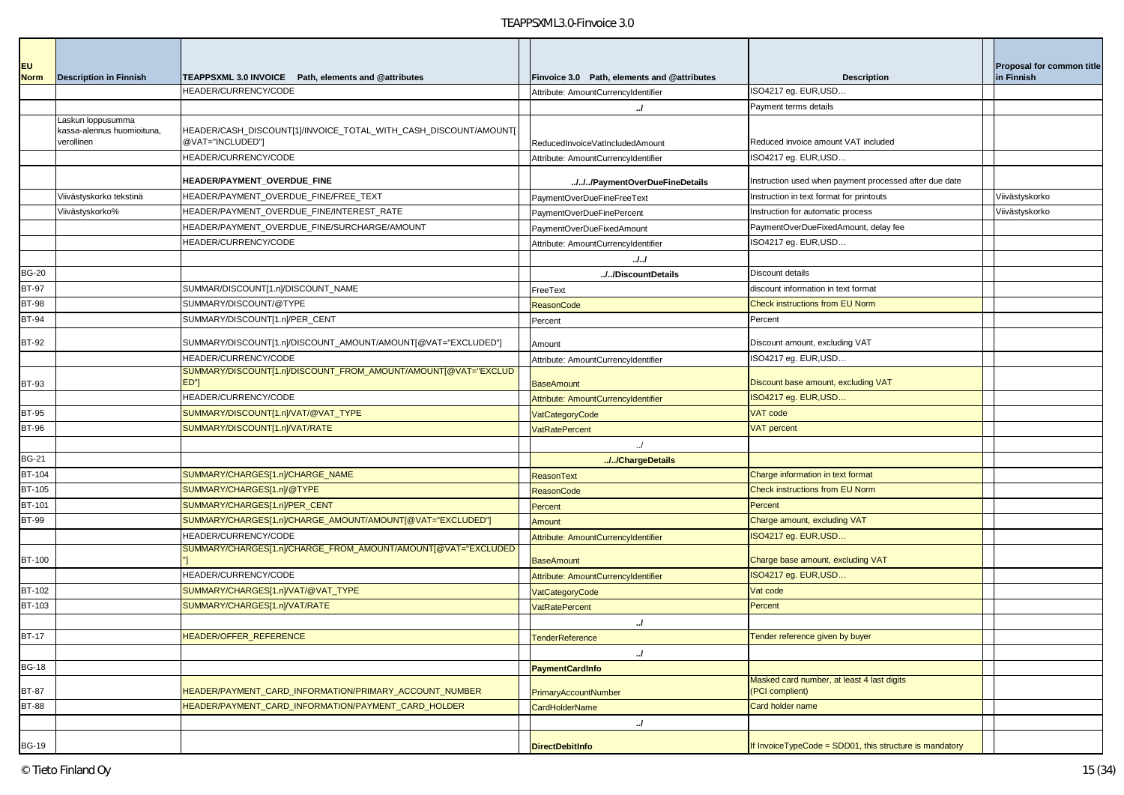| <b>EU</b><br><b>Norm</b> | <b>Description in Finnish</b>            | TEAPPSXML 3.0 INVOICE Path, elements and @attributes                                 | Finvoice 3.0 Path, elements and @attributes | <b>Description</b>                                            | Proposal for common title<br>in Finnish |
|--------------------------|------------------------------------------|--------------------------------------------------------------------------------------|---------------------------------------------|---------------------------------------------------------------|-----------------------------------------|
|                          |                                          | HEADER/CURRENCY/CODE                                                                 | Attribute: AmountCurrencyIdentifier         | ISO4217 eg. EUR, USD                                          |                                         |
|                          |                                          |                                                                                      | $\cdot$                                     | Payment terms details                                         |                                         |
|                          | Laskun loppusumma                        |                                                                                      |                                             |                                                               |                                         |
|                          | kassa-alennus huomioituna,<br>verollinen | HEADER/CASH_DISCOUNT[1]/INVOICE_TOTAL_WITH_CASH_DISCOUNT/AMOUNT[<br>@VAT="INCLUDED"] |                                             | Reduced invoice amount VAT included                           |                                         |
|                          |                                          | HEADER/CURRENCY/CODE                                                                 | ReducedInvoiceVatIncludedAmount             | ISO4217 eg. EUR, USD                                          |                                         |
|                          |                                          |                                                                                      | Attribute: AmountCurrencyIdentifier         |                                                               |                                         |
|                          |                                          | HEADER/PAYMENT_OVERDUE_FINE                                                          | ///PaymentOverDueFineDetails                | Instruction used when payment processed after due date        |                                         |
|                          | Viivästyskorko tekstinä                  | HEADER/PAYMENT_OVERDUE_FINE/FREE_TEXT                                                | PaymentOverDueFineFreeText                  | Instruction in text format for printouts                      | Viivästyskorko                          |
|                          | Viivästyskorko%                          | HEADER/PAYMENT_OVERDUE_FINE/INTEREST_RATE                                            | PaymentOverDueFinePercent                   | Instruction for automatic process                             | Viivästyskorko                          |
|                          |                                          | HEADER/PAYMENT_OVERDUE_FINE/SURCHARGE/AMOUNT                                         | PaymentOverDueFixedAmount                   | PaymentOverDueFixedAmount, delay fee                          |                                         |
|                          |                                          | <b>HEADER/CURRENCY/CODE</b>                                                          | Attribute: AmountCurrencyIdentifier         | ISO4217 eg. EUR, USD                                          |                                         |
|                          |                                          |                                                                                      | . J. J                                      |                                                               |                                         |
| <b>BG-20</b>             |                                          |                                                                                      | //DiscountDetails                           | Discount details                                              |                                         |
| <b>BT-97</b>             |                                          | SUMMAR/DISCOUNT[1.n]/DISCOUNT_NAME                                                   | FreeText                                    | discount information in text format                           |                                         |
| <b>BT-98</b>             |                                          | SUMMARY/DISCOUNT/@TYPE                                                               | <b>ReasonCode</b>                           | <b>Check instructions from EU Norm</b>                        |                                         |
| <b>BT-94</b>             |                                          | SUMMARY/DISCOUNT[1.n]/PER_CENT                                                       | Percent                                     | Percent                                                       |                                         |
| <b>BT-92</b>             |                                          | SUMMARY/DISCOUNT[1.n]/DISCOUNT_AMOUNT/AMOUNT[@VAT="EXCLUDED"]                        | Amount                                      | Discount amount, excluding VAT                                |                                         |
|                          |                                          | HEADER/CURRENCY/CODE                                                                 | Attribute: AmountCurrencyIdentifier         | ISO4217 eg. EUR,USD                                           |                                         |
| <b>BT-93</b>             |                                          | SUMMARY/DISCOUNT[1.n]/DISCOUNT_FROM_AMOUNT/AMOUNT[@VAT="EXCLUD<br><b>ED"</b>         | <b>BaseAmount</b>                           | Discount base amount, excluding VAT                           |                                         |
|                          |                                          | HEADER/CURRENCY/CODE                                                                 | Attribute: AmountCurrencyIdentifier         | ISO4217 eg. EUR, USD                                          |                                         |
| <b>BT-95</b>             |                                          | SUMMARY/DISCOUNT[1.n]/VAT/@VAT_TYPE                                                  | <b>VatCategoryCode</b>                      | <b>VAT code</b>                                               |                                         |
| <b>BT-96</b>             |                                          | SUMMARY/DISCOUNT[1.n]/VAT/RATE                                                       | <b>VatRatePercent</b>                       | <b>VAT percent</b>                                            |                                         |
|                          |                                          |                                                                                      | $\cdot$ .                                   |                                                               |                                         |
| <b>BG-21</b>             |                                          |                                                                                      | //ChargeDetails                             |                                                               |                                         |
| <b>BT-104</b>            |                                          | SUMMARY/CHARGES[1.n]/CHARGE_NAME                                                     | <b>ReasonText</b>                           | Charge information in text format                             |                                         |
| <b>BT-105</b>            |                                          | SUMMARY/CHARGES[1.n]/@TYPE                                                           | <b>ReasonCode</b>                           | <b>Check instructions from EU Norm</b>                        |                                         |
| <b>BT-101</b>            |                                          | SUMMARY/CHARGES[1.n]/PER_CENT                                                        | Percent                                     | Percent                                                       |                                         |
| <b>BT-99</b>             |                                          | SUMMARY/CHARGES[1.n]/CHARGE_AMOUNT/AMOUNT[@VAT="EXCLUDED"]                           | Amount                                      | Charge amount, excluding VAT                                  |                                         |
|                          |                                          | HEADER/CURRENCY/CODE                                                                 | Attribute: AmountCurrencyIdentifier         | ISO4217 eg. EUR, USD                                          |                                         |
|                          |                                          | SUMMARY/CHARGES[1.n]/CHARGE_FROM_AMOUNT/AMOUNT[@VAT="EXCLUDED                        |                                             |                                                               |                                         |
| <b>BT-100</b>            |                                          |                                                                                      | <b>BaseAmount</b>                           | Charge base amount, excluding VAT                             |                                         |
|                          |                                          | HEADER/CURRENCY/CODE                                                                 | Attribute: AmountCurrencyIdentifier         | ISO4217 eg. EUR, USD                                          |                                         |
| BT-102                   |                                          | SUMMARY/CHARGES[1.n]/VAT/@VAT_TYPE                                                   | VatCategoryCode                             | Vat code                                                      |                                         |
| BT-103                   |                                          | SUMMARY/CHARGES[1.n]/VAT/RATE                                                        | <b>VatRatePercent</b>                       | Percent                                                       |                                         |
|                          |                                          |                                                                                      |                                             |                                                               |                                         |
| <b>BT-17</b>             |                                          | HEADER/OFFER REFERENCE                                                               | <b>TenderReference</b>                      | Tender reference given by buyer                               |                                         |
|                          |                                          |                                                                                      | /                                           |                                                               |                                         |
| <b>BG-18</b>             |                                          |                                                                                      | <b>PaymentCardInfo</b>                      |                                                               |                                         |
| <b>BT-87</b>             |                                          | HEADER/PAYMENT_CARD_INFORMATION/PRIMARY_ACCOUNT_NUMBER                               | <b>PrimaryAccountNumber</b>                 | Masked card number, at least 4 last digits<br>(PCI complient) |                                         |
| <b>BT-88</b>             |                                          | HEADER/PAYMENT CARD INFORMATION/PAYMENT CARD HOLDER                                  | <b>CardHolderName</b>                       | Card holder name                                              |                                         |
|                          |                                          |                                                                                      | J                                           |                                                               |                                         |
| <b>BG-19</b>             |                                          |                                                                                      | <b>DirectDebitInfo</b>                      | If InvoiceTypeCode = SDD01, this structure is mandatory       |                                         |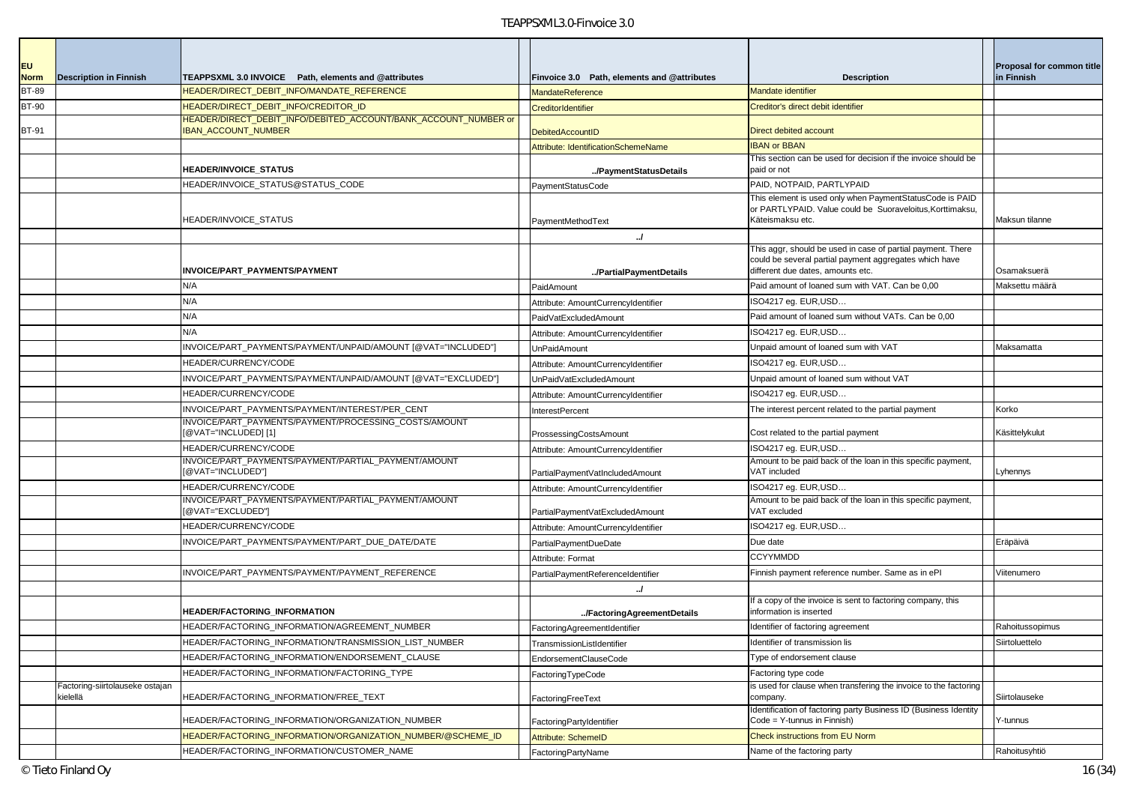| <b>EU</b>    |                                             |                                                                                               |                                             |                                                                                                                                                            | Proposal for common title |
|--------------|---------------------------------------------|-----------------------------------------------------------------------------------------------|---------------------------------------------|------------------------------------------------------------------------------------------------------------------------------------------------------------|---------------------------|
| <b>Norm</b>  | <b>Description in Finnish</b>               | TEAPPSXML 3.0 INVOICE Path, elements and @attributes                                          | Finvoice 3.0 Path, elements and @attributes | <b>Description</b>                                                                                                                                         | in Finnish                |
| <b>BT-89</b> |                                             | HEADER/DIRECT DEBIT INFO/MANDATE REFERENCE                                                    | MandateReference                            | <b>Mandate identifier</b>                                                                                                                                  |                           |
| <b>BT-90</b> |                                             | HEADER/DIRECT_DEBIT_INFO/CREDITOR_ID                                                          | CreditorIdentifier                          | Creditor's direct debit identifier                                                                                                                         |                           |
| BT-91        |                                             | HEADER/DIRECT_DEBIT_INFO/DEBITED_ACCOUNT/BANK_ACCOUNT_NUMBER or<br><b>IBAN_ACCOUNT_NUMBER</b> | <b>DebitedAccountID</b>                     | Direct debited account                                                                                                                                     |                           |
|              |                                             |                                                                                               | Attribute: IdentificationSchemeName         | <b>IBAN or BBAN</b>                                                                                                                                        |                           |
|              |                                             | <b>HEADER/INVOICE STATUS</b>                                                                  | /PaymentStatusDetails                       | This section can be used for decision if the invoice should be<br>paid or not                                                                              |                           |
|              |                                             | HEADER/INVOICE STATUS@STATUS CODE                                                             | PaymentStatusCode                           | PAID, NOTPAID, PARTLYPAID                                                                                                                                  |                           |
|              |                                             | HEADER/INVOICE_STATUS                                                                         | PaymentMethodText                           | This element is used only when PaymentStatusCode is PAID<br>or PARTLYPAID. Value could be Suoraveloitus. Korttimaksu.<br>Käteismaksu etc.                  | Maksun tilanne            |
|              |                                             |                                                                                               | $\mathcal{L}$                               |                                                                                                                                                            |                           |
|              |                                             | INVOICE/PART_PAYMENTS/PAYMENT                                                                 | /PartialPaymentDetails                      | This aggr, should be used in case of partial payment. There<br>could be several partial payment aggregates which have<br>different due dates, amounts etc. | Osamaksuerä               |
|              |                                             | N/A                                                                                           | PaidAmount                                  | Paid amount of loaned sum with VAT. Can be 0,00                                                                                                            | Maksettu määrä            |
|              |                                             | N/A                                                                                           | Attribute: AmountCurrencyIdentifier         | ISO4217 eg. EUR, USD                                                                                                                                       |                           |
|              |                                             | N/A                                                                                           | PaidVatExcludedAmount                       | Paid amount of loaned sum without VATs. Can be 0,00                                                                                                        |                           |
|              |                                             | N/A                                                                                           | Attribute: AmountCurrencyIdentifier         | ISO4217 eg. EUR, USD                                                                                                                                       |                           |
|              |                                             | INVOICE/PART PAYMENTS/PAYMENT/UNPAID/AMOUNT [@VAT="INCLUDED"]                                 | <b>UnPaidAmount</b>                         | Unpaid amount of loaned sum with VAT                                                                                                                       | Maksamatta                |
|              |                                             | HEADER/CURRENCY/CODE                                                                          | Attribute: AmountCurrencyIdentifier         | ISO4217 eg. EUR, USD                                                                                                                                       |                           |
|              |                                             | INVOICE/PART PAYMENTS/PAYMENT/UNPAID/AMOUNT [@VAT="EXCLUDED"]                                 | UnPaidVatExcludedAmount                     | Unpaid amount of loaned sum without VAT                                                                                                                    |                           |
|              |                                             | HEADER/CURRENCY/CODE                                                                          | Attribute: AmountCurrencyIdentifier         | ISO4217 eg. EUR, USD                                                                                                                                       |                           |
|              |                                             | INVOICE/PART_PAYMENTS/PAYMENT/INTEREST/PER_CENT                                               | InterestPercent                             | The interest percent related to the partial payment                                                                                                        | Korko                     |
|              |                                             | INVOICE/PART_PAYMENTS/PAYMENT/PROCESSING_COSTS/AMOUNT<br>@VAT="INCLUDED] [1]                  | ProssessingCostsAmount                      | Cost related to the partial payment                                                                                                                        | Käsittelykulut            |
|              |                                             | HEADER/CURRENCY/CODE                                                                          | Attribute: AmountCurrencyIdentifier         | ISO4217 eg. EUR, USD                                                                                                                                       |                           |
|              |                                             | INVOICE/PART_PAYMENTS/PAYMENT/PARTIAL_PAYMENT/AMOUNT<br>[@VAT="INCLUDED"]                     | PartialPaymentVatIncludedAmount             | Amount to be paid back of the loan in this specific payment,<br>VAT included                                                                               | Lyhennys                  |
|              |                                             | HEADER/CURRENCY/CODE                                                                          | Attribute: AmountCurrencyIdentifier         | ISO4217 eg. EUR, USD                                                                                                                                       |                           |
|              |                                             | INVOICE/PART_PAYMENTS/PAYMENT/PARTIAL_PAYMENT/AMOUNT<br>@VAT="EXCLUDED"]                      | PartialPaymentVatExcludedAmount             | Amount to be paid back of the loan in this specific payment,<br>VAT excluded                                                                               |                           |
|              |                                             | HEADER/CURRENCY/CODE                                                                          | Attribute: AmountCurrencyIdentifier         | ISO4217 eg. EUR, USD                                                                                                                                       |                           |
|              |                                             | INVOICE/PART_PAYMENTS/PAYMENT/PART_DUE_DATE/DATE                                              | PartialPaymentDueDate                       | Due date                                                                                                                                                   | Eräpäivä                  |
|              |                                             |                                                                                               | Attribute: Format                           | <b>CCYYMMDD</b>                                                                                                                                            |                           |
|              |                                             | INVOICE/PART_PAYMENTS/PAYMENT/PAYMENT_REFERENCE                                               | PartialPaymentReferenceIdentifier           | Finnish payment reference number. Same as in ePI                                                                                                           | Viitenumero               |
|              |                                             |                                                                                               | $\mathcal{L}$                               |                                                                                                                                                            |                           |
|              |                                             | <b>HEADER/FACTORING INFORMATION</b>                                                           | /FactoringAgreementDetails                  | If a copy of the invoice is sent to factoring company, this<br>information is inserted                                                                     |                           |
|              |                                             | HEADER/FACTORING_INFORMATION/AGREEMENT_NUMBER                                                 | FactoringAgreementIdentifier                | Identifier of factoring agreement                                                                                                                          | Rahoitussopimus           |
|              |                                             | HEADER/FACTORING_INFORMATION/TRANSMISSION_LIST_NUMBER                                         | TransmissionListIdentifier                  | Identifier of transmission lis                                                                                                                             | Siirtoluettelo            |
|              |                                             | HEADER/FACTORING_INFORMATION/ENDORSEMENT_CLAUSE                                               | EndorsementClauseCode                       | Type of endorsement clause                                                                                                                                 |                           |
|              |                                             | HEADER/FACTORING_INFORMATION/FACTORING_TYPE                                                   | FactoringTypeCode                           | Factoring type code                                                                                                                                        |                           |
|              | Factoring-siirtolauseke ostajan<br>kielellä | HEADER/FACTORING_INFORMATION/FREE_TEXT                                                        | FactoringFreeText                           | is used for clause when transfering the invoice to the factoring<br>company.                                                                               | Siirtolauseke             |
|              |                                             | HEADER/FACTORING_INFORMATION/ORGANIZATION_NUMBER                                              | FactoringPartyIdentifier                    | Identification of factoring party Business ID (Business Identity<br>Code = Y-tunnus in Finnish)                                                            | Y-tunnus                  |
|              |                                             | HEADER/FACTORING_INFORMATION/ORGANIZATION_NUMBER/@SCHEME_ID                                   | Attribute: SchemeID                         | <b>Check instructions from EU Norm</b>                                                                                                                     |                           |
|              |                                             | HEADER/FACTORING_INFORMATION/CUSTOMER_NAME                                                    | FactoringPartyName                          | Name of the factoring party                                                                                                                                | Rahoitusyhtiö             |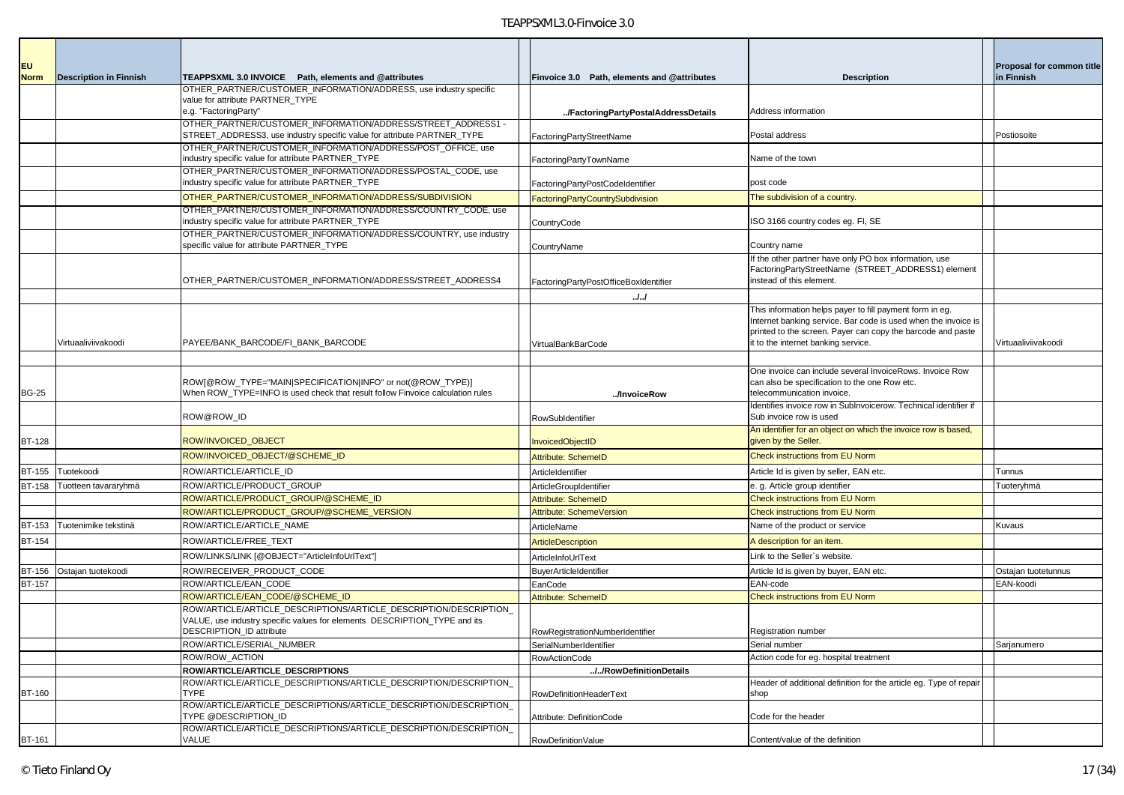| <b>EU</b>     |                               |                                                                                                                                               |                                             |                                                                                                                            | <b>Proposal for common title</b> |
|---------------|-------------------------------|-----------------------------------------------------------------------------------------------------------------------------------------------|---------------------------------------------|----------------------------------------------------------------------------------------------------------------------------|----------------------------------|
| <b>Norm</b>   | <b>Description in Finnish</b> | TEAPPSXML 3.0 INVOICE Path, elements and @attributes<br>OTHER_PARTNER/CUSTOMER_INFORMATION/ADDRESS, use industry specific                     | Finvoice 3.0 Path, elements and @attributes | <b>Description</b>                                                                                                         | in Finnish                       |
|               |                               | value for attribute PARTNER_TYPE                                                                                                              |                                             |                                                                                                                            |                                  |
|               |                               | e.g. "FactoringParty"                                                                                                                         | /FactoringPartyPostalAddressDetails         | Address information                                                                                                        |                                  |
|               |                               | OTHER PARTNER/CUSTOMER INFORMATION/ADDRESS/STREET ADDRESS1-                                                                                   |                                             |                                                                                                                            |                                  |
|               |                               | STREET_ADDRESS3, use industry specific value for attribute PARTNER_TYPE<br>OTHER_PARTNER/CUSTOMER_INFORMATION/ADDRESS/POST_OFFICE, use        | FactoringPartyStreetName                    | Postal address                                                                                                             | Postiosoite                      |
|               |                               | industry specific value for attribute PARTNER_TYPE                                                                                            | FactoringPartyTownName                      | Name of the town                                                                                                           |                                  |
|               |                               | OTHER_PARTNER/CUSTOMER_INFORMATION/ADDRESS/POSTAL_CODE, use                                                                                   |                                             |                                                                                                                            |                                  |
|               |                               | industry specific value for attribute PARTNER_TYPE                                                                                            | FactoringPartyPostCodeIdentifier            | post code                                                                                                                  |                                  |
|               |                               | OTHER_PARTNER/CUSTOMER_INFORMATION/ADDRESS/SUBDIVISION                                                                                        | <b>FactoringPartyCountrySubdivision</b>     | The subdivision of a country.                                                                                              |                                  |
|               |                               | OTHER PARTNER/CUSTOMER INFORMATION/ADDRESS/COUNTRY CODE, use                                                                                  |                                             |                                                                                                                            |                                  |
|               |                               | industry specific value for attribute PARTNER_TYPE<br>OTHER_PARTNER/CUSTOMER_INFORMATION/ADDRESS/COUNTRY, use industry                        | CountryCode                                 | SO 3166 country codes eg. FI, SE                                                                                           |                                  |
|               |                               | specific value for attribute PARTNER_TYPE                                                                                                     | CountryName                                 | Country name                                                                                                               |                                  |
|               |                               |                                                                                                                                               |                                             | If the other partner have only PO box information, use                                                                     |                                  |
|               |                               |                                                                                                                                               |                                             | FactoringPartyStreetName (STREET_ADDRESS1) element                                                                         |                                  |
|               |                               | OTHER_PARTNER/CUSTOMER_INFORMATION/ADDRESS/STREET_ADDRESS4                                                                                    | FactoringPartyPostOfficeBoxIdentifier       | instead of this element.                                                                                                   |                                  |
|               |                               |                                                                                                                                               | JJ                                          |                                                                                                                            |                                  |
|               |                               |                                                                                                                                               |                                             | This information helps payer to fill payment form in eg.<br>Internet banking service. Bar code is used when the invoice is |                                  |
|               |                               |                                                                                                                                               |                                             | printed to the screen. Payer can copy the barcode and paste                                                                |                                  |
|               | Virtuaaliviivakoodi           | PAYEE/BANK BARCODE/FI BANK BARCODE                                                                                                            | <b>VirtualBankBarCode</b>                   | it to the internet banking service.                                                                                        | Virtuaaliviivakoodi              |
|               |                               |                                                                                                                                               |                                             |                                                                                                                            |                                  |
|               |                               |                                                                                                                                               |                                             | One invoice can include several InvoiceRows. Invoice Row                                                                   |                                  |
|               |                               | ROW[@ROW_TYPE="MAIN SPECIFICATION INFO" or not(@ROW_TYPE)]                                                                                    |                                             | can also be specification to the one Row etc.                                                                              |                                  |
| <b>BG-25</b>  |                               | When ROW TYPE=INFO is used check that result follow Finvoice calculation rules                                                                | /InvoiceRow                                 | telecommunication invoice.<br>Identifies invoice row in SubInvoicerow. Technical identifier if                             |                                  |
|               |                               | ROW@ROW ID                                                                                                                                    | RowSubIdentifier                            | Sub invoice row is used                                                                                                    |                                  |
|               |                               |                                                                                                                                               |                                             | An identifier for an object on which the invoice row is based,                                                             |                                  |
| <b>BT-128</b> |                               | ROW/INVOICED_OBJECT                                                                                                                           | <b>InvoicedObjectID</b>                     | given by the Seller.                                                                                                       |                                  |
|               |                               | ROW/INVOICED_OBJECT/@SCHEME_ID                                                                                                                | <b>Attribute: SchemeID</b>                  | <b>Check instructions from EU Norm</b>                                                                                     |                                  |
| <b>BT-155</b> | Tuotekoodi                    | ROW/ARTICLE/ARTICLE_ID                                                                                                                        | ArticleIdentifier                           | Article Id is given by seller, EAN etc.                                                                                    | Tunnus                           |
| <b>BT-158</b> | Tuotteen tavararyhmä          | ROW/ARTICLE/PRODUCT_GROUP                                                                                                                     | ArticleGroupIdentifier                      | e. g. Article group identifier                                                                                             | Tuoteryhmä                       |
|               |                               | ROW/ARTICLE/PRODUCT_GROUP/@SCHEME_ID                                                                                                          | <b>Attribute: SchemeID</b>                  | <b>Check instructions from EU Norm</b>                                                                                     |                                  |
|               |                               | ROW/ARTICLE/PRODUCT_GROUP/@SCHEME_VERSION                                                                                                     | <b>Attribute: SchemeVersion</b>             | <b>Check instructions from EU Norm</b>                                                                                     |                                  |
| <b>BT-153</b> | Tuotenimike tekstinä          | ROW/ARTICLE/ARTICLE_NAME                                                                                                                      | ArticleName                                 | Name of the product or service                                                                                             | Kuvaus                           |
| <b>BT-154</b> |                               | ROW/ARTICLE/FREE TEXT                                                                                                                         | <b>ArticleDescription</b>                   | A description for an item.                                                                                                 |                                  |
|               |                               | ROW/LINKS/LINK [@OBJECT="ArticleInfoUrlText"]                                                                                                 | ArticleInfoUrlText                          | Link to the Seller's website.                                                                                              |                                  |
| <b>BT-156</b> | Ostajan tuotekoodi            | ROW/RECEIVER_PRODUCT_CODE                                                                                                                     | BuyerArticleIdentifier                      | Article Id is given by buyer, EAN etc.                                                                                     | Ostajan tuotetunnus              |
| <b>BT-157</b> |                               | ROW/ARTICLE/EAN_CODE                                                                                                                          | EanCode                                     | EAN-code                                                                                                                   | EAN-koodi                        |
|               |                               | ROW/ARTICLE/EAN CODE/@SCHEME ID                                                                                                               | <b>Attribute: SchemeID</b>                  | <b>Check instructions from EU Norm</b>                                                                                     |                                  |
|               |                               | ROW/ARTICLE/ARTICLE DESCRIPTIONS/ARTICLE DESCRIPTION/DESCRIPTION<br>VALUE, use industry specific values for elements DESCRIPTION_TYPE and its |                                             |                                                                                                                            |                                  |
|               |                               | DESCRIPTION_ID attribute                                                                                                                      | RowRegistrationNumberIdentifier             | Registration number                                                                                                        |                                  |
|               |                               | ROW/ARTICLE/SERIAL_NUMBER                                                                                                                     | SerialNumberIdentifier                      | Serial number                                                                                                              | Sarjanumero                      |
|               |                               | ROW/ROW_ACTION                                                                                                                                | <b>RowActionCode</b>                        | Action code for eg. hospital treatment                                                                                     |                                  |
|               |                               | ROW/ARTICLE/ARTICLE DESCRIPTIONS                                                                                                              | //RowDefinitionDetails                      |                                                                                                                            |                                  |
|               |                               | ROW/ARTICLE/ARTICLE DESCRIPTIONS/ARTICLE DESCRIPTION/DESCRIPTION                                                                              |                                             | Header of additional definition for the article eg. Type of repair                                                         |                                  |
| <b>BT-160</b> |                               | <b>TYPE</b><br>ROW/ARTICLE/ARTICLE DESCRIPTIONS/ARTICLE DESCRIPTION/DESCRIPTION                                                               | <b>RowDefinitionHeaderText</b>              | shop                                                                                                                       |                                  |
|               |                               | TYPE @DESCRIPTION ID                                                                                                                          | Attribute: DefinitionCode                   | Code for the header                                                                                                        |                                  |
|               |                               | ROW/ARTICLE/ARTICLE DESCRIPTIONS/ARTICLE DESCRIPTION/DESCRIPTION                                                                              |                                             |                                                                                                                            |                                  |
| BT-161        |                               | VALUE                                                                                                                                         | RowDefinitionValue                          | Content/value of the definition                                                                                            |                                  |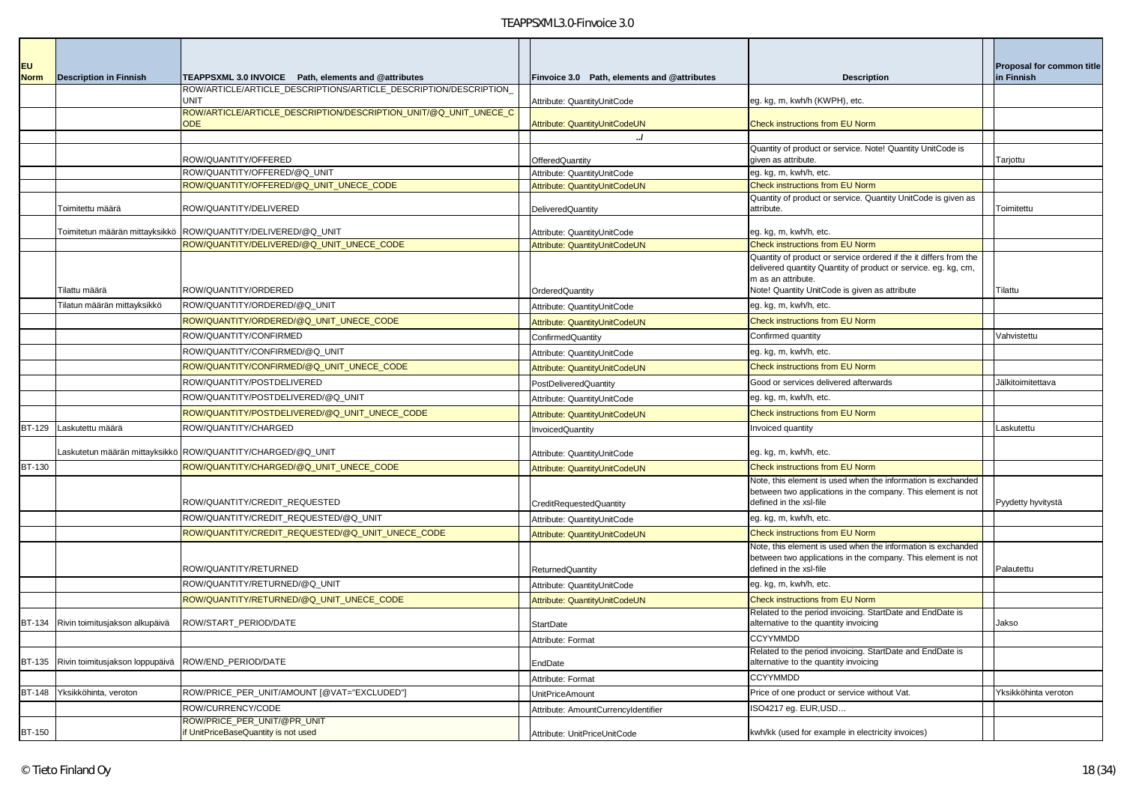| <b>EU</b><br><b>Norm</b> | <b>Description in Finnish</b>          | TEAPPSXML 3.0 INVOICE Path, elements and @attributes                            | Finvoice 3.0 Path, elements and @attributes | <b>Description</b>                                                                                                                                      | Proposal for common title<br>in Finnish |
|--------------------------|----------------------------------------|---------------------------------------------------------------------------------|---------------------------------------------|---------------------------------------------------------------------------------------------------------------------------------------------------------|-----------------------------------------|
|                          |                                        | ROW/ARTICLE/ARTICLE DESCRIPTIONS/ARTICLE DESCRIPTION/DESCRIPTION<br><b>UNIT</b> | Attribute: QuantityUnitCode                 | eg. kg, m, kwh/h (KWPH), etc.                                                                                                                           |                                         |
|                          |                                        | ROW/ARTICLE/ARTICLE_DESCRIPTION/DESCRIPTION_UNIT/@Q_UNIT_UNECE_C<br><b>ODE</b>  | Attribute: QuantityUnitCodeUN               | Check instructions from EU Norm                                                                                                                         |                                         |
|                          |                                        |                                                                                 | $\cdot$                                     |                                                                                                                                                         |                                         |
|                          |                                        | ROW/QUANTITY/OFFERED                                                            | OfferedQuantity                             | Quantity of product or service. Note! Quantity UnitCode is<br>given as attribute.                                                                       | Tarjottu                                |
|                          |                                        | ROW/QUANTITY/OFFERED/@Q_UNIT                                                    | Attribute: QuantityUnitCode                 | eg. kg, m, kwh/h, etc.                                                                                                                                  |                                         |
|                          |                                        | ROW/QUANTITY/OFFERED/@Q_UNIT_UNECE_CODE                                         | Attribute: QuantityUnitCodeUN               | <b>Check instructions from EU Norm</b>                                                                                                                  |                                         |
|                          | Toimitettu määrä                       | ROW/QUANTITY/DELIVERED                                                          | DeliveredQuantity                           | Quantity of product or service. Quantity UnitCode is given as<br>attribute.                                                                             | Toimitettu                              |
|                          |                                        | Toimitetun määrän mittayksikkö ROW/QUANTITY/DELIVERED/@Q_UNIT                   | Attribute: QuantityUnitCode                 | eg. kg, m, kwh/h, etc.                                                                                                                                  |                                         |
|                          |                                        | ROW/QUANTITY/DELIVERED/@Q_UNIT_UNECE_CODE                                       | Attribute: QuantityUnitCodeUN               | <b>Check instructions from EU Norm</b>                                                                                                                  |                                         |
|                          |                                        |                                                                                 |                                             | Quantity of product or service ordered if the it differs from the<br>delivered quantity Quantity of product or service. eg. kg, cm,                     |                                         |
|                          | Tilattu määrä                          | ROW/QUANTITY/ORDERED                                                            | OrderedQuantity                             | m as an attribute.<br>Note! Quantity UnitCode is given as attribute                                                                                     | Tilattu                                 |
|                          | Tilatun määrän mittayksikkö            | ROW/QUANTITY/ORDERED/@Q_UNIT                                                    | Attribute: QuantityUnitCode                 | eg. kg, m, kwh/h, etc.                                                                                                                                  |                                         |
|                          |                                        | ROW/QUANTITY/ORDERED/@Q_UNIT_UNECE_CODE                                         | Attribute: QuantityUnitCodeUN               | <b>Check instructions from EU Norm</b>                                                                                                                  |                                         |
|                          |                                        | ROW/QUANTITY/CONFIRMED                                                          | ConfirmedQuantity                           | Confirmed quantity                                                                                                                                      | Vahvistettu                             |
|                          |                                        | ROW/QUANTITY/CONFIRMED/@Q_UNIT                                                  | Attribute: QuantityUnitCode                 | eg. kg, m, kwh/h, etc.                                                                                                                                  |                                         |
|                          |                                        | ROW/QUANTITY/CONFIRMED/@Q_UNIT_UNECE_CODE                                       | Attribute: QuantityUnitCodeUN               | Check instructions from EU Norm                                                                                                                         |                                         |
|                          |                                        | ROW/QUANTITY/POSTDELIVERED                                                      | <b>PostDeliveredQuantity</b>                | Good or services delivered afterwards                                                                                                                   | Jälkitoimitettava                       |
|                          |                                        | ROW/QUANTITY/POSTDELIVERED/@Q_UNIT                                              | Attribute: QuantityUnitCode                 | eg. kg, m, kwh/h, etc.                                                                                                                                  |                                         |
|                          |                                        | ROW/QUANTITY/POSTDELIVERED/@Q_UNIT_UNECE_CODE                                   | Attribute: QuantityUnitCodeUN               | <b>Check instructions from EU Norm</b>                                                                                                                  |                                         |
| <b>BT-129</b>            | Laskutettu määrä                       | ROW/QUANTITY/CHARGED                                                            | <b>InvoicedQuantity</b>                     | Invoiced quantity                                                                                                                                       | Laskutettu                              |
|                          |                                        | askutetun määrän mittayksikkö ROW/QUANTITY/CHARGED/@Q_UNIT                      | Attribute: QuantityUnitCode                 | eg. kg, m, kwh/h, etc.                                                                                                                                  |                                         |
| <b>BT-130</b>            |                                        | ROW/QUANTITY/CHARGED/@Q_UNIT_UNECE_CODE                                         | Attribute: QuantityUnitCodeUN               | Check instructions from EU Norm                                                                                                                         |                                         |
|                          |                                        | ROW/QUANTITY/CREDIT_REQUESTED                                                   | CreditRequestedQuantity                     | Note, this element is used when the information is exchanded<br>between two applications in the company. This element is not<br>defined in the xsl-file | Pyydetty hyvitystä                      |
|                          |                                        | ROW/QUANTITY/CREDIT_REQUESTED/@Q_UNIT                                           | Attribute: QuantityUnitCode                 | eg. kg, m, kwh/h, etc.                                                                                                                                  |                                         |
|                          |                                        | ROW/QUANTITY/CREDIT_REQUESTED/@Q_UNIT_UNECE_CODE                                | Attribute: QuantityUnitCodeUN               | <b>Check instructions from EU Norm</b>                                                                                                                  |                                         |
|                          |                                        |                                                                                 |                                             | Note, this element is used when the information is exchanded<br>between two applications in the company. This element is not                            |                                         |
|                          |                                        | ROW/QUANTITY/RETURNED                                                           | ReturnedQuantity                            | defined in the xsl-file                                                                                                                                 | Palautettu                              |
|                          |                                        | ROW/QUANTITY/RETURNED/@Q_UNIT                                                   | Attribute: QuantityUnitCode                 | eg. kg, m, kwh/h, etc.                                                                                                                                  |                                         |
|                          |                                        | ROW/QUANTITY/RETURNED/@Q_UNIT_UNECE_CODE                                        | Attribute: QuantityUnitCodeUN               | <b>Check instructions from EU Norm</b>                                                                                                                  |                                         |
|                          | BT-134 Rivin toimitusjakson alkupäivä  | ROW/START_PERIOD/DATE                                                           | <b>StartDate</b>                            | Related to the period invoicing. StartDate and EndDate is<br>alternative to the quantity invoicing                                                      | Jakso                                   |
|                          |                                        |                                                                                 | Attribute: Format                           | <b>CCYYMMDD</b>                                                                                                                                         |                                         |
|                          | BT-135 Rivin toimitusjakson loppupäivä | ROW/END PERIOD/DATE                                                             | EndDate                                     | Related to the period invoicing. StartDate and EndDate is<br>alternative to the quantity invoicing                                                      |                                         |
|                          |                                        |                                                                                 | Attribute: Format                           | <b>CCYYMMDD</b>                                                                                                                                         |                                         |
|                          | BT-148 Yksikköhinta, veroton           | ROW/PRICE_PER_UNIT/AMOUNT [@VAT="EXCLUDED"]                                     | <b>UnitPriceAmount</b>                      | Price of one product or service without Vat.                                                                                                            | Yksikköhinta veroton                    |
|                          |                                        | ROW/CURRENCY/CODE                                                               | Attribute: AmountCurrencyIdentifier         | ISO4217 eq. EUR, USD                                                                                                                                    |                                         |
| <b>BT-150</b>            |                                        | ROW/PRICE_PER_UNIT/@PR_UNIT<br>if UnitPriceBaseQuantity is not used             | Attribute: UnitPriceUnitCode                | kwh/kk (used for example in electricity invoices)                                                                                                       |                                         |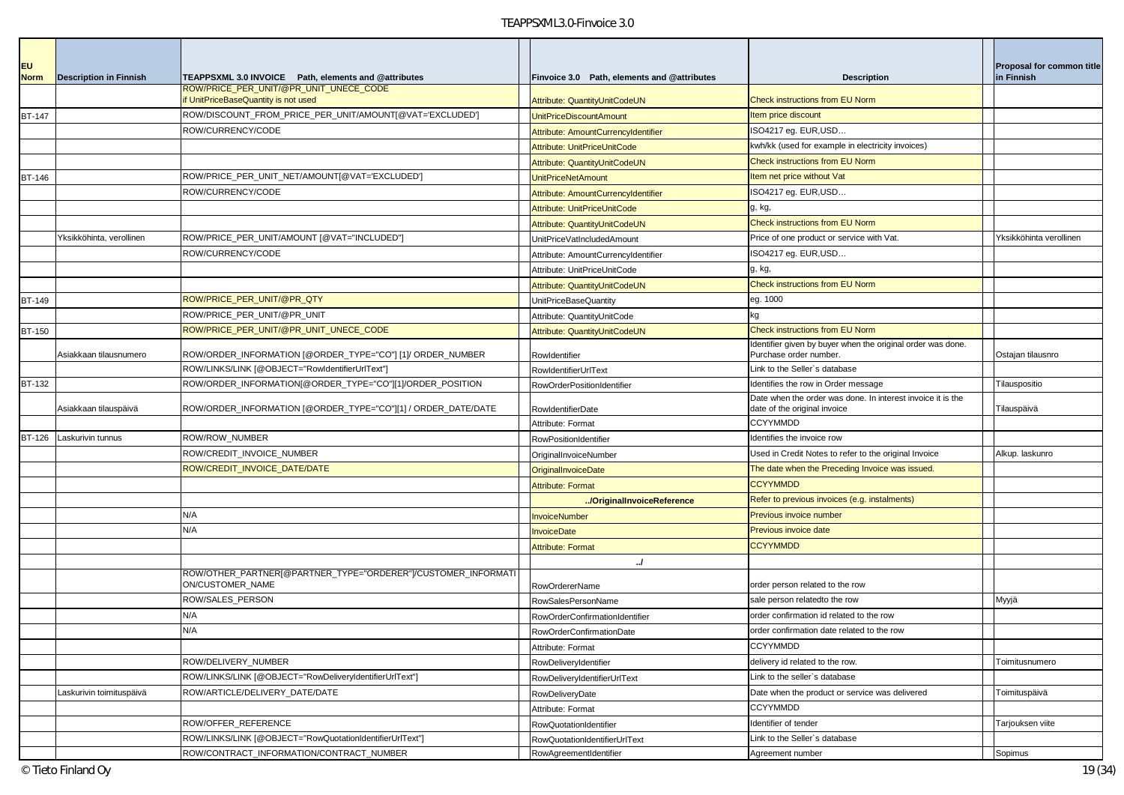| <b>EU</b><br><b>Norm</b> | <b>Description in Finnish</b> | TEAPPSXML 3.0 INVOICE Path, elements and @attributes                             | Finvoice 3.0 Path, elements and @attributes                | <b>Description</b>                                                                          | <b>Proposal for common title</b><br>in Finnish |
|--------------------------|-------------------------------|----------------------------------------------------------------------------------|------------------------------------------------------------|---------------------------------------------------------------------------------------------|------------------------------------------------|
|                          |                               | ROW/PRICE PER UNIT/@PR UNIT UNECE CODE<br>f UnitPriceBaseQuantity is not used    | Attribute: QuantityUnitCodeUN                              | Check instructions from EU Norm                                                             |                                                |
| <b>BT-147</b>            |                               | ROW/DISCOUNT_FROM_PRICE_PER_UNIT/AMOUNT[@VAT='EXCLUDED']                         | UnitPriceDiscountAmount                                    | Item price discount                                                                         |                                                |
|                          |                               | ROW/CURRENCY/CODE                                                                | Attribute: AmountCurrencyIdentifier                        | ISO4217 eg. EUR,USD                                                                         |                                                |
|                          |                               |                                                                                  | Attribute: UnitPriceUnitCode                               | kwh/kk (used for example in electricity invoices)                                           |                                                |
|                          |                               |                                                                                  | Attribute: QuantityUnitCodeUN                              | Check instructions from EU Norm                                                             |                                                |
| BT-146                   |                               | ROW/PRICE_PER_UNIT_NET/AMOUNT[@VAT='EXCLUDED']                                   | UnitPriceNetAmount                                         | Item net price without Vat                                                                  |                                                |
|                          |                               | ROW/CURRENCY/CODE                                                                | Attribute: AmountCurrencyIdentifier                        | ISO4217 eg. EUR,USD                                                                         |                                                |
|                          |                               |                                                                                  | Attribute: UnitPriceUnitCode                               | g, kg,                                                                                      |                                                |
|                          |                               |                                                                                  | Attribute: QuantityUnitCodeUN                              | <b>Check instructions from EU Norm</b>                                                      |                                                |
|                          | Yksikköhinta, verollinen      | ROW/PRICE_PER_UNIT/AMOUNT [@VAT="INCLUDED"]                                      | UnitPriceVatIncludedAmount                                 | Price of one product or service with Vat.                                                   | Yksikköhinta verollinen                        |
|                          |                               | ROW/CURRENCY/CODE                                                                | Attribute: AmountCurrencyIdentifier                        | ISO4217 eg. EUR, USD                                                                        |                                                |
|                          |                               |                                                                                  | Attribute: UnitPriceUnitCode                               | g, kg,                                                                                      |                                                |
|                          |                               |                                                                                  | Attribute: QuantityUnitCodeUN                              | <b>Check instructions from EU Norm</b>                                                      |                                                |
| BT-149                   |                               | ROW/PRICE_PER_UNIT/@PR_QTY                                                       | UnitPriceBaseQuantity                                      | eg. 1000                                                                                    |                                                |
|                          |                               | ROW/PRICE_PER_UNIT/@PR_UNIT                                                      | Attribute: QuantityUnitCode                                | kg                                                                                          |                                                |
| <b>BT-150</b>            |                               | ROW/PRICE PER UNIT/@PR UNIT UNECE CODE                                           | Attribute: QuantityUnitCodeUN                              | <b>Check instructions from EU Norm</b>                                                      |                                                |
|                          | Asiakkaan tilausnumero        | ROW/ORDER_INFORMATION [@ORDER_TYPE="CO"] [1]/ ORDER_NUMBER                       | Rowldentifier                                              | Identifier given by buyer when the original order was done.<br>Purchase order number        | Ostajan tilausnro                              |
|                          |                               | ROW/LINKS/LINK [@OBJECT="RowIdentifierUrlText"]                                  | RowldentifierUrlText                                       | Link to the Seller's database                                                               |                                                |
| BT-132                   |                               | ROW/ORDER_INFORMATION[@ORDER_TYPE="CO"][1]/ORDER_POSITION                        | RowOrderPositionIdentifier                                 | Identifies the row in Order message                                                         | Tilauspositio                                  |
|                          | Asiakkaan tilauspäivä         | ROW/ORDER_INFORMATION [@ORDER_TYPE="CO"][1] / ORDER_DATE/DATE                    | RowldentifierDate                                          | Date when the order was done. In interest invoice it is the<br>date of the original invoice | Tilauspäivä                                    |
|                          |                               |                                                                                  | Attribute: Format                                          | <b>CCYYMMDD</b>                                                                             |                                                |
| <b>BT-126</b>            | Laskurivin tunnus             | ROW/ROW_NUMBER                                                                   | RowPositionIdentifier                                      | Identifies the invoice row                                                                  |                                                |
|                          |                               | ROW/CREDIT_INVOICE_NUMBER                                                        | OriginalInvoiceNumber                                      | Used in Credit Notes to refer to the original Invoice                                       | Alkup. laskunro                                |
|                          |                               | ROW/CREDIT_INVOICE_DATE/DATE                                                     | OriginalInvoiceDate                                        | The date when the Preceding Invoice was issued.                                             |                                                |
|                          |                               |                                                                                  | <b>Attribute: Format</b>                                   | <b>CCYYMMDD</b>                                                                             |                                                |
|                          |                               |                                                                                  | /OriginalInvoiceReference                                  | Refer to previous invoices (e.g. instalments)                                               |                                                |
|                          |                               | N/A                                                                              | <b>InvoiceNumber</b>                                       | Previous invoice number                                                                     |                                                |
|                          |                               | N/A                                                                              | <b>InvoiceDate</b>                                         | Previous invoice date                                                                       |                                                |
|                          |                               |                                                                                  | <b>Attribute: Format</b>                                   | <b>CCYYMMDD</b>                                                                             |                                                |
|                          |                               |                                                                                  | $\cdot$                                                    |                                                                                             |                                                |
|                          |                               | ROW/OTHER_PARTNER[@PARTNER_TYPE="ORDERER"]/CUSTOMER_INFORMAT<br>ON/CUSTOMER_NAME |                                                            | order person related to the row                                                             |                                                |
|                          |                               | ROW/SALES_PERSON                                                                 | <b>RowOrdererName</b>                                      | sale person relatedto the row                                                               |                                                |
|                          |                               | N/A                                                                              | <b>RowSalesPersonName</b>                                  | order confirmation id related to the row                                                    | Myyjä                                          |
|                          |                               | N/A                                                                              | RowOrderConfirmationIdentifier<br>RowOrderConfirmationDate | order confirmation date related to the row                                                  |                                                |
|                          |                               |                                                                                  |                                                            | <b>CCYYMMDD</b>                                                                             |                                                |
|                          |                               | ROW/DELIVERY NUMBER                                                              | Attribute: Format                                          | delivery id related to the row.                                                             | Toimitusnumero                                 |
|                          |                               | ROW/LINKS/LINK [@OBJECT="RowDeliveryIdentifierUrlText"]                          | RowDeliveryIdentifier<br>RowDeliveryIdentifierUrlText      | Link to the seller's database                                                               |                                                |
|                          | Laskurivin toimituspäivä      | ROW/ARTICLE/DELIVERY_DATE/DATE                                                   | RowDeliveryDate                                            | Date when the product or service was delivered                                              | Toimituspäivä                                  |
|                          |                               |                                                                                  | Attribute: Format                                          | <b>CCYYMMDD</b>                                                                             |                                                |
|                          |                               | ROW/OFFER_REFERENCE                                                              | RowQuotationIdentifier                                     | Identifier of tender                                                                        | Tarjouksen viite                               |
|                          |                               | ROW/LINKS/LINK [@OBJECT="RowQuotationIdentifierUrlText"]                         | RowQuotationIdentifierUrlText                              | ink to the Seller's database                                                                |                                                |
|                          |                               | ROW/CONTRACT_INFORMATION/CONTRACT_NUMBER                                         | RowAgreementIdentifier                                     | Agreement number                                                                            | Sopimus                                        |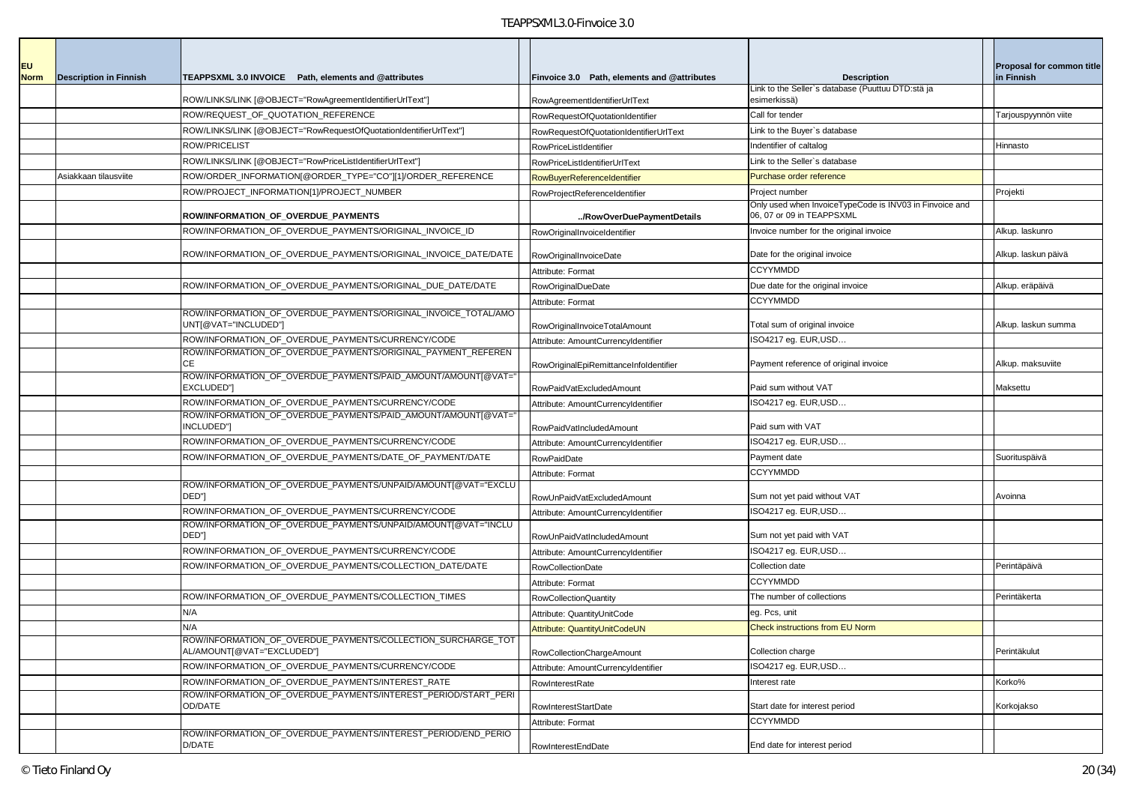| <b>EU</b>   |                               |                                                                                            |                                             |                                                                                      | Proposal for common title |
|-------------|-------------------------------|--------------------------------------------------------------------------------------------|---------------------------------------------|--------------------------------------------------------------------------------------|---------------------------|
| <b>Norm</b> | <b>Description in Finnish</b> | TEAPPSXML 3.0 INVOICE Path, elements and @attributes                                       | Finvoice 3.0 Path, elements and @attributes | <b>Description</b><br>Link to the Seller's database (Puuttuu DTD:stä ja              | in Finnish                |
|             |                               | ROW/LINKS/LINK [@OBJECT="RowAgreementIdentifierUrlText"]                                   | RowAgreementIdentifierUrlText               | esimerkissä)                                                                         |                           |
|             |                               | ROW/REQUEST OF QUOTATION REFERENCE                                                         | RowRequestOfQuotationIdentifier             | Call for tender                                                                      | Tarjouspyynnön viite      |
|             |                               | ROW/LINKS/LINK [@OBJECT="RowRequestOfQuotationIdentifierUrlText"]                          | RowRequestOfQuotationIdentifierUrlText      | Link to the Buyer's database                                                         |                           |
|             |                               | ROW/PRICELIST                                                                              | RowPriceListIdentifier                      | Indentifier of caltalog                                                              | Hinnasto                  |
|             |                               | ROW/LINKS/LINK [@OBJECT="RowPriceListIdentifierUrlText"]                                   | RowPriceListIdentifierUrlText               | Link to the Seller's database                                                        |                           |
|             | Asiakkaan tilausviite         | ROW/ORDER_INFORMATION[@ORDER_TYPE="CO"][1]/ORDER_REFERENCE                                 | RowBuyerReferenceIdentifier                 | Purchase order reference                                                             |                           |
|             |                               | ROW/PROJECT_INFORMATION[1]/PROJECT_NUMBER                                                  | RowProjectReferenceIdentifier               | Project number                                                                       | Projekti                  |
|             |                               | ROW/INFORMATION_OF_OVERDUE_PAYMENTS                                                        | /RowOverDuePaymentDetails                   | Only used when InvoiceTypeCode is INV03 in Finvoice and<br>06, 07 or 09 in TEAPPSXML |                           |
|             |                               | ROW/INFORMATION_OF_OVERDUE_PAYMENTS/ORIGINAL_INVOICE_ID                                    | RowOriginalInvoiceIdentifier                | Invoice number for the original invoice                                              | Alkup. laskunro           |
|             |                               | ROW/INFORMATION_OF_OVERDUE_PAYMENTS/ORIGINAL_INVOICE_DATE/DATE                             | RowOriginalInvoiceDate                      | Date for the original invoice                                                        | Alkup. laskun päivä       |
|             |                               |                                                                                            | Attribute: Format                           | <b>CCYYMMDD</b>                                                                      |                           |
|             |                               | ROW/INFORMATION_OF_OVERDUE_PAYMENTS/ORIGINAL_DUE_DATE/DATE                                 | <b>RowOriginalDueDate</b>                   | Due date for the original invoice                                                    | Alkup. eräpäivä           |
|             |                               |                                                                                            | Attribute: Format                           | <b>CCYYMMDD</b>                                                                      |                           |
|             |                               | ROW/INFORMATION_OF_OVERDUE_PAYMENTS/ORIGINAL_INVOICE_TOTAL/AMO<br>UNT[@VAT="INCLUDED"]     | RowOriginalInvoiceTotalAmount               | Total sum of original invoice                                                        | Alkup. laskun summa       |
|             |                               | ROW/INFORMATION_OF_OVERDUE_PAYMENTS/CURRENCY/CODE                                          | Attribute: AmountCurrencyIdentifier         | ISO4217 eg. EUR, USD                                                                 |                           |
|             |                               | ROW/INFORMATION_OF_OVERDUE_PAYMENTS/ORIGINAL_PAYMENT_REFEREN<br>СE                         | RowOriginalEpiRemittanceInfoldentifier      | Payment reference of original invoice                                                | Alkup. maksuviite         |
|             |                               | ROW/INFORMATION_OF_OVERDUE_PAYMENTS/PAID_AMOUNT/AMOUNT[@VAT="<br>EXCLUDED"]                | RowPaidVatExcludedAmount                    | Paid sum without VAT                                                                 | Maksettu                  |
|             |                               | ROW/INFORMATION_OF_OVERDUE_PAYMENTS/CURRENCY/CODE                                          | Attribute: AmountCurrencyIdentifier         | ISO4217 eg. EUR, USD                                                                 |                           |
|             |                               | ROW/INFORMATION OF OVERDUE PAYMENTS/PAID AMOUNT/AMOUNT[@VAT='<br>INCLUDED"]                | RowPaidVatIncludedAmount                    | Paid sum with VAT                                                                    |                           |
|             |                               | ROW/INFORMATION_OF_OVERDUE_PAYMENTS/CURRENCY/CODE                                          | Attribute: AmountCurrencyIdentifier         | ISO4217 eg. EUR, USD                                                                 |                           |
|             |                               | ROW/INFORMATION_OF_OVERDUE_PAYMENTS/DATE_OF_PAYMENT/DATE                                   | RowPaidDate                                 | Payment date                                                                         | Suorituspäivä             |
|             |                               |                                                                                            | Attribute: Format                           | <b>CCYYMMDD</b>                                                                      |                           |
|             |                               | ROW/INFORMATION_OF_OVERDUE_PAYMENTS/UNPAID/AMOUNT[@VAT="EXCLU<br>DED"]                     | RowUnPaidVatExcludedAmount                  | Sum not yet paid without VAT                                                         | Avoinna                   |
|             |                               | ROW/INFORMATION_OF_OVERDUE_PAYMENTS/CURRENCY/CODE                                          | Attribute: AmountCurrencyIdentifier         | ISO4217 eg. EUR, USD                                                                 |                           |
|             |                               | ROW/INFORMATION_OF_OVERDUE_PAYMENTS/UNPAID/AMOUNT[@VAT="INCLU<br>DED"]                     | RowUnPaidVatIncludedAmount                  | Sum not yet paid with VAT                                                            |                           |
|             |                               | ROW/INFORMATION_OF_OVERDUE_PAYMENTS/CURRENCY/CODE                                          | Attribute: AmountCurrencyIdentifier         | ISO4217 eg. EUR, USD                                                                 |                           |
|             |                               | ROW/INFORMATION OF OVERDUE PAYMENTS/COLLECTION DATE/DATE                                   | <b>RowCollectionDate</b>                    | Collection date                                                                      | Perintäpäivä              |
|             |                               |                                                                                            | Attribute: Format                           | <b>CCYYMMDD</b>                                                                      |                           |
|             |                               | ROW/INFORMATION_OF_OVERDUE_PAYMENTS/COLLECTION_TIMES                                       | <b>RowCollectionQuantity</b>                | The number of collections                                                            | Perintäkerta              |
|             |                               | N/A                                                                                        | Attribute: QuantityUnitCode                 | eg. Pcs, unit                                                                        |                           |
|             |                               | N/A                                                                                        | Attribute: QuantityUnitCodeUN               | <b>Check instructions from EU Norm</b>                                               |                           |
|             |                               | ?OW/INFORMATION_OF_OVERDUE_PAYMENTS/COLLECTION_SURCHARGE_TOT<br>AL/AMOUNT[@VAT="EXCLUDED"] | RowCollectionChargeAmount                   | Collection charge                                                                    | Perintäkulut              |
|             |                               | ROW/INFORMATION OF OVERDUE PAYMENTS/CURRENCY/CODE                                          | Attribute: AmountCurrencyIdentifier         | ISO4217 eg. EUR, USD                                                                 |                           |
|             |                               | ROW/INFORMATION OF OVERDUE PAYMENTS/INTEREST RATE                                          | RowInterestRate                             | Interest rate                                                                        | Korko%                    |
|             |                               | ROW/INFORMATION_OF_OVERDUE_PAYMENTS/INTEREST_PERIOD/START_PERI<br>OD/DATE                  | <b>RowInterestStartDate</b>                 | Start date for interest period                                                       | Korkojakso                |
|             |                               |                                                                                            | Attribute: Format                           | <b>CCYYMMDD</b>                                                                      |                           |
|             |                               | ROW/INFORMATION_OF_OVERDUE_PAYMENTS/INTEREST_PERIOD/END_PERIO<br>D/DATE                    | RowInterestEndDate                          | End date for interest period                                                         |                           |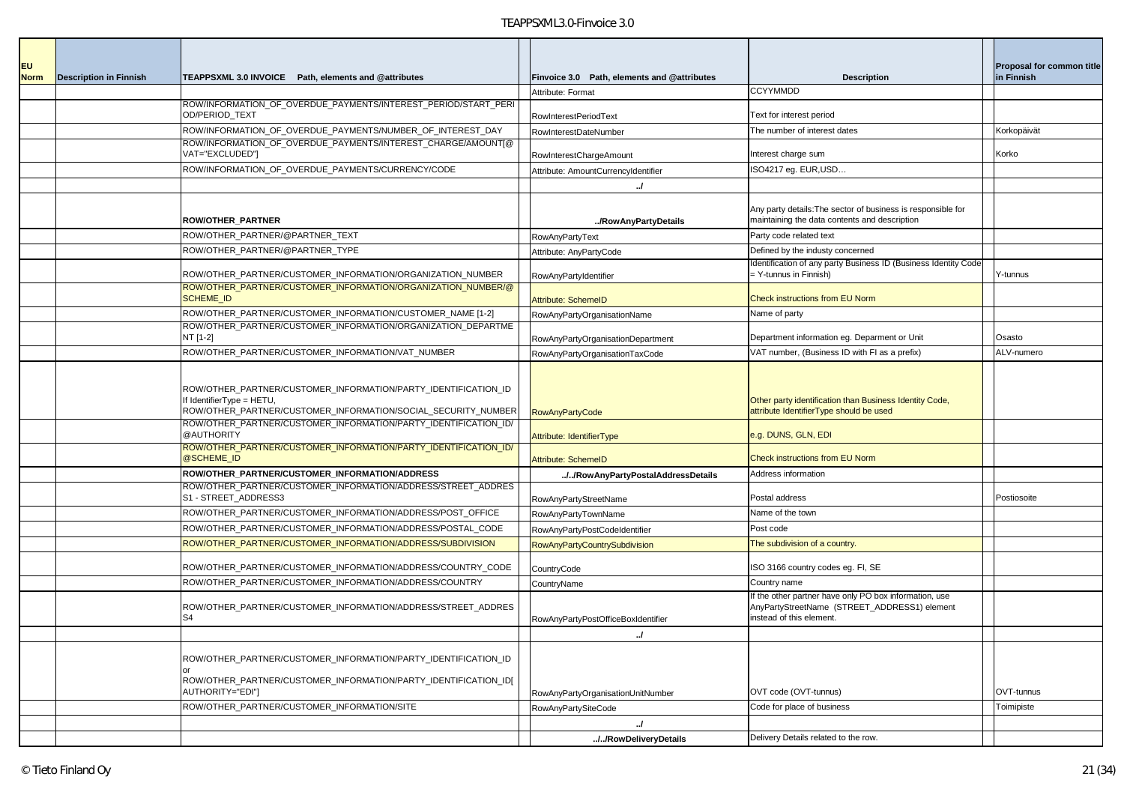| <b>EU</b>   |                               |                                                                                                                                                             |                                             |                                                                                                                                    | Proposal for common title |
|-------------|-------------------------------|-------------------------------------------------------------------------------------------------------------------------------------------------------------|---------------------------------------------|------------------------------------------------------------------------------------------------------------------------------------|---------------------------|
| <b>Norm</b> | <b>Description in Finnish</b> | TEAPPSXML 3.0 INVOICE Path, elements and @attributes                                                                                                        | Finvoice 3.0 Path, elements and @attributes | <b>Description</b>                                                                                                                 | in Finnish                |
|             |                               |                                                                                                                                                             | Attribute: Format                           | <b>CCYYMMDD</b>                                                                                                                    |                           |
|             |                               | ROW/INFORMATION_OF_OVERDUE_PAYMENTS/INTEREST_PERIOD/START_PERI<br>OD/PERIOD TEXT                                                                            | RowInterestPeriodText                       | Text for interest period                                                                                                           |                           |
|             |                               | ROW/INFORMATION_OF_OVERDUE_PAYMENTS/NUMBER_OF_INTEREST_DAY                                                                                                  | RowInterestDateNumber                       | The number of interest dates                                                                                                       | Korkopäivät               |
|             |                               | ROW/INFORMATION_OF_OVERDUE_PAYMENTS/INTEREST_CHARGE/AMOUNT[@<br>VAT="EXCLUDED"]                                                                             | RowInterestChargeAmount                     | nterest charge sum                                                                                                                 | Korko                     |
|             |                               | ROW/INFORMATION_OF_OVERDUE_PAYMENTS/CURRENCY/CODE                                                                                                           | Attribute: AmountCurrencyIdentifier         | ISO4217 eg. EUR, USD                                                                                                               |                           |
|             |                               |                                                                                                                                                             | $\cdot$                                     |                                                                                                                                    |                           |
|             |                               | ROW/OTHER PARTNER                                                                                                                                           | /RowAnyPartyDetails                         | Any party details: The sector of business is responsible for<br>maintaining the data contents and description                      |                           |
|             |                               | ROW/OTHER PARTNER/@PARTNER TEXT                                                                                                                             | RowAnyPartyText                             | Party code related text                                                                                                            |                           |
|             |                               | ROW/OTHER_PARTNER/@PARTNER_TYPE                                                                                                                             | Attribute: AnyPartyCode                     | Defined by the industy concerned                                                                                                   |                           |
|             |                               | ROW/OTHER_PARTNER/CUSTOMER_INFORMATION/ORGANIZATION_NUMBER                                                                                                  | RowAnyPartyIdentifier                       | Identification of any party Business ID (Business Identity Code<br>- Y-tunnus in Finnish)                                          | Y-tunnus                  |
|             |                               | ROW/OTHER_PARTNER/CUSTOMER_INFORMATION/ORGANIZATION_NUMBER/@<br><b>SCHEME_ID</b>                                                                            | <b>Attribute: SchemeID</b>                  | <b>Check instructions from EU Norm</b>                                                                                             |                           |
|             |                               | ROW/OTHER PARTNER/CUSTOMER INFORMATION/CUSTOMER NAME [1-2]                                                                                                  | RowAnyPartyOrganisationName                 | Name of party                                                                                                                      |                           |
|             |                               | ROW/OTHER PARTNER/CUSTOMER INFORMATION/ORGANIZATION DEPARTME<br>NT [1-2]                                                                                    | RowAnyPartyOrganisationDepartment           | Department information eg. Deparment or Unit                                                                                       | Osasto                    |
|             |                               | ROW/OTHER PARTNER/CUSTOMER INFORMATION/VAT NUMBER                                                                                                           | RowAnyPartyOrganisationTaxCode              | VAT number, (Business ID with FI as a prefix)                                                                                      | ALV-numero                |
|             |                               | ROW/OTHER_PARTNER/CUSTOMER_INFORMATION/PARTY_IDENTIFICATION_ID<br>f IdentifierType = HETU,<br>ROW/OTHER_PARTNER/CUSTOMER_INFORMATION/SOCIAL_SECURITY_NUMBER | <b>RowAnyPartyCode</b>                      | Other party identification than Business Identity Code,<br>attribute IdentifierType should be used                                 |                           |
|             |                               | ROW/OTHER_PARTNER/CUSTOMER_INFORMATION/PARTY_IDENTIFICATION_ID/<br>@AUTHORITY                                                                               | Attribute: IdentifierType                   | <u>e.g. DUNS, GLN, EDI</u>                                                                                                         |                           |
|             |                               | ROW/OTHER_PARTNER/CUSTOMER_INFORMATION/PARTY_IDENTIFICATION_ID/<br>@SCHEME_ID                                                                               | <b>Attribute: SchemeID</b>                  | <b>Check instructions from EU Norm</b>                                                                                             |                           |
|             |                               | ROW/OTHER_PARTNER/CUSTOMER_INFORMATION/ADDRESS                                                                                                              | //RowAnyPartyPostalAddressDetails           | Address information                                                                                                                |                           |
|             |                               | ROW/OTHER_PARTNER/CUSTOMER_INFORMATION/ADDRESS/STREET_ADDRES<br>S1 - STREET_ADDRESS3                                                                        | RowAnyPartyStreetName                       | Postal address                                                                                                                     | Postiosoite               |
|             |                               | ROW/OTHER_PARTNER/CUSTOMER_INFORMATION/ADDRESS/POST_OFFICE                                                                                                  | RowAnyPartyTownName                         | Name of the town                                                                                                                   |                           |
|             |                               | ROW/OTHER_PARTNER/CUSTOMER_INFORMATION/ADDRESS/POSTAL_CODE                                                                                                  | RowAnyPartyPostCodeIdentifier               | Post code                                                                                                                          |                           |
|             |                               | ROW/OTHER_PARTNER/CUSTOMER_INFORMATION/ADDRESS/SUBDIVISION                                                                                                  | <b>RowAnyPartyCountrySubdivision</b>        | The subdivision of a country.                                                                                                      |                           |
|             |                               | ROW/OTHER_PARTNER/CUSTOMER_INFORMATION/ADDRESS/COUNTRY_CODE                                                                                                 | CountryCode                                 | ISO 3166 country codes eg. FI, SE                                                                                                  |                           |
|             |                               | ROW/OTHER_PARTNER/CUSTOMER_INFORMATION/ADDRESS/COUNTRY                                                                                                      | CountryName                                 | Country name                                                                                                                       |                           |
|             |                               | ROW/OTHER PARTNER/CUSTOMER INFORMATION/ADDRESS/STREET ADDRES<br>S4                                                                                          | RowAnyPartyPostOfficeBoxIdentifier          | If the other partner have only PO box information, use<br>AnyPartyStreetName (STREET_ADDRESS1) element<br>instead of this element. |                           |
|             |                               |                                                                                                                                                             | J                                           |                                                                                                                                    |                           |
|             |                               | ROW/OTHER_PARTNER/CUSTOMER_INFORMATION/PARTY_IDENTIFICATION_ID<br>ROW/OTHER_PARTNER/CUSTOMER_INFORMATION/PARTY_IDENTIFICATION_ID[<br>AUTHORITY="EDI"]       | RowAnyPartyOrganisationUnitNumber           | OVT code (OVT-tunnus)                                                                                                              | OVT-tunnus                |
|             |                               | ROW/OTHER PARTNER/CUSTOMER INFORMATION/SITE                                                                                                                 | <b>RowAnyPartySiteCode</b>                  | Code for place of business                                                                                                         | Toimipiste                |
|             |                               |                                                                                                                                                             | J<br>//RowDeliveryDetails                   | Delivery Details related to the row.                                                                                               |                           |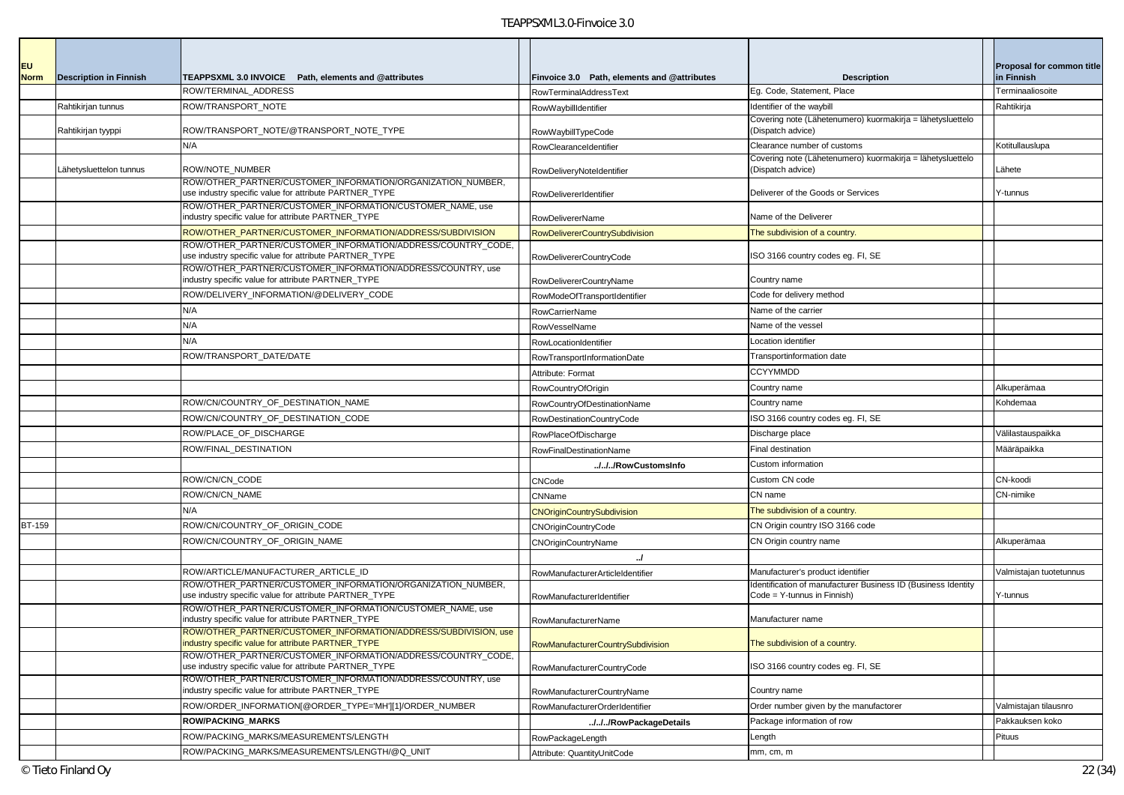| <b>EU</b>     |                               |                                                                                                                                                                                       |                                             |                                                                                              | <b>Proposal for common title</b> |
|---------------|-------------------------------|---------------------------------------------------------------------------------------------------------------------------------------------------------------------------------------|---------------------------------------------|----------------------------------------------------------------------------------------------|----------------------------------|
| <b>Norm</b>   | <b>Description in Finnish</b> | TEAPPSXML 3.0 INVOICE Path, elements and @attributes                                                                                                                                  | Finvoice 3.0 Path, elements and @attributes | <b>Description</b>                                                                           | in Finnish                       |
|               |                               | ROW/TERMINAL ADDRESS                                                                                                                                                                  | <b>RowTerminalAddressText</b>               | Eg. Code, Statement, Place                                                                   | Terminaaliosoite                 |
|               | Rahtikirjan tunnus            | ROW/TRANSPORT_NOTE                                                                                                                                                                    | RowWaybillIdentifier                        | Identifier of the waybill                                                                    | Rahtikirja                       |
|               | Rahtikirjan tyyppi            | ROW/TRANSPORT_NOTE/@TRANSPORT_NOTE_TYPE                                                                                                                                               | RowWaybillTypeCode                          | Covering note (Lähetenumero) kuormakirja = lähetysluettelo<br>(Dispatch advice)              |                                  |
|               |                               | N/A                                                                                                                                                                                   | RowClearanceIdentifier                      | Clearance number of customs                                                                  | Kotitullauslupa                  |
|               | Lähetysluettelon tunnus       | ROW/NOTE_NUMBER                                                                                                                                                                       | RowDeliveryNoteIdentifier                   | Covering note (Lähetenumero) kuormakirja = lähetysluettelo<br>(Dispatch advice)              | Lähete                           |
|               |                               | ROW/OTHER_PARTNER/CUSTOMER_INFORMATION/ORGANIZATION_NUMBER,<br>use industry specific value for attribute PARTNER_TYPE                                                                 | RowDelivererIdentifier                      | Deliverer of the Goods or Services                                                           | Y-tunnus                         |
|               |                               | ROW/OTHER_PARTNER/CUSTOMER_INFORMATION/CUSTOMER_NAME, use<br>industry specific value for attribute PARTNER_TYPE                                                                       | <b>RowDelivererName</b>                     | Name of the Deliverer                                                                        |                                  |
|               |                               | ROW/OTHER_PARTNER/CUSTOMER_INFORMATION/ADDRESS/SUBDIVISION                                                                                                                            | RowDelivererCountrySubdivision              | The subdivision of a country.                                                                |                                  |
|               |                               | ROW/OTHER PARTNER/CUSTOMER INFORMATION/ADDRESS/COUNTRY CODE,<br>use industry specific value for attribute PARTNER_TYPE<br>ROW/OTHER_PARTNER/CUSTOMER_INFORMATION/ADDRESS/COUNTRY, use | RowDelivererCountryCode                     | ISO 3166 country codes eg. FI, SE                                                            |                                  |
|               |                               | industry specific value for attribute PARTNER_TYPE                                                                                                                                    | RowDelivererCountryName                     | Country name                                                                                 |                                  |
|               |                               | ROW/DELIVERY_INFORMATION/@DELIVERY_CODE                                                                                                                                               | RowModeOfTransportIdentifier                | Code for delivery method                                                                     |                                  |
|               |                               | N/A                                                                                                                                                                                   | RowCarrierName                              | Name of the carrier                                                                          |                                  |
|               |                               | N/A                                                                                                                                                                                   | <b>RowVesselName</b>                        | Name of the vessel                                                                           |                                  |
|               |                               | N/A                                                                                                                                                                                   | RowLocationIdentifier                       | Location identifier                                                                          |                                  |
|               |                               | ROW/TRANSPORT DATE/DATE                                                                                                                                                               | RowTransportInformationDate                 | Transportinformation date                                                                    |                                  |
|               |                               |                                                                                                                                                                                       | Attribute: Format                           | <b>CCYYMMDD</b>                                                                              |                                  |
|               |                               |                                                                                                                                                                                       | RowCountryOfOrigin                          | Country name                                                                                 | Alkuperämaa                      |
|               |                               | ROW/CN/COUNTRY_OF_DESTINATION_NAME                                                                                                                                                    | RowCountryOfDestinationName                 | Country name                                                                                 | Kohdemaa                         |
|               |                               | ROW/CN/COUNTRY_OF_DESTINATION_CODE                                                                                                                                                    | RowDestinationCountryCode                   | ISO 3166 country codes eg. FI, SE                                                            |                                  |
|               |                               | ROW/PLACE_OF_DISCHARGE                                                                                                                                                                | RowPlaceOfDischarge                         | Discharge place                                                                              | Välilastauspaikka                |
|               |                               | ROW/FINAL_DESTINATION                                                                                                                                                                 | <b>RowFinalDestinationName</b>              | Final destination                                                                            | Määräpaikka                      |
|               |                               |                                                                                                                                                                                       | ///RowCustomsInfo                           | Custom information                                                                           |                                  |
|               |                               | ROW/CN/CN CODE                                                                                                                                                                        | <b>CNCode</b>                               | Custom CN code                                                                               | CN-koodi                         |
|               |                               | ROW/CN/CN NAME                                                                                                                                                                        | CNName                                      | CN name                                                                                      | CN-nimike                        |
|               |                               | N/A                                                                                                                                                                                   | <b>CNOriginCountrySubdivision</b>           | The subdivision of a country.                                                                |                                  |
| <b>BT-159</b> |                               | ROW/CN/COUNTRY_OF_ORIGIN_CODE                                                                                                                                                         | <b>CNOriginCountryCode</b>                  | CN Origin country ISO 3166 code                                                              |                                  |
|               |                               | ROW/CN/COUNTRY_OF_ORIGIN_NAME                                                                                                                                                         | CNOriginCountryName                         | CN Origin country name                                                                       | Alkuperämaa                      |
|               |                               |                                                                                                                                                                                       |                                             |                                                                                              |                                  |
|               |                               | ROW/ARTICLE/MANUFACTURER ARTICLE ID                                                                                                                                                   | RowManufacturerArticleIdentifier            | Manufacturer's product identifier                                                            | Valmistajan tuotetunnus          |
|               |                               | ROW/OTHER_PARTNER/CUSTOMER_INFORMATION/ORGANIZATION_NUMBER,<br>use industry specific value for attribute PARTNER_TYPE                                                                 | RowManufacturerIdentifier                   | Identification of manufacturer Business ID (Business Identity<br>Code = Y-tunnus in Finnish) | Y-tunnus                         |
|               |                               | ROW/OTHER_PARTNER/CUSTOMER_INFORMATION/CUSTOMER_NAME, use<br>industry specific value for attribute PARTNER_TYPE                                                                       | RowManufacturerName                         | Manufacturer name                                                                            |                                  |
|               |                               | ROW/OTHER_PARTNER/CUSTOMER_INFORMATION/ADDRESS/SUBDIVISION, use<br>industry specific value for attribute PARTNER_TYPE                                                                 | <b>RowManufacturerCountrySubdivision</b>    | The subdivision of a country.                                                                |                                  |
|               |                               | ROW/OTHER_PARTNER/CUSTOMER_INFORMATION/ADDRESS/COUNTRY_CODE,<br>use industry specific value for attribute PARTNER_TYPE                                                                | RowManufacturerCountryCode                  | ISO 3166 country codes eg. FI, SE                                                            |                                  |
|               |                               | ROW/OTHER PARTNER/CUSTOMER INFORMATION/ADDRESS/COUNTRY, use<br>industry specific value for attribute PARTNER_TYPE                                                                     | RowManufacturerCountryName                  | Country name                                                                                 |                                  |
|               |                               | ROW/ORDER_INFORMATION[@ORDER_TYPE='MH'][1]/ORDER_NUMBER                                                                                                                               | RowManufacturerOrderIdentifier              | Order number given by the manufactorer                                                       | Valmistajan tilausnro            |
|               |                               | <b>ROW/PACKING MARKS</b>                                                                                                                                                              | ///RowPackageDetails                        | Package information of row                                                                   | Pakkauksen koko                  |
|               |                               | ROW/PACKING_MARKS/MEASUREMENTS/LENGTH                                                                                                                                                 | RowPackageLength                            | Length                                                                                       | Pituus                           |
|               |                               | ROW/PACKING_MARKS/MEASUREMENTS/LENGTH/@Q_UNIT                                                                                                                                         | Attribute: QuantityUnitCode                 | mm, cm, m                                                                                    |                                  |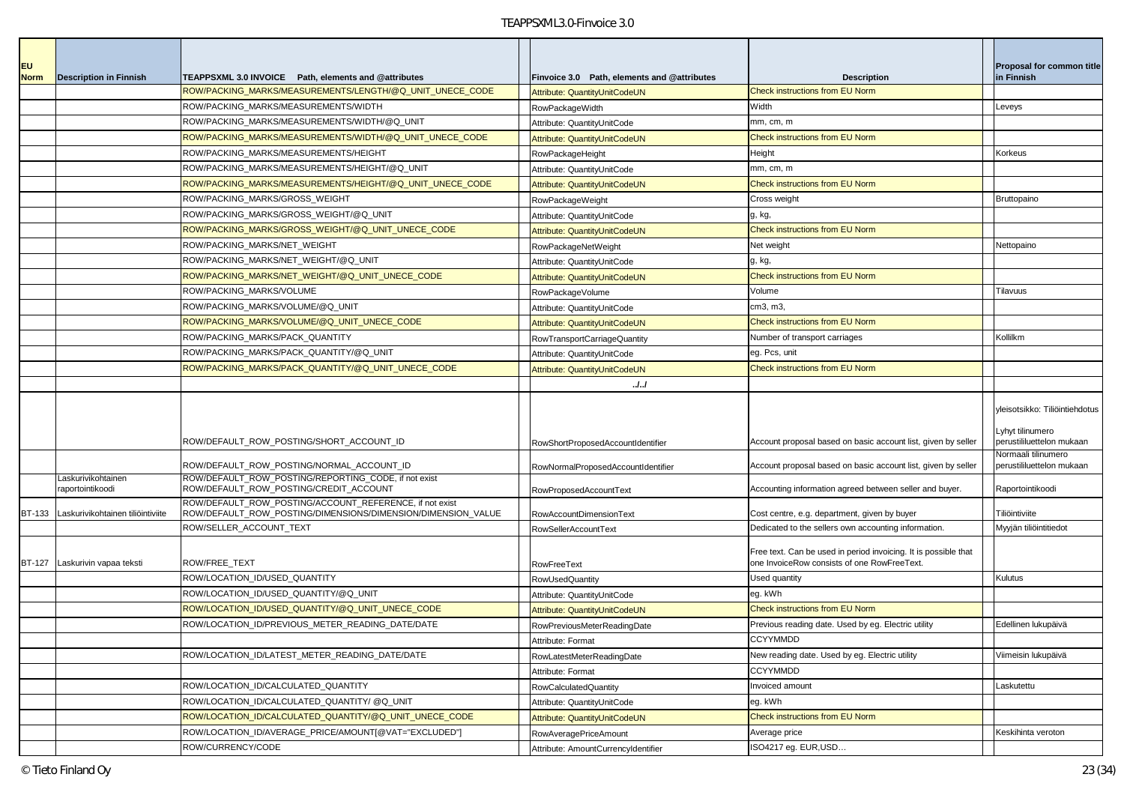| <b>EU</b>     |                                        |                                                                                                                         |                                             |                                                                                                                | Proposal for common title                                                       |
|---------------|----------------------------------------|-------------------------------------------------------------------------------------------------------------------------|---------------------------------------------|----------------------------------------------------------------------------------------------------------------|---------------------------------------------------------------------------------|
| <b>Norm</b>   | <b>Description in Finnish</b>          | TEAPPSXML 3.0 INVOICE Path. elements and @attributes                                                                    | Finvoice 3.0 Path, elements and @attributes | <b>Description</b>                                                                                             | in Finnish                                                                      |
|               |                                        | ROW/PACKING MARKS/MEASUREMENTS/LENGTH/@Q UNIT UNECE CODE                                                                | Attribute: QuantityUnitCodeUN               | <b>Check instructions from EU Norm</b>                                                                         |                                                                                 |
|               |                                        | ROW/PACKING_MARKS/MEASUREMENTS/WIDTH                                                                                    | <b>RowPackageWidth</b>                      | Width                                                                                                          | Leveys                                                                          |
|               |                                        | ROW/PACKING MARKS/MEASUREMENTS/WIDTH/@Q UNIT                                                                            | Attribute: QuantityUnitCode                 | mm, cm, m                                                                                                      |                                                                                 |
|               |                                        | ROW/PACKING MARKS/MEASUREMENTS/WIDTH/@Q UNIT UNECE CODE                                                                 | Attribute: QuantityUnitCodeUN               | <b>Check instructions from EU Norm</b>                                                                         |                                                                                 |
|               |                                        | ROW/PACKING_MARKS/MEASUREMENTS/HEIGHT                                                                                   | RowPackageHeight                            | Height                                                                                                         | Korkeus                                                                         |
|               |                                        | ROW/PACKING_MARKS/MEASUREMENTS/HEIGHT/@Q_UNIT                                                                           | Attribute: QuantityUnitCode                 | mm, cm, m                                                                                                      |                                                                                 |
|               |                                        | ROW/PACKING_MARKS/MEASUREMENTS/HEIGHT/@Q_UNIT_UNECE_CODE                                                                | Attribute: QuantityUnitCodeUN               | <b>Check instructions from EU Norm</b>                                                                         |                                                                                 |
|               |                                        | ROW/PACKING MARKS/GROSS WEIGHT                                                                                          | RowPackageWeight                            | Cross weight                                                                                                   | <b>Bruttopaino</b>                                                              |
|               |                                        | ROW/PACKING_MARKS/GROSS_WEIGHT/@Q_UNIT                                                                                  | Attribute: QuantityUnitCode                 | g, kg,                                                                                                         |                                                                                 |
|               |                                        | ROW/PACKING_MARKS/GROSS_WEIGHT/@Q_UNIT_UNECE_CODE                                                                       | Attribute: QuantityUnitCodeUN               | <b>Check instructions from EU Norm</b>                                                                         |                                                                                 |
|               |                                        | ROW/PACKING_MARKS/NET_WEIGHT                                                                                            | RowPackageNetWeight                         | Net weight                                                                                                     | Nettopaino                                                                      |
|               |                                        | ROW/PACKING_MARKS/NET_WEIGHT/@Q_UNIT                                                                                    | Attribute: QuantityUnitCode                 | g, kg,                                                                                                         |                                                                                 |
|               |                                        | ROW/PACKING_MARKS/NET_WEIGHT/@Q_UNIT_UNECE_CODE                                                                         | Attribute: QuantityUnitCodeUN               | <b>Check instructions from EU Norm</b>                                                                         |                                                                                 |
|               |                                        | ROW/PACKING_MARKS/VOLUME                                                                                                | RowPackageVolume                            | Volume                                                                                                         | Tilavuus                                                                        |
|               |                                        | ROW/PACKING_MARKS/VOLUME/@Q_UNIT                                                                                        | Attribute: QuantityUnitCode                 | cm3, m3,                                                                                                       |                                                                                 |
|               |                                        | ROW/PACKING_MARKS/VOLUME/@Q_UNIT_UNECE_CODE                                                                             | Attribute: QuantityUnitCodeUN               | <b>Check instructions from EU Norm</b>                                                                         |                                                                                 |
|               |                                        | ROW/PACKING_MARKS/PACK_QUANTITY                                                                                         | RowTransportCarriageQuantity                | Number of transport carriages                                                                                  | Kollilkm                                                                        |
|               |                                        | ROW/PACKING_MARKS/PACK_QUANTITY/@Q_UNIT                                                                                 | Attribute: QuantityUnitCode                 | eg. Pcs, unit                                                                                                  |                                                                                 |
|               |                                        | ROW/PACKING_MARKS/PACK_QUANTITY/@Q_UNIT_UNECE_CODE                                                                      | Attribute: QuantityUnitCodeUN               | <b>Check instructions from EU Norm</b>                                                                         |                                                                                 |
|               |                                        |                                                                                                                         | J.J                                         |                                                                                                                |                                                                                 |
|               |                                        | ROW/DEFAULT_ROW_POSTING/SHORT_ACCOUNT_ID                                                                                | RowShortProposedAccountIdentifier           | Account proposal based on basic account list, given by seller                                                  | yleisotsikko: Tiliöintiehdotus<br>Lyhyt tilinumero<br>perustililuettelon mukaan |
|               |                                        | ROW/DEFAULT_ROW_POSTING/NORMAL_ACCOUNT_ID                                                                               | RowNormalProposedAccountIdentifier          | Account proposal based on basic account list, given by seller                                                  | Vormaali tilinumero<br>berustililuettelon mukaan                                |
|               | Laskurivikohtainen<br>raportointikoodi | ROW/DEFAULT_ROW_POSTING/REPORTING_CODE, if not exist<br>ROW/DEFAULT_ROW_POSTING/CREDIT_ACCOUNT                          | RowProposedAccountText                      | Accounting information agreed between seller and buyer.                                                        | Raportointikoodi                                                                |
| <b>BT-133</b> | Laskurivikohtainen tiliöintiviite      | ROW/DEFAULT_ROW_POSTING/ACCOUNT_REFERENCE, if not exist<br>ROW/DEFAULT_ROW_POSTING/DIMENSIONS/DIMENSION/DIMENSION_VALUE | RowAccountDimensionText                     | Cost centre, e.g. department, given by buyer                                                                   | Tiliöintiviite                                                                  |
|               |                                        | ROW/SELLER_ACCOUNT_TEXT                                                                                                 | <b>RowSellerAccountText</b>                 | Dedicated to the sellers own accounting information.                                                           | Myyjän tiliöintitiedot                                                          |
|               | BT-127 Laskurivin vapaa teksti         | ROW/FREE_TEXT                                                                                                           | RowFreeText                                 | Free text. Can be used in period invoicing. It is possible that<br>one InvoiceRow consists of one RowFreeText. |                                                                                 |
|               |                                        | ROW/LOCATION ID/USED QUANTITY                                                                                           | <b>RowUsedQuantity</b>                      | Used quantity                                                                                                  | Kulutus                                                                         |
|               |                                        | ROW/LOCATION_ID/USED_QUANTITY/@Q_UNIT                                                                                   | Attribute: QuantityUnitCode                 | eg. kWh                                                                                                        |                                                                                 |
|               |                                        | ROW/LOCATION ID/USED QUANTITY/@Q UNIT UNECE CODE                                                                        | Attribute: QuantityUnitCodeUN               | <b>Check instructions from EU Norm</b>                                                                         |                                                                                 |
|               |                                        | ROW/LOCATION_ID/PREVIOUS_METER_READING_DATE/DATE                                                                        | RowPreviousMeterReadingDate                 | Previous reading date. Used by eg. Electric utility                                                            | Edellinen lukupäivä                                                             |
|               |                                        |                                                                                                                         | Attribute: Format                           | <b>CCYYMMDD</b>                                                                                                |                                                                                 |
|               |                                        | ROW/LOCATION ID/LATEST METER READING DATE/DATE                                                                          | RowLatestMeterReadingDate                   | New reading date. Used by eg. Electric utility                                                                 | Viimeisin lukupäivä                                                             |
|               |                                        |                                                                                                                         | Attribute: Format                           | <b>CCYYMMDD</b>                                                                                                |                                                                                 |
|               |                                        | ROW/LOCATION_ID/CALCULATED_QUANTITY                                                                                     | <b>RowCalculatedQuantity</b>                | Invoiced amount                                                                                                | Laskutettu                                                                      |
|               |                                        | ROW/LOCATION_ID/CALCULATED_QUANTITY/ @Q_UNIT                                                                            | Attribute: QuantityUnitCode                 | eg. kWh                                                                                                        |                                                                                 |
|               |                                        | ROW/LOCATION_ID/CALCULATED_QUANTITY/@Q_UNIT_UNECE_CODE                                                                  | Attribute: QuantityUnitCodeUN               | <b>Check instructions from EU Norm</b>                                                                         |                                                                                 |
|               |                                        | ROW/LOCATION_ID/AVERAGE_PRICE/AMOUNT[@VAT="EXCLUDED"]                                                                   | RowAveragePriceAmount                       | Average price                                                                                                  | Keskihinta veroton                                                              |
|               |                                        | ROW/CURRENCY/CODE                                                                                                       | Attribute: AmountCurrencyIdentifier         | ISO4217 eg. EUR, USD                                                                                           |                                                                                 |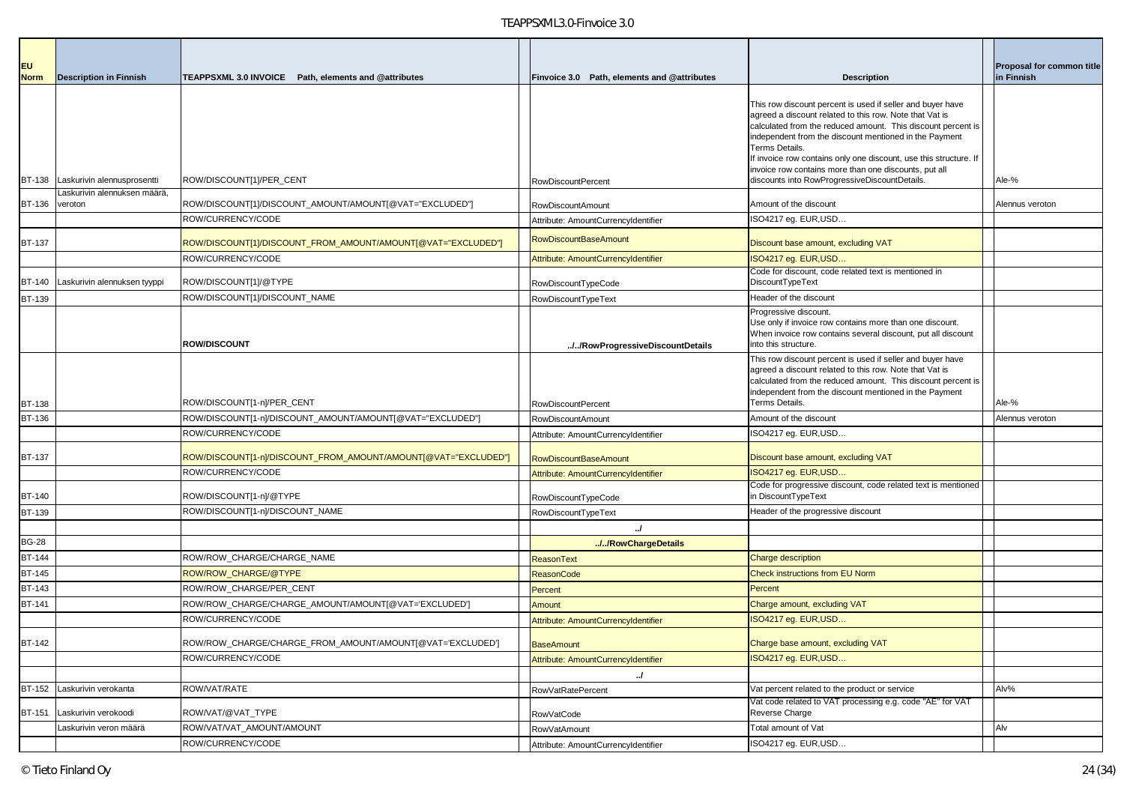| <b>EU</b><br><b>Norm</b> | <b>Description in Finnish</b>                               | TEAPPSXML 3.0 INVOICE Path, elements and @attributes           | Finvoice 3.0 Path, elements and @attributes | <b>Description</b>                                                                                                                                                                                                                                                                                                                                                                              | <b>Proposal for common title</b><br>in Finnish |
|--------------------------|-------------------------------------------------------------|----------------------------------------------------------------|---------------------------------------------|-------------------------------------------------------------------------------------------------------------------------------------------------------------------------------------------------------------------------------------------------------------------------------------------------------------------------------------------------------------------------------------------------|------------------------------------------------|
|                          |                                                             |                                                                |                                             | This row discount percent is used if seller and buyer have<br>agreed a discount related to this row. Note that Vat is<br>calculated from the reduced amount. This discount percent is<br>independent from the discount mentioned in the Payment<br>Terms Details.<br>If invoice row contains only one discount, use this structure. It<br>invoice row contains more than one discounts, put all |                                                |
| <b>BT-138</b>            | Laskurivin alennusprosentti<br>Laskurivin alennuksen määrä, | ROW/DISCOUNT[1]/PER_CENT                                       | <b>RowDiscountPercent</b>                   | discounts into RowProgressiveDiscountDetails.                                                                                                                                                                                                                                                                                                                                                   | Ale-%                                          |
| BT-136 veroton           |                                                             | ROW/DISCOUNT[1]/DISCOUNT_AMOUNT/AMOUNT[@VAT="EXCLUDED"]        | RowDiscountAmount                           | Amount of the discount                                                                                                                                                                                                                                                                                                                                                                          | Alennus veroton                                |
|                          |                                                             | ROW/CURRENCY/CODE                                              | Attribute: AmountCurrencyIdentifier         | ISO4217 eg. EUR,USD                                                                                                                                                                                                                                                                                                                                                                             |                                                |
| <b>BT-137</b>            |                                                             | ?OW/DISCOUNT[1]/DISCOUNT_FROM_AMOUNT/AMOUNT[@VAT="EXCLUDED"]   | RowDiscountBaseAmount                       | Discount base amount, excluding VAT                                                                                                                                                                                                                                                                                                                                                             |                                                |
|                          |                                                             | ROW/CURRENCY/CODE                                              | Attribute: AmountCurrencyIdentifier         | ISO4217 eg. EUR, USD                                                                                                                                                                                                                                                                                                                                                                            |                                                |
| <b>BT-140</b>            | Laskurivin alennuksen tyyppi                                | ROW/DISCOUNT[1]/@TYPE                                          | RowDiscountTypeCode                         | Code for discount, code related text is mentioned in<br>DiscountTypeText                                                                                                                                                                                                                                                                                                                        |                                                |
| BT-139                   |                                                             | ROW/DISCOUNT[1]/DISCOUNT_NAME                                  | RowDiscountTypeText                         | Header of the discount                                                                                                                                                                                                                                                                                                                                                                          |                                                |
|                          |                                                             | <b>ROW/DISCOUNT</b>                                            | //RowProgressiveDiscountDetails             | Progressive discount.<br>Use only if invoice row contains more than one discount.<br>When invoice row contains several discount, put all discount<br>into this structure.                                                                                                                                                                                                                       |                                                |
| <b>BT-138</b>            |                                                             | ROW/DISCOUNT[1-n]/PER_CENT                                     | <b>RowDiscountPercent</b>                   | This row discount percent is used if seller and buyer have<br>agreed a discount related to this row. Note that Vat is<br>calculated from the reduced amount. This discount percent is<br>independent from the discount mentioned in the Payment<br><b>Terms Details.</b>                                                                                                                        | Ale-%                                          |
| BT-136                   |                                                             | ROW/DISCOUNT[1-n]/DISCOUNT_AMOUNT/AMOUNT[@VAT="EXCLUDED"]      | <b>RowDiscountAmount</b>                    | Amount of the discount                                                                                                                                                                                                                                                                                                                                                                          | Alennus veroton                                |
|                          |                                                             | ROW/CURRENCY/CODE                                              | Attribute: AmountCurrencyIdentifier         | ISO4217 eg. EUR, USD                                                                                                                                                                                                                                                                                                                                                                            |                                                |
| <b>BT-137</b>            |                                                             | ?OW/DISCOUNT[1-n]/DISCOUNT_FROM_AMOUNT/AMOUNT[@VAT="EXCLUDED"] | <b>RowDiscountBaseAmount</b>                | Discount base amount, excluding VAT                                                                                                                                                                                                                                                                                                                                                             |                                                |
|                          |                                                             | ROW/CURRENCY/CODE                                              | Attribute: AmountCurrencyIdentifier         | ISO4217 eg. EUR, USD                                                                                                                                                                                                                                                                                                                                                                            |                                                |
| <b>BT-140</b>            |                                                             | ROW/DISCOUNT[1-n]/@TYPE                                        | RowDiscountTypeCode                         | Code for progressive discount, code related text is mentioned<br>in DiscountTypeText                                                                                                                                                                                                                                                                                                            |                                                |
| <b>BT-139</b>            |                                                             | ROW/DISCOUNT[1-n]/DISCOUNT_NAME                                | RowDiscountTypeText                         | Header of the progressive discount                                                                                                                                                                                                                                                                                                                                                              |                                                |
|                          |                                                             |                                                                | $\mathcal{L}$                               |                                                                                                                                                                                                                                                                                                                                                                                                 |                                                |
| <b>BG-28</b>             |                                                             |                                                                | //RowChargeDetails                          |                                                                                                                                                                                                                                                                                                                                                                                                 |                                                |
| <b>BT-144</b>            |                                                             | ROW/ROW_CHARGE/CHARGE_NAME                                     | <b>ReasonText</b>                           | Charge description                                                                                                                                                                                                                                                                                                                                                                              |                                                |
| <b>BT-145</b>            |                                                             | ROW/ROW_CHARGE/@TYPE                                           | <b>ReasonCode</b>                           | Check instructions from EU Norm                                                                                                                                                                                                                                                                                                                                                                 |                                                |
| <b>BT-143</b>            |                                                             | ROW/ROW CHARGE/PER CENT                                        | Percent                                     | Percent                                                                                                                                                                                                                                                                                                                                                                                         |                                                |
| <b>BT-141</b>            |                                                             | ROW/ROW_CHARGE/CHARGE_AMOUNT/AMOUNT[@VAT='EXCLUDED']           | Amount                                      | Charge amount, excluding VAT                                                                                                                                                                                                                                                                                                                                                                    |                                                |
|                          |                                                             | ROW/CURRENCY/CODE                                              | Attribute: AmountCurrencyIdentifier         | ISO4217 eg. EUR, USD                                                                                                                                                                                                                                                                                                                                                                            |                                                |
| <b>BT-142</b>            |                                                             | ROW/ROW_CHARGE/CHARGE_FROM_AMOUNT/AMOUNT[@VAT='EXCLUDED']      | <b>BaseAmount</b>                           | Charge base amount, excluding VAT                                                                                                                                                                                                                                                                                                                                                               |                                                |
|                          |                                                             | ROW/CURRENCY/CODE                                              | Attribute: AmountCurrencyIdentifier         | ISO4217 eg. EUR, USD                                                                                                                                                                                                                                                                                                                                                                            |                                                |
|                          |                                                             |                                                                | $\cdot$                                     |                                                                                                                                                                                                                                                                                                                                                                                                 |                                                |
|                          |                                                             |                                                                |                                             |                                                                                                                                                                                                                                                                                                                                                                                                 |                                                |
| BT-152                   | Laskurivin verokanta                                        | ROW/VAT/RATE                                                   | RowVatRatePercent                           | Vat percent related to the product or service                                                                                                                                                                                                                                                                                                                                                   | Alv%                                           |
| <b>BT-151</b>            | Laskurivin verokoodi                                        | ROW/VAT/@VAT_TYPE                                              | <b>RowVatCode</b>                           | Vat code related to VAT processing e.g. code "AE" for VAT<br>Reverse Charge                                                                                                                                                                                                                                                                                                                     |                                                |
|                          | Laskurivin veron määrä                                      | ROW/VAT/VAT_AMOUNT/AMOUNT<br>ROW/CURRENCY/CODE                 | <b>RowVatAmount</b>                         | Total amount of Vat<br>ISO4217 eg. EUR,USD                                                                                                                                                                                                                                                                                                                                                      | Alv                                            |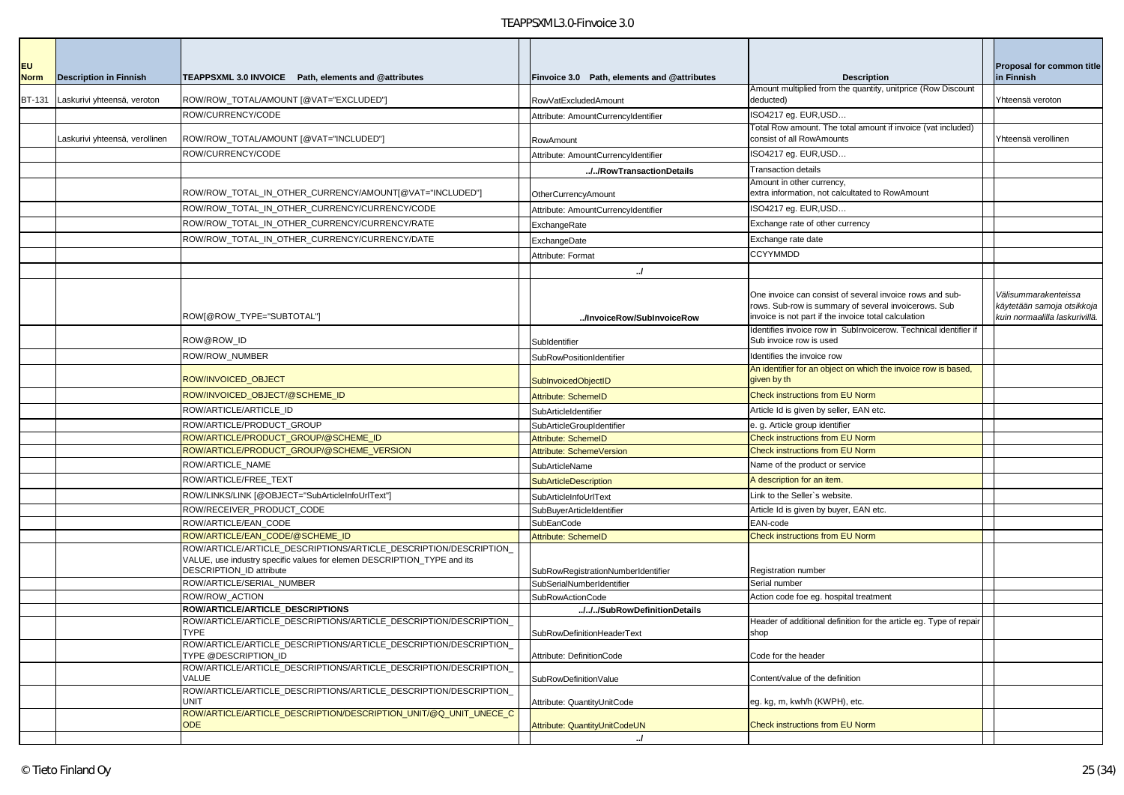| <b>EU</b>     |                                |                                                                                                                                                                                |                                             |                                                                                                                                                                          | Proposal for common title                                                            |
|---------------|--------------------------------|--------------------------------------------------------------------------------------------------------------------------------------------------------------------------------|---------------------------------------------|--------------------------------------------------------------------------------------------------------------------------------------------------------------------------|--------------------------------------------------------------------------------------|
| <b>Norm</b>   | <b>Description in Finnish</b>  | TEAPPSXML 3.0 INVOICE Path, elements and @attributes                                                                                                                           | Finvoice 3.0 Path, elements and @attributes | <b>Description</b>                                                                                                                                                       | in Finnish                                                                           |
| <b>BT-131</b> | Laskurivi yhteensä, veroton    | ROW/ROW_TOTAL/AMOUNT [@VAT="EXCLUDED"]                                                                                                                                         | RowVatExcludedAmount                        | Amount multiplied from the quantity, unitprice (Row Discount<br>deducted)                                                                                                | Yhteensä veroton                                                                     |
|               |                                | ROW/CURRENCY/CODE                                                                                                                                                              | Attribute: AmountCurrencyIdentifier         | ISO4217 eg. EUR, USD                                                                                                                                                     |                                                                                      |
|               | Laskurivi yhteensä, verollinen | ROW/ROW_TOTAL/AMOUNT [@VAT="INCLUDED"]                                                                                                                                         | RowAmount                                   | Total Row amount. The total amount if invoice (vat included)<br>consist of all RowAmounts                                                                                | Yhteensä verollinen                                                                  |
|               |                                | ROW/CURRENCY/CODE                                                                                                                                                              | Attribute: AmountCurrencyIdentifier         | ISO4217 eg. EUR,USD                                                                                                                                                      |                                                                                      |
|               |                                |                                                                                                                                                                                | //RowTransactionDetails                     | <b>Transaction details</b>                                                                                                                                               |                                                                                      |
|               |                                | ROW/ROW_TOTAL_IN_OTHER_CURRENCY/AMOUNT[@VAT="INCLUDED"]                                                                                                                        | OtherCurrencyAmount                         | Amount in other currency,<br>extra information, not calcultated to RowAmount                                                                                             |                                                                                      |
|               |                                | ROW/ROW_TOTAL_IN_OTHER_CURRENCY/CURRENCY/CODE                                                                                                                                  | Attribute: AmountCurrencyIdentifier         | ISO4217 eq. EUR,USD                                                                                                                                                      |                                                                                      |
|               |                                | ROW/ROW_TOTAL_IN_OTHER_CURRENCY/CURRENCY/RATE                                                                                                                                  | ExchangeRate                                | Exchange rate of other currency                                                                                                                                          |                                                                                      |
|               |                                | ROW/ROW_TOTAL_IN_OTHER_CURRENCY/CURRENCY/DATE                                                                                                                                  | ExchangeDate                                | Exchange rate date                                                                                                                                                       |                                                                                      |
|               |                                |                                                                                                                                                                                | Attribute: Format                           | <b>CCYYMMDD</b>                                                                                                                                                          |                                                                                      |
|               |                                |                                                                                                                                                                                | $\cdot$                                     |                                                                                                                                                                          |                                                                                      |
|               |                                | ROW[@ROW_TYPE="SUBTOTAL"]                                                                                                                                                      | /InvoiceRow/SubInvoiceRow                   | One invoice can consist of several invoice rows and sub-<br>rows. Sub-row is summary of several invoicerows. Sub<br>invoice is not part if the invoice total calculation | Välisummarakenteissa<br>käytetään samoja otsikkoja<br>kuin normaalilla laskurivillä. |
|               |                                | ROW@ROW_ID                                                                                                                                                                     | SubIdentifier                               | Identifies invoice row in SubInvoicerow. Technical identifier if<br>Sub invoice row is used                                                                              |                                                                                      |
|               |                                | <b>ROW/ROW NUMBER</b>                                                                                                                                                          | SubRowPositionIdentifier                    | Identifies the invoice row                                                                                                                                               |                                                                                      |
|               |                                | ROW/INVOICED_OBJECT                                                                                                                                                            | <b>SubInvoicedObjectID</b>                  | An identifier for an object on which the invoice row is based<br>given by th                                                                                             |                                                                                      |
|               |                                | ROW/INVOICED_OBJECT/@SCHEME_ID                                                                                                                                                 | Attribute: SchemeID                         | <b>Check instructions from EU Norm</b>                                                                                                                                   |                                                                                      |
|               |                                | ROW/ARTICLE/ARTICLE_ID                                                                                                                                                         | SubArticleIdentifier                        | Article Id is given by seller, EAN etc.                                                                                                                                  |                                                                                      |
|               |                                | ROW/ARTICLE/PRODUCT_GROUP                                                                                                                                                      | SubArticleGroupIdentifier                   | e. q. Article group identifier                                                                                                                                           |                                                                                      |
|               |                                | ROW/ARTICLE/PRODUCT_GROUP/@SCHEME_ID                                                                                                                                           | Attribute: SchemeID                         | <b>Check instructions from EU Norm</b>                                                                                                                                   |                                                                                      |
|               |                                | ROW/ARTICLE/PRODUCT_GROUP/@SCHEME_VERSION                                                                                                                                      | Attribute: SchemeVersion                    | <b>Check instructions from EU Norm</b>                                                                                                                                   |                                                                                      |
|               |                                | ROW/ARTICLE_NAME                                                                                                                                                               | SubArticleName                              | Name of the product or service                                                                                                                                           |                                                                                      |
|               |                                | ROW/ARTICLE/FREE_TEXT                                                                                                                                                          | <b>SubArticleDescription</b>                | A description for an item.                                                                                                                                               |                                                                                      |
|               |                                | ROW/LINKS/LINK [@OBJECT="SubArticleInfoUrlText"]                                                                                                                               | SubArticleInfoUrlText                       | Link to the Seller's website.                                                                                                                                            |                                                                                      |
|               |                                | ROW/RECEIVER_PRODUCT_CODE                                                                                                                                                      | SubBuyerArticleIdentifier                   | Article Id is given by buyer, EAN etc.                                                                                                                                   |                                                                                      |
|               |                                | ROW/ARTICLE/EAN_CODE                                                                                                                                                           | SubEanCode                                  | EAN-code                                                                                                                                                                 |                                                                                      |
|               |                                | ROW/ARTICLE/EAN_CODE/@SCHEME_ID                                                                                                                                                | <b>Attribute: SchemeID</b>                  | <b>Check instructions from EU Norm</b>                                                                                                                                   |                                                                                      |
|               |                                | ROW/ARTICLE/ARTICLE_DESCRIPTIONS/ARTICLE_DESCRIPTION/DESCRIPTION<br>VALUE, use industry specific values for elemen DESCRIPTION TYPE and its<br><b>DESCRIPTION ID attribute</b> | SubRowRegistrationNumberIdentifier          | Registration number                                                                                                                                                      |                                                                                      |
|               |                                | ROW/ARTICLE/SERIAL_NUMBER                                                                                                                                                      | SubSerialNumberIdentifier                   | Serial number                                                                                                                                                            |                                                                                      |
|               |                                | ROW/ROW ACTION                                                                                                                                                                 | <b>SubRowActionCode</b>                     | Action code foe eg. hospital treatment                                                                                                                                   |                                                                                      |
|               |                                | ROW/ARTICLE/ARTICLE_DESCRIPTIONS<br>ROW/ARTICLE/ARTICLE_DESCRIPTIONS/ARTICLE_DESCRIPTION/DESCRIPTION                                                                           | ///SubRowDefinitionDetails                  | Header of additional definition for the article eq. Type of repair                                                                                                       |                                                                                      |
|               |                                | <b>TYPE</b>                                                                                                                                                                    | SubRowDefinitionHeaderText                  | shop                                                                                                                                                                     |                                                                                      |
|               |                                | ROW/ARTICLE/ARTICLE_DESCRIPTIONS/ARTICLE_DESCRIPTION/DESCRIPTION<br>TYPE @DESCRIPTION_ID                                                                                       | Attribute: DefinitionCode                   | Code for the header                                                                                                                                                      |                                                                                      |
|               |                                | ROW/ARTICLE/ARTICLE DESCRIPTIONS/ARTICLE DESCRIPTION/DESCRIPTION<br>VALUE                                                                                                      | SubRowDefinitionValue                       | Content/value of the definition                                                                                                                                          |                                                                                      |
|               |                                | ROW/ARTICLE/ARTICLE DESCRIPTIONS/ARTICLE DESCRIPTION/DESCRIPTION<br><b>UNIT</b>                                                                                                | Attribute: QuantityUnitCode                 | eg. kg, m, kwh/h (KWPH), etc.                                                                                                                                            |                                                                                      |
|               |                                | ROW/ARTICLE/ARTICLE DESCRIPTION/DESCRIPTION UNIT/@Q UNIT UNECE C<br><b>ODE</b>                                                                                                 | Attribute: QuantityUnitCodeUN               | Check instructions from EU Norm                                                                                                                                          |                                                                                      |
|               |                                |                                                                                                                                                                                | $\cdot$                                     |                                                                                                                                                                          |                                                                                      |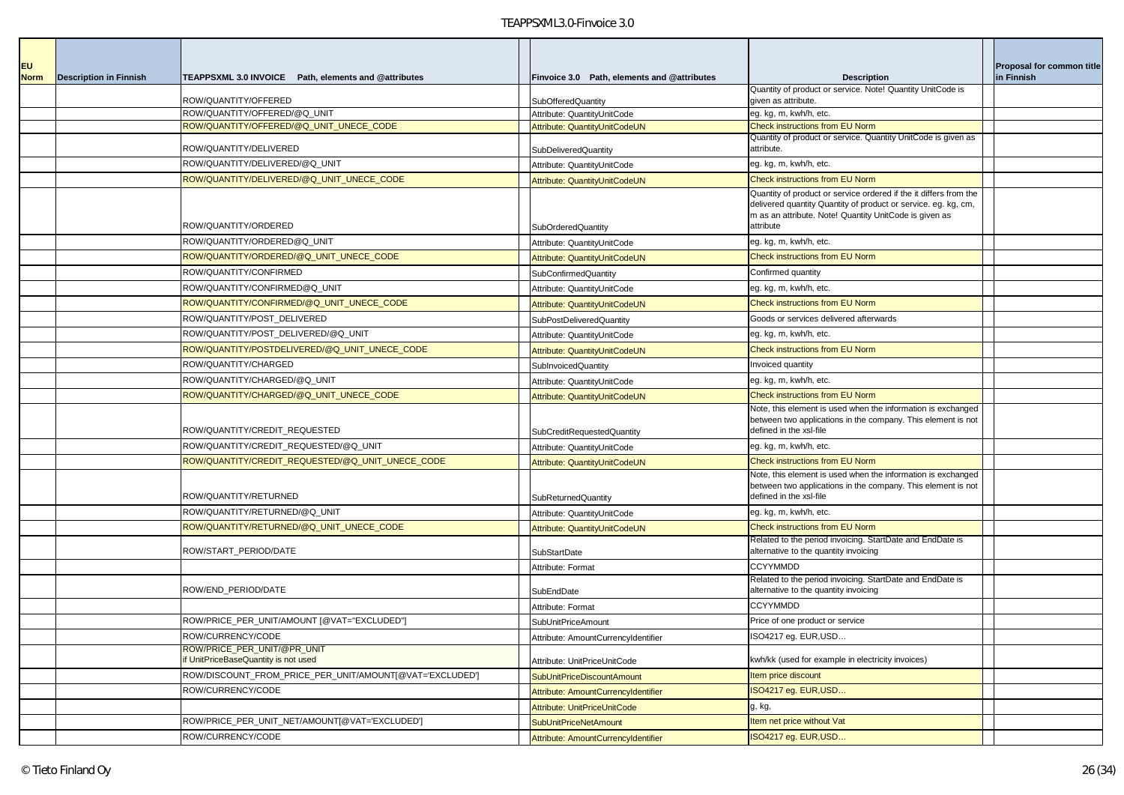| <b>EU</b>   |                               |                                                          |                                                              |                                                                                                                              | Proposal for common title |
|-------------|-------------------------------|----------------------------------------------------------|--------------------------------------------------------------|------------------------------------------------------------------------------------------------------------------------------|---------------------------|
| <b>Norm</b> | <b>Description in Finnish</b> | TEAPPSXML 3.0 INVOICE Path, elements and @attributes     | Finvoice 3.0 Path, elements and @attributes                  | <b>Description</b>                                                                                                           | in Finnish                |
|             |                               | ROW/QUANTITY/OFFERED                                     | <b>SubOfferedQuantity</b>                                    | Quantity of product or service. Note! Quantity UnitCode is<br>given as attribute.                                            |                           |
|             |                               | ROW/QUANTITY/OFFERED/@Q_UNIT                             | Attribute: QuantitvUnitCode                                  | eg. kg, m, kwh/h, etc.                                                                                                       |                           |
|             |                               | ROW/QUANTITY/OFFERED/@Q_UNIT_UNECE_CODE                  | Attribute: QuantityUnitCodeUN                                | Check instructions from EU Norm                                                                                              |                           |
|             |                               | ROW/QUANTITY/DELIVERED                                   |                                                              | Quantity of product or service. Quantity UnitCode is given as<br>attribute.                                                  |                           |
|             |                               | ROW/QUANTITY/DELIVERED/@Q_UNIT                           | SubDeliveredQuantity<br>Attribute: QuantityUnitCode          | eg. kg, m, kwh/h, etc.                                                                                                       |                           |
|             |                               | ROW/QUANTITY/DELIVERED/@Q_UNIT_UNECE_CODE                | Attribute: QuantityUnitCodeUN                                | <b>Check instructions from EU Norm</b>                                                                                       |                           |
|             |                               |                                                          |                                                              | Quantity of product or service ordered if the it differs from the                                                            |                           |
|             |                               |                                                          |                                                              | delivered quantity Quantity of product or service. eg. kg, cm,                                                               |                           |
|             |                               | ROW/QUANTITY/ORDERED                                     |                                                              | m as an attribute. Note! Quantity UnitCode is given as<br>attribute                                                          |                           |
|             |                               | ROW/QUANTITY/ORDERED@Q_UNIT                              | <b>SubOrderedQuantity</b>                                    | eg. kg, m, kwh/h, etc.                                                                                                       |                           |
|             |                               | ROW/QUANTITY/ORDERED/@Q_UNIT_UNECE_CODE                  | Attribute: QuantityUnitCode<br>Attribute: QuantityUnitCodeUN | <b>Check instructions from EU Norm</b>                                                                                       |                           |
|             |                               | ROW/QUANTITY/CONFIRMED                                   | SubConfirmedQuantity                                         | Confirmed quantity                                                                                                           |                           |
|             |                               | ROW/QUANTITY/CONFIRMED@Q_UNIT                            |                                                              | eg. kg, m, kwh/h, etc.                                                                                                       |                           |
|             |                               | ROW/QUANTITY/CONFIRMED/@Q_UNIT_UNECE_CODE                | Attribute: QuantityUnitCode                                  | Check instructions from EU Norm                                                                                              |                           |
|             |                               | ROW/QUANTITY/POST DELIVERED                              | Attribute: QuantityUnitCodeUN                                | Goods or services delivered afterwards                                                                                       |                           |
|             |                               | ROW/QUANTITY/POST_DELIVERED/@Q_UNIT                      | SubPostDeliveredQuantity                                     | eg. kg, m, kwh/h, etc.                                                                                                       |                           |
|             |                               | ROW/QUANTITY/POSTDELIVERED/@Q_UNIT_UNECE_CODE            | Attribute: QuantityUnitCode                                  | Check instructions from EU Norm                                                                                              |                           |
|             |                               | ROW/QUANTITY/CHARGED                                     | Attribute: QuantityUnitCodeUN                                |                                                                                                                              |                           |
|             |                               | ROW/QUANTITY/CHARGED/@Q_UNIT                             | SubInvoicedQuantity                                          | Invoiced quantity<br>eg. kg, m, kwh/h, etc.                                                                                  |                           |
|             |                               | ROW/QUANTITY/CHARGED/@Q_UNIT_UNECE_CODE                  | Attribute: QuantityUnitCode                                  | Check instructions from EU Norm                                                                                              |                           |
|             |                               |                                                          | Attribute: QuantityUnitCodeUN                                | Note, this element is used when the information is exchanged                                                                 |                           |
|             |                               |                                                          |                                                              | between two applications in the company. This element is not                                                                 |                           |
|             |                               | ROW/QUANTITY/CREDIT_REQUESTED                            | SubCreditRequestedQuantity                                   | defined in the xsl-file                                                                                                      |                           |
|             |                               | ROW/QUANTITY/CREDIT_REQUESTED/@Q_UNIT                    | Attribute: QuantityUnitCode                                  | eg. kg, m, kwh/h, etc.                                                                                                       |                           |
|             |                               | ROW/QUANTITY/CREDIT_REQUESTED/@Q_UNIT_UNECE_CODE         | Attribute: QuantityUnitCodeUN                                | <b>Check instructions from EU Norm</b>                                                                                       |                           |
|             |                               |                                                          |                                                              | Note, this element is used when the information is exchanged<br>between two applications in the company. This element is not |                           |
|             |                               | ROW/QUANTITY/RETURNED                                    | <b>SubReturnedQuantity</b>                                   | defined in the xsl-file                                                                                                      |                           |
|             |                               | ROW/QUANTITY/RETURNED/@Q_UNIT                            | Attribute: QuantityUnitCode                                  | eg. kg, m, kwh/h, etc.                                                                                                       |                           |
|             |                               | ROW/QUANTITY/RETURNED/@Q_UNIT_UNECE_CODE                 | Attribute: QuantityUnitCodeUN                                | Check instructions from EU Norm                                                                                              |                           |
|             |                               |                                                          |                                                              | Related to the period invoicing. StartDate and EndDate is                                                                    |                           |
|             |                               | ROW/START_PERIOD/DATE                                    | <b>SubStartDate</b>                                          | alternative to the quantity invoicing                                                                                        |                           |
|             |                               |                                                          | Attribute: Format                                            | <b>CCYYMMDD</b><br>Related to the period invoicing. StartDate and EndDate is                                                 |                           |
|             |                               | ROW/END_PERIOD/DATE                                      | SubEndDate                                                   | alternative to the quantity invoicing                                                                                        |                           |
|             |                               |                                                          | Attribute: Format                                            | <b>CCYYMMDD</b>                                                                                                              |                           |
|             |                               | ROW/PRICE_PER_UNIT/AMOUNT [@VAT="EXCLUDED"]              | SubUnitPriceAmount                                           | Price of one product or service                                                                                              |                           |
|             |                               | ROW/CURRENCY/CODE                                        | Attribute: AmountCurrencyIdentifier                          | ISO4217 eg. EUR,USD                                                                                                          |                           |
|             |                               | ROW/PRICE PER UNIT/@PR UNIT                              |                                                              |                                                                                                                              |                           |
|             |                               | If UnitPriceBaseQuantity is not used                     | Attribute: UnitPriceUnitCode                                 | kwh/kk (used for example in electricity invoices)                                                                            |                           |
|             |                               | ROW/DISCOUNT FROM PRICE PER UNIT/AMOUNT[@VAT='EXCLUDED'] | SubUnitPriceDiscountAmount                                   | Item price discount                                                                                                          |                           |
|             |                               | ROW/CURRENCY/CODE                                        | Attribute: AmountCurrencyIdentifier                          | ISO4217 eg. EUR, USD                                                                                                         |                           |
|             |                               |                                                          | Attribute: UnitPriceUnitCode                                 | g, kg,                                                                                                                       |                           |
|             |                               | ROW/PRICE_PER_UNIT_NET/AMOUNT[@VAT='EXCLUDED']           | SubUnitPriceNetAmount                                        | Item net price without Vat                                                                                                   |                           |
|             |                               | ROW/CURRENCY/CODE                                        | Attribute: AmountCurrencyIdentifier                          | ISO4217 eg. EUR, USD                                                                                                         |                           |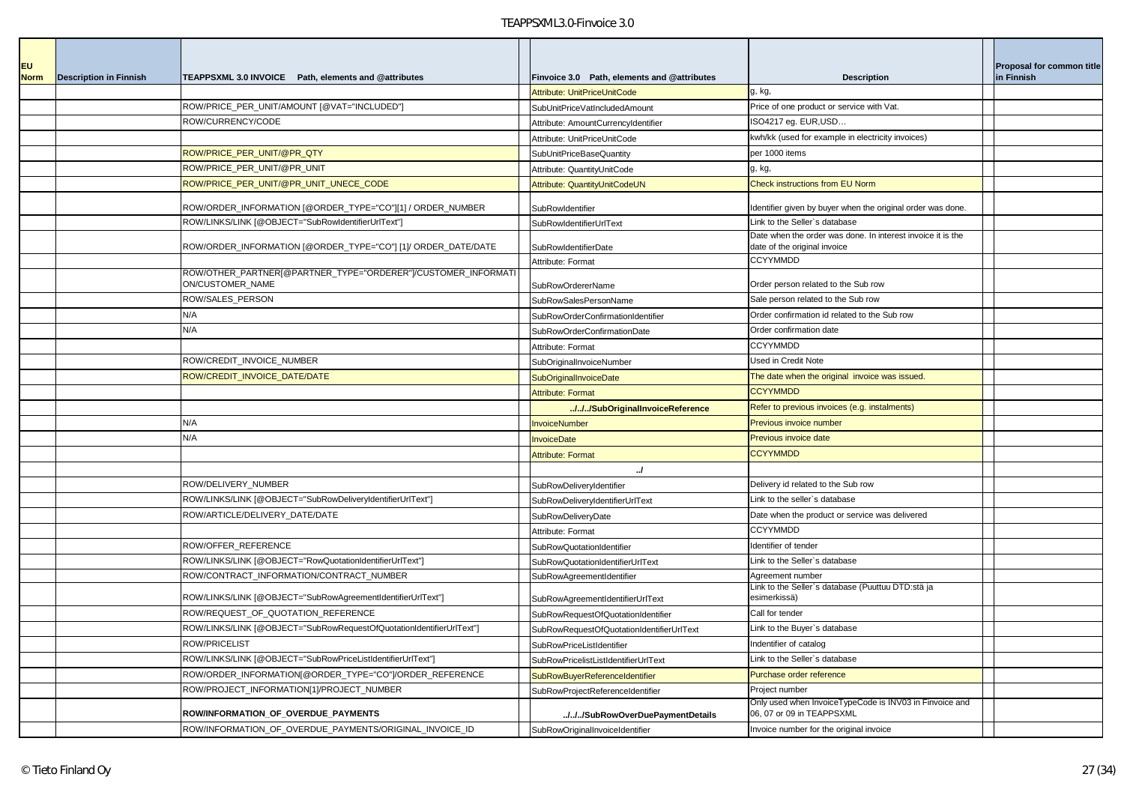| <b>EU</b>   |                               |                                                                                   |                                             |                                                                                             | Proposal for common title |
|-------------|-------------------------------|-----------------------------------------------------------------------------------|---------------------------------------------|---------------------------------------------------------------------------------------------|---------------------------|
| <b>Norm</b> | <b>Description in Finnish</b> | TEAPPSXML 3.0 INVOICE Path, elements and @attributes                              | Finvoice 3.0 Path, elements and @attributes | <b>Description</b>                                                                          | in Finnish                |
|             |                               |                                                                                   | <b>Attribute: UnitPriceUnitCode</b>         | g, kg,                                                                                      |                           |
|             |                               | ROW/PRICE_PER_UNIT/AMOUNT [@VAT="INCLUDED"]                                       | SubUnitPriceVatIncludedAmount               | Price of one product or service with Vat.                                                   |                           |
|             |                               | ROW/CURRENCY/CODE                                                                 | Attribute: AmountCurrencyIdentifier         | ISO4217 eg. EUR, USD                                                                        |                           |
|             |                               |                                                                                   | Attribute: UnitPriceUnitCode                | kwh/kk (used for example in electricity invoices)                                           |                           |
|             |                               | ROW/PRICE_PER_UNIT/@PR_QTY                                                        | <b>SubUnitPriceBaseQuantity</b>             | per 1000 items                                                                              |                           |
|             |                               | ROW/PRICE_PER_UNIT/@PR_UNIT                                                       | Attribute: QuantitvUnitCode                 | g, kg,                                                                                      |                           |
|             |                               | ROW/PRICE_PER_UNIT/@PR_UNIT_UNECE_CODE                                            | Attribute: QuantityUnitCodeUN               | Check instructions from EU Norm                                                             |                           |
|             |                               | ROW/ORDER_INFORMATION [@ORDER_TYPE="CO"][1] / ORDER_NUMBER                        | SubRowldentifier                            | Identifier given by buyer when the original order was done.                                 |                           |
|             |                               | ROW/LINKS/LINK [@OBJECT="SubRowIdentifierUrlText"]                                | <b>SubRowIdentifierUrlText</b>              | Link to the Seller's database                                                               |                           |
|             |                               | ?OW/ORDER_INFORMATION [@ORDER_TYPE="CO"] [1]/ ORDER_DATE/DATE                     | SubRowldentifierDate                        | Date when the order was done. In interest invoice it is the<br>date of the original invoice |                           |
|             |                               |                                                                                   | Attribute: Format                           | <b>CCYYMMDD</b>                                                                             |                           |
|             |                               | ?OW/OTHER_PARTNER[@PARTNER_TYPE="ORDERER"]/CUSTOMER_INFORMATI<br>ON/CUSTOMER_NAME | <b>SubRowOrdererName</b>                    | Order person related to the Sub row                                                         |                           |
|             |                               | ROW/SALES PERSON                                                                  | SubRowSalesPersonName                       | Sale person related to the Sub row                                                          |                           |
|             |                               | N/A                                                                               | SubRowOrderConfirmationIdentifier           | Order confirmation id related to the Sub row                                                |                           |
|             |                               | N/A                                                                               | SubRowOrderConfirmationDate                 | Order confirmation date                                                                     |                           |
|             |                               |                                                                                   | Attribute: Format                           | <b>CCYYMMDD</b>                                                                             |                           |
|             |                               | ROW/CREDIT_INVOICE_NUMBER                                                         | SubOriginalInvoiceNumber                    | Used in Credit Note                                                                         |                           |
|             |                               | ROW/CREDIT_INVOICE_DATE/DATE                                                      | SubOriginalInvoiceDate                      | The date when the original invoice was issued.                                              |                           |
|             |                               |                                                                                   | <b>Attribute: Format</b>                    | <b>CCYYMMDD</b>                                                                             |                           |
|             |                               |                                                                                   | ///SubOriginalInvoiceReference              | Refer to previous invoices (e.g. instalments)                                               |                           |
|             |                               | N/A                                                                               | <b>InvoiceNumber</b>                        | Previous invoice number                                                                     |                           |
|             |                               | N/A                                                                               | <b>InvoiceDate</b>                          | Previous invoice date                                                                       |                           |
|             |                               |                                                                                   | <b>Attribute: Format</b>                    | <b>CCYYMMDD</b>                                                                             |                           |
|             |                               |                                                                                   | $\mathcal{L}$                               |                                                                                             |                           |
|             |                               | ROW/DELIVERY_NUMBER                                                               | SubRowDeliveryIdentifier                    | Delivery id related to the Sub row                                                          |                           |
|             |                               | ROW/LINKS/LINK [@OBJECT="SubRowDeliveryIdentifierUrlText"]                        | SubRowDeliveryIdentifierUrlText             | Link to the seller's database                                                               |                           |
|             |                               | ROW/ARTICLE/DELIVERY DATE/DATE                                                    | SubRowDeliveryDate                          | Date when the product or service was delivered                                              |                           |
|             |                               |                                                                                   | Attribute: Format                           | <b>CCYYMMDD</b>                                                                             |                           |
|             |                               | ROW/OFFER_REFERENCE                                                               | SubRowQuotationIdentifier                   | Identifier of tender                                                                        |                           |
|             |                               | ROW/LINKS/LINK [@OBJECT="RowQuotationIdentifierUrlText"]                          | SubRowQuotationIdentifierUrlText            | Link to the Seller's database                                                               |                           |
|             |                               | ROW/CONTRACT INFORMATION/CONTRACT NUMBER                                          | SubRowAgreementIdentifier                   | Agreement number                                                                            |                           |
|             |                               | ROW/LINKS/LINK [@OBJECT="SubRowAgreementIdentifierUrlText"]                       | SubRowAgreementIdentifierUrlText            | Link to the Seller's database (Puuttuu DTD:stä ja<br>esimerkissä)                           |                           |
|             |                               | ROW/REQUEST_OF_QUOTATION_REFERENCE                                                | SubRowRequestOfQuotationIdentifier          | Call for tender                                                                             |                           |
|             |                               | ROW/LINKS/LINK [@OBJECT="SubRowRequestOfQuotationIdentifierUrlText"]              | SubRowRequestOfQuotationIdentifierUrlText   | Link to the Buyer's database                                                                |                           |
|             |                               | ROW/PRICELIST                                                                     | SubRowPriceListIdentifier                   | Indentifier of catalog                                                                      |                           |
|             |                               | ROW/LINKS/LINK [@OBJECT="SubRowPriceListIdentifierUrlText"]                       | SubRowPricelistListIdentifierUrlText        | Link to the Seller's database                                                               |                           |
|             |                               | ROW/ORDER_INFORMATION[@ORDER_TYPE="CO"]/ORDER_REFERENCE                           | SubRowBuyerReferenceIdentifier              | Purchase order reference                                                                    |                           |
|             |                               | ROW/PROJECT_INFORMATION[1]/PROJECT_NUMBER                                         | SubRowProjectReferenceIdentifier            | Project number                                                                              |                           |
|             |                               | ROW/INFORMATION_OF_OVERDUE_PAYMENTS                                               | ///SubRowOverDuePaymentDetails              | Only used when InvoiceTypeCode is INV03 in Finvoice and<br>06, 07 or 09 in TEAPPSXML        |                           |
|             |                               | ROW/INFORMATION_OF_OVERDUE_PAYMENTS/ORIGINAL_INVOICE_ID                           | SubRowOriginalInvoiceIdentifier             | Invoice number for the original invoice                                                     |                           |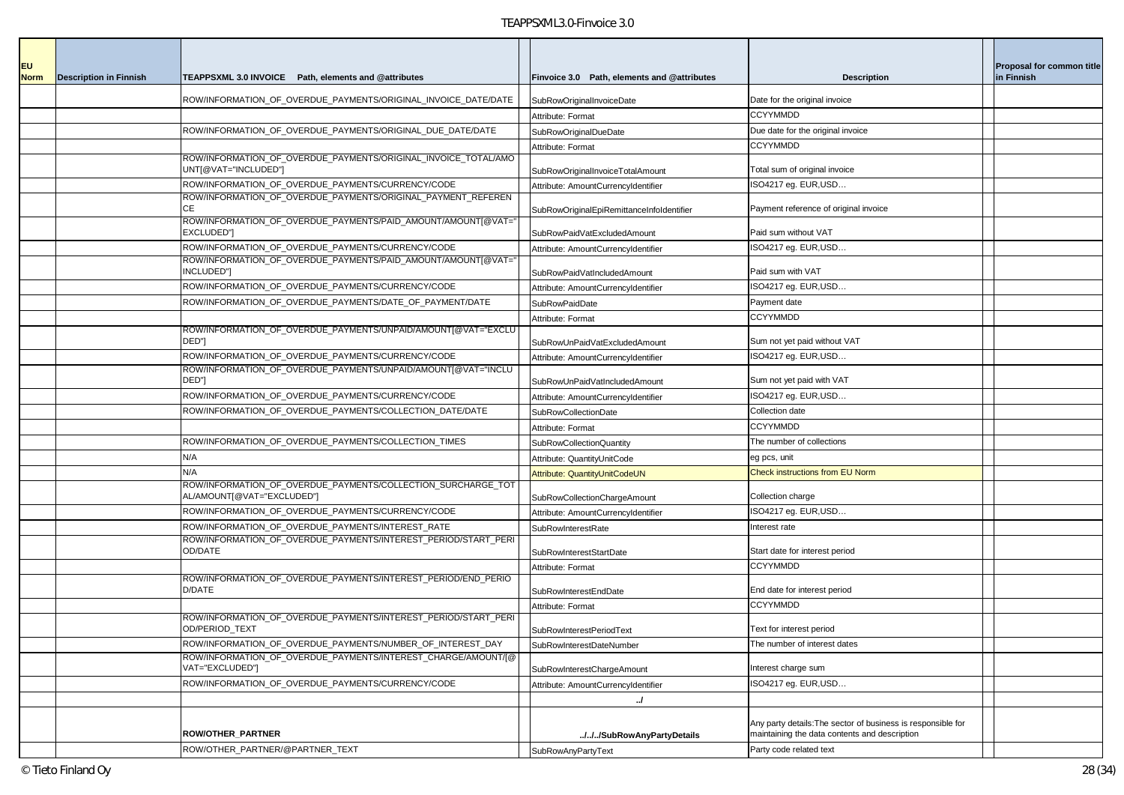| <b>EU</b><br><b>Norm</b> | <b>Description in Finnish</b> | TEAPPSXML 3.0 INVOICE Path, elements and @attributes                                       | Finvoice 3.0 Path, elements and @attributes | <b>Description</b>                                           | Proposal for common title<br>in Finnish |
|--------------------------|-------------------------------|--------------------------------------------------------------------------------------------|---------------------------------------------|--------------------------------------------------------------|-----------------------------------------|
|                          |                               |                                                                                            |                                             |                                                              |                                         |
|                          |                               | ROW/INFORMATION_OF_OVERDUE_PAYMENTS/ORIGINAL_INVOICE_DATE/DATE                             | SubRowOriginalInvoiceDate                   | Date for the original invoice                                |                                         |
|                          |                               |                                                                                            | Attribute: Format                           | <b>CCYYMMDD</b>                                              |                                         |
|                          |                               | ROW/INFORMATION_OF_OVERDUE_PAYMENTS/ORIGINAL_DUE_DATE/DATE                                 | SubRowOriginalDueDate                       | Due date for the original invoice                            |                                         |
|                          |                               |                                                                                            | Attribute: Format                           | <b>CCYYMMDD</b>                                              |                                         |
|                          |                               | ROW/INFORMATION_OF_OVERDUE_PAYMENTS/ORIGINAL_INVOICE_TOTAL/AMO<br>UNT[@VAT="INCLUDED"]     | SubRowOriginalInvoiceTotalAmount            | Total sum of original invoice                                |                                         |
|                          |                               | ROW/INFORMATION OF OVERDUE PAYMENTS/CURRENCY/CODE                                          | Attribute: AmountCurrencyIdentifier         | ISO4217 eg. EUR, USD                                         |                                         |
|                          |                               | ROW/INFORMATION OF OVERDUE PAYMENTS/ORIGINAL PAYMENT REFEREN<br>CЕ                         | SubRowOriginalEpiRemittanceInfoldentifier   | Payment reference of original invoice                        |                                         |
|                          |                               | ROW/INFORMATION_OF_OVERDUE_PAYMENTS/PAID_AMOUNT/AMOUNT[@VAT="<br>EXCLUDED"]                | SubRowPaidVatExcludedAmount                 | Paid sum without VAT                                         |                                         |
|                          |                               | ROW/INFORMATION_OF_OVERDUE_PAYMENTS/CURRENCY/CODE                                          | Attribute: AmountCurrencyIdentifier         | ISO4217 eg. EUR,USD                                          |                                         |
|                          |                               | ROW/INFORMATION_OF_OVERDUE_PAYMENTS/PAID_AMOUNT/AMOUNT[@VAT="<br>INCLUDED"]                | SubRowPaidVatIncludedAmount                 | Paid sum with VAT                                            |                                         |
|                          |                               | ROW/INFORMATION_OF_OVERDUE_PAYMENTS/CURRENCY/CODE                                          | Attribute: AmountCurrencyIdentifier         | ISO4217 eg. EUR,USD                                          |                                         |
|                          |                               | ROW/INFORMATION OF OVERDUE PAYMENTS/DATE OF PAYMENT/DATE                                   | SubRowPaidDate                              | Payment date                                                 |                                         |
|                          |                               |                                                                                            | Attribute: Format                           | <b>CCYYMMDD</b>                                              |                                         |
|                          |                               | ROW/INFORMATION_OF_OVERDUE_PAYMENTS/UNPAID/AMOUNT[@VAT="EXCLU<br>DED"]                     | SubRowUnPaidVatExcludedAmount               | Sum not yet paid without VAT                                 |                                         |
|                          |                               | ROW/INFORMATION_OF_OVERDUE_PAYMENTS/CURRENCY/CODE                                          | Attribute: AmountCurrencyIdentifier         | ISO4217 eg. EUR, USD                                         |                                         |
|                          |                               | ROW/INFORMATION OF OVERDUE PAYMENTS/UNPAID/AMOUNT[@VAT="INCLU<br>DED"]                     | SubRowUnPaidVatIncludedAmount               | Sum not yet paid with VAT                                    |                                         |
|                          |                               | ROW/INFORMATION_OF_OVERDUE_PAYMENTS/CURRENCY/CODE                                          | Attribute: AmountCurrencyIdentifier         | ISO4217 eg. EUR, USD                                         |                                         |
|                          |                               | ROW/INFORMATION OF OVERDUE PAYMENTS/COLLECTION DATE/DATE                                   | <b>SubRowCollectionDate</b>                 | Collection date                                              |                                         |
|                          |                               |                                                                                            | Attribute: Format                           | <b>CCYYMMDD</b>                                              |                                         |
|                          |                               | ROW/INFORMATION_OF_OVERDUE_PAYMENTS/COLLECTION_TIMES                                       | SubRowCollectionQuantity                    | The number of collections                                    |                                         |
|                          |                               | N/A                                                                                        | Attribute: QuantityUnitCode                 | eg pcs, unit                                                 |                                         |
|                          |                               | N/A                                                                                        | Attribute: QuantityUnitCodeUN               | Check instructions from EU Norm                              |                                         |
|                          |                               | ROW/INFORMATION_OF_OVERDUE_PAYMENTS/COLLECTION_SURCHARGE_TOT<br>AL/AMOUNT[@VAT="EXCLUDED"] | SubRowCollectionChargeAmount                | Collection charge                                            |                                         |
|                          |                               | ROW/INFORMATION_OF_OVERDUE_PAYMENTS/CURRENCY/CODE                                          | Attribute: AmountCurrencyIdentifier         | ISO4217 eg. EUR, USD                                         |                                         |
|                          |                               | ROW/INFORMATION_OF_OVERDUE_PAYMENTS/INTEREST_RATE                                          | SubRowInterestRate                          | Interest rate                                                |                                         |
|                          |                               | ROW/INFORMATION_OF_OVERDUE_PAYMENTS/INTEREST_PERIOD/START_PERI<br>OD/DATE                  | SubRowInterestStartDate                     | Start date for interest period                               |                                         |
|                          |                               |                                                                                            | Attribute: Format                           | <b>CCYYMMDD</b>                                              |                                         |
|                          |                               | ROW/INFORMATION_OF_OVERDUE_PAYMENTS/INTEREST_PERIOD/END_PERIO<br>D/DATE                    | SubRowInterestEndDate                       | End date for interest period                                 |                                         |
|                          |                               |                                                                                            | Attribute: Format                           | <b>CCYYMMDD</b>                                              |                                         |
|                          |                               | ROW/INFORMATION_OF_OVERDUE_PAYMENTS/INTEREST_PERIOD/START_PERI<br>OD/PERIOD TEXT           | SubRowInterestPeriodText                    | Text for interest period                                     |                                         |
|                          |                               | ROW/INFORMATION_OF_OVERDUE_PAYMENTS/NUMBER_OF_INTEREST_DAY                                 | SubRowInterestDateNumber                    | The number of interest dates                                 |                                         |
|                          |                               | ROW/INFORMATION_OF_OVERDUE_PAYMENTS/INTEREST_CHARGE/AMOUNT/[@<br>VAT="EXCLUDED"]           | SubRowInterestChargeAmount                  | Interest charge sum                                          |                                         |
|                          |                               | ROW/INFORMATION_OF_OVERDUE_PAYMENTS/CURRENCY/CODE                                          | Attribute: AmountCurrencyIdentifier         | ISO4217 eg. EUR, USD                                         |                                         |
|                          |                               |                                                                                            | $\cdot$                                     |                                                              |                                         |
|                          |                               |                                                                                            |                                             | Any party details: The sector of business is responsible for |                                         |
|                          |                               | ROW/OTHER PARTNER                                                                          | ///SubRowAnyPartyDetails                    | maintaining the data contents and description                |                                         |
|                          |                               | ROW/OTHER_PARTNER/@PARTNER_TEXT                                                            | SubRowAnyPartyText                          | Party code related text                                      |                                         |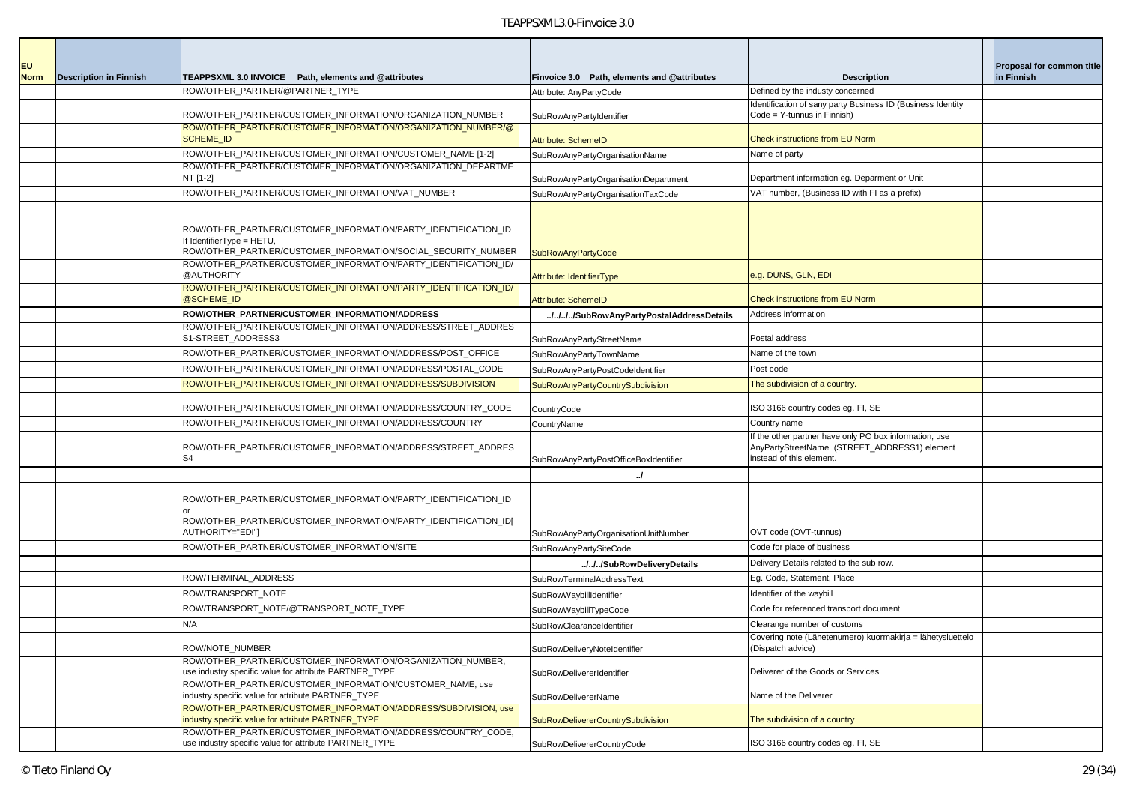| <b>EU</b>   |                               |                                                                                                                                                             |                                             |                                                                                                                                    | Proposal for common title |
|-------------|-------------------------------|-------------------------------------------------------------------------------------------------------------------------------------------------------------|---------------------------------------------|------------------------------------------------------------------------------------------------------------------------------------|---------------------------|
| <b>Norm</b> | <b>Description in Finnish</b> | TEAPPSXML 3.0 INVOICE Path, elements and @attributes                                                                                                        | Finvoice 3.0 Path, elements and @attributes | <b>Description</b>                                                                                                                 | in Finnish                |
|             |                               | ROW/OTHER_PARTNER/@PARTNER_TYPE                                                                                                                             | Attribute: AnyPartyCode                     | Defined by the industy concerned                                                                                                   |                           |
|             |                               | ROW/OTHER_PARTNER/CUSTOMER_INFORMATION/ORGANIZATION_NUMBER                                                                                                  | SubRowAnyPartyIdentifier                    | Identification of sany party Business ID (Business Identity<br>Code = Y-tunnus in Finnish)                                         |                           |
|             |                               | ROW/OTHER_PARTNER/CUSTOMER_INFORMATION/ORGANIZATION_NUMBER/@<br><b>SCHEME_ID</b>                                                                            | Attribute: SchemeID                         | <b>Check instructions from EU Norm</b>                                                                                             |                           |
|             |                               | ROW/OTHER_PARTNER/CUSTOMER_INFORMATION/CUSTOMER_NAME [1-2]                                                                                                  | SubRowAnyPartyOrganisationName              | Name of party                                                                                                                      |                           |
|             |                               | ROW/OTHER PARTNER/CUSTOMER INFORMATION/ORGANIZATION DEPARTME<br>NT [1-2]                                                                                    | SubRowAnyPartyOrganisationDepartment        | Department information eg. Deparment or Unit                                                                                       |                           |
|             |                               | ROW/OTHER_PARTNER/CUSTOMER_INFORMATION/VAT_NUMBER                                                                                                           | SubRowAnyPartyOrganisationTaxCode           | VAT number, (Business ID with FI as a prefix)                                                                                      |                           |
|             |                               | ROW/OTHER_PARTNER/CUSTOMER_INFORMATION/PARTY_IDENTIFICATION_ID<br>f IdentifierType = HETU,<br>ROW/OTHER_PARTNER/CUSTOMER_INFORMATION/SOCIAL_SECURITY_NUMBER | <b>SubRowAnyPartyCode</b>                   |                                                                                                                                    |                           |
|             |                               | ROW/OTHER PARTNER/CUSTOMER INFORMATION/PARTY IDENTIFICATION ID/<br>@AUTHORITY                                                                               | Attribute: IdentifierType                   | <u>ə.g. DUNS, GLN, EDI</u>                                                                                                         |                           |
|             |                               | ROW/OTHER_PARTNER/CUSTOMER_INFORMATION/PARTY_IDENTIFICATION_ID/<br>@SCHEME_ID                                                                               | <b>Attribute: SchemeID</b>                  | <b>Check instructions from EU Norm</b>                                                                                             |                           |
|             |                               | ROW/OTHER PARTNER/CUSTOMER INFORMATION/ADDRESS                                                                                                              | ////SubRowAnyPartyPostalAddressDetails      | Address information                                                                                                                |                           |
|             |                               | ROW/OTHER PARTNER/CUSTOMER INFORMATION/ADDRESS/STREET ADDRES<br>S1-STREET_ADDRESS3                                                                          | SubRowAnyPartyStreetName                    | Postal address                                                                                                                     |                           |
|             |                               | ROW/OTHER PARTNER/CUSTOMER INFORMATION/ADDRESS/POST OFFICE                                                                                                  | SubRowAnyPartyTownName                      | Name of the town                                                                                                                   |                           |
|             |                               | ROW/OTHER PARTNER/CUSTOMER INFORMATION/ADDRESS/POSTAL CODE                                                                                                  | SubRowAnyPartyPostCodeIdentifier            | Post code                                                                                                                          |                           |
|             |                               | ROW/OTHER PARTNER/CUSTOMER INFORMATION/ADDRESS/SUBDIVISION                                                                                                  | SubRowAnyPartyCountrySubdivision            | The subdivision of a country.                                                                                                      |                           |
|             |                               | ROW/OTHER_PARTNER/CUSTOMER_INFORMATION/ADDRESS/COUNTRY_CODE                                                                                                 | CountryCode                                 | ISO 3166 country codes eg. FI, SE                                                                                                  |                           |
|             |                               | ROW/OTHER_PARTNER/CUSTOMER_INFORMATION/ADDRESS/COUNTRY                                                                                                      | CountryName                                 | Country name                                                                                                                       |                           |
|             |                               | ROW/OTHER_PARTNER/CUSTOMER_INFORMATION/ADDRESS/STREET_ADDRES<br>S4                                                                                          | SubRowAnyPartyPostOfficeBoxIdentifier       | If the other partner have only PO box information, use<br>AnyPartyStreetName (STREET_ADDRESS1) element<br>instead of this element. |                           |
|             |                               |                                                                                                                                                             | $\cdot$                                     |                                                                                                                                    |                           |
|             |                               | ROW/OTHER_PARTNER/CUSTOMER_INFORMATION/PARTY_IDENTIFICATION_ID<br>ROW/OTHER_PARTNER/CUSTOMER_INFORMATION/PARTY_IDENTIFICATION_ID[                           |                                             |                                                                                                                                    |                           |
|             |                               | AUTHORITY="EDI"]                                                                                                                                            | SubRowAnyPartyOrganisationUnitNumber        | OVT code (OVT-tunnus)                                                                                                              |                           |
|             |                               | ROW/OTHER_PARTNER/CUSTOMER_INFORMATION/SITE                                                                                                                 | SubRowAnyPartySiteCode                      | Code for place of business                                                                                                         |                           |
|             |                               |                                                                                                                                                             | ///SubRowDeliveryDetails                    | Delivery Details related to the sub row.                                                                                           |                           |
|             |                               | ROW/TERMINAL_ADDRESS                                                                                                                                        | SubRowTerminalAddressText                   | Eg. Code, Statement, Place                                                                                                         |                           |
|             |                               | ROW/TRANSPORT NOTE                                                                                                                                          | SubRowWaybillIdentifier                     | Identifier of the waybill                                                                                                          |                           |
|             |                               | ROW/TRANSPORT_NOTE/@TRANSPORT_NOTE_TYPE                                                                                                                     | SubRowWaybillTypeCode                       | Code for referenced transport document                                                                                             |                           |
|             |                               | N/A                                                                                                                                                         | SubRowClearanceIdentifier                   | Clearange number of customs                                                                                                        |                           |
|             |                               | ROW/NOTE_NUMBER                                                                                                                                             | SubRowDeliveryNoteIdentifier                | Covering note (Lähetenumero) kuormakirja = lähetysluettelo<br>(Dispatch advice)                                                    |                           |
|             |                               | ROW/OTHER PARTNER/CUSTOMER INFORMATION/ORGANIZATION NUMBER,<br>use industry specific value for attribute PARTNER_TYPE                                       | SubRowDelivererIdentifier                   | Deliverer of the Goods or Services                                                                                                 |                           |
|             |                               | ROW/OTHER PARTNER/CUSTOMER INFORMATION/CUSTOMER NAME, use<br>industry specific value for attribute PARTNER_TYPE                                             | <b>SubRowDelivererName</b>                  | Name of the Deliverer                                                                                                              |                           |
|             |                               | ROW/OTHER_PARTNER/CUSTOMER_INFORMATION/ADDRESS/SUBDIVISION, use<br>industry specific value for attribute PARTNER TYPE                                       | SubRowDelivererCountrySubdivision           | The subdivision of a country                                                                                                       |                           |
|             |                               | ROW/OTHER PARTNER/CUSTOMER INFORMATION/ADDRESS/COUNTRY CODE,<br>use industry specific value for attribute PARTNER TYPE                                      | SubRowDelivererCountryCode                  | ISO 3166 country codes eq. FI, SE                                                                                                  |                           |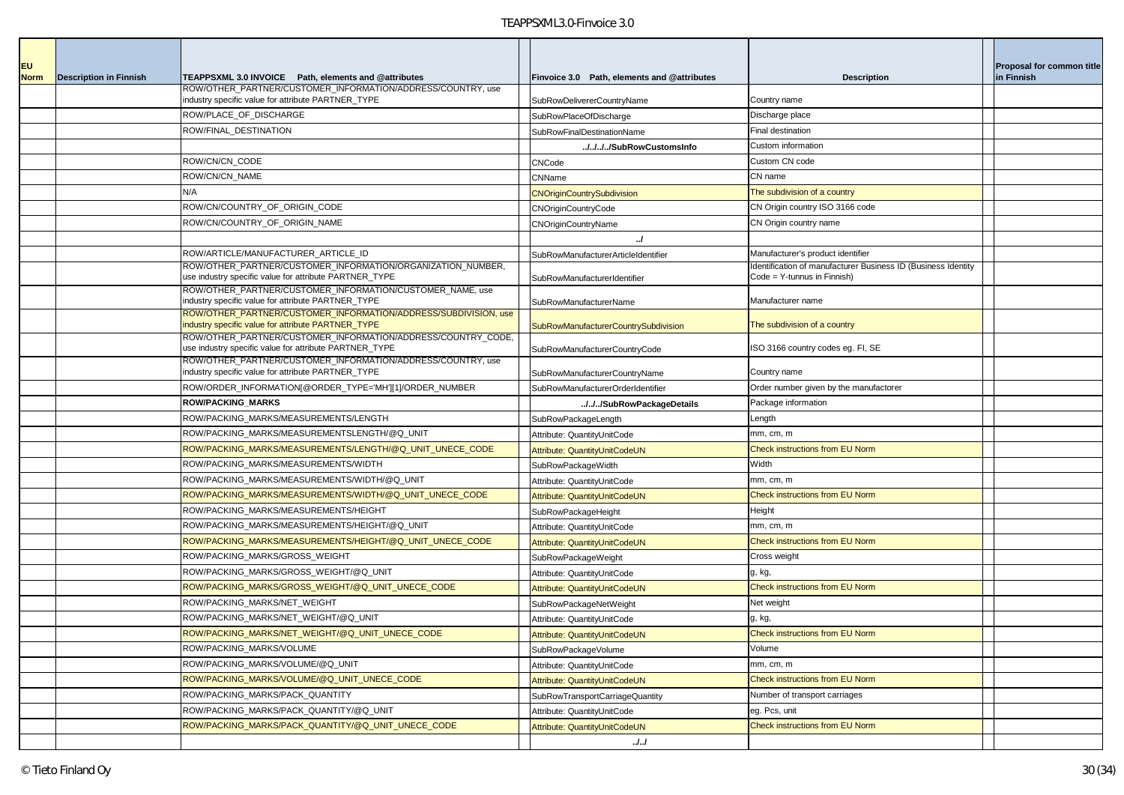| <b>EU</b><br><b>Norm</b> | <b>Description in Finnish</b> | TEAPPSXML 3.0 INVOICE Path, elements and @attributes                                                                                                                                  | Finvoice 3.0 Path, elements and @attributes | <b>Description</b>                                                                           | Proposal for common title<br>in Finnish |
|--------------------------|-------------------------------|---------------------------------------------------------------------------------------------------------------------------------------------------------------------------------------|---------------------------------------------|----------------------------------------------------------------------------------------------|-----------------------------------------|
|                          |                               | ROW/OTHER_PARTNER/CUSTOMER_INFORMATION/ADDRESS/COUNTRY, use<br>industry specific value for attribute PARTNER_TYPE                                                                     | SubRowDelivererCountryName                  | Country name                                                                                 |                                         |
|                          |                               | ROW/PLACE_OF_DISCHARGE                                                                                                                                                                | SubRowPlaceOfDischarge                      | Discharge place                                                                              |                                         |
|                          |                               | ROW/FINAL_DESTINATION                                                                                                                                                                 | <b>SubRowFinalDestinationName</b>           | Final destination                                                                            |                                         |
|                          |                               |                                                                                                                                                                                       | ///.SubRowCustomsInfo                       | Custom information                                                                           |                                         |
|                          |                               | ROW/CN/CN_CODE                                                                                                                                                                        | CNCode                                      | Custom CN code                                                                               |                                         |
|                          |                               | ROW/CN/CN_NAME                                                                                                                                                                        | CNName                                      | CN name                                                                                      |                                         |
|                          |                               | N/A                                                                                                                                                                                   | <b>CNOriginCountrySubdivision</b>           | The subdivision of a country                                                                 |                                         |
|                          |                               | ROW/CN/COUNTRY_OF_ORIGIN_CODE                                                                                                                                                         | CNOriginCountryCode                         | CN Origin country ISO 3166 code                                                              |                                         |
|                          |                               | ROW/CN/COUNTRY_OF_ORIGIN_NAME                                                                                                                                                         | CNOriginCountryName                         | CN Origin country name                                                                       |                                         |
|                          |                               |                                                                                                                                                                                       | $\cdot$                                     |                                                                                              |                                         |
|                          |                               | ROW/ARTICLE/MANUFACTURER_ARTICLE_ID                                                                                                                                                   | SubRowManufacturerArticleIdentifier         | Manufacturer's product identifier                                                            |                                         |
|                          |                               | ROW/OTHER PARTNER/CUSTOMER INFORMATION/ORGANIZATION NUMBER,<br>use industry specific value for attribute PARTNER_TYPE                                                                 | SubRowManufacturerIdentifier                | Identification of manufacturer Business ID (Business Identity<br>Code = Y-tunnus in Finnish) |                                         |
|                          |                               | ROW/OTHER_PARTNER/CUSTOMER_INFORMATION/CUSTOMER_NAME, use<br>industry specific value for attribute PARTNER_TYPE                                                                       | <b>SubRowManufacturerName</b>               | Manufacturer name                                                                            |                                         |
|                          |                               | ROW/OTHER_PARTNER/CUSTOMER_INFORMATION/ADDRESS/SUBDIVISION, use<br>industry specific value for attribute PARTNER TYPE                                                                 | SubRowManufacturerCountrySubdivision        | The subdivision of a country                                                                 |                                         |
|                          |                               | ROW/OTHER_PARTNER/CUSTOMER_INFORMATION/ADDRESS/COUNTRY_CODE,<br>use industry specific value for attribute PARTNER_TYPE<br>ROW/OTHER_PARTNER/CUSTOMER_INFORMATION/ADDRESS/COUNTRY, use | SubRowManufacturerCountryCode               | ISO 3166 country codes eg. FI, SE                                                            |                                         |
|                          |                               | industry specific value for attribute PARTNER TYPE                                                                                                                                    | SubRowManufacturerCountryName               | Country name                                                                                 |                                         |
|                          |                               | ROW/ORDER_INFORMATION[@ORDER_TYPE='MH'][1]/ORDER_NUMBER                                                                                                                               | SubRowManufacturerOrderIdentifier           | Order number given by the manufactorer                                                       |                                         |
|                          |                               | <b>ROW/PACKING MARKS</b>                                                                                                                                                              | ///SubRowPackageDetails                     | Package information                                                                          |                                         |
|                          |                               | ROW/PACKING MARKS/MEASUREMENTS/LENGTH                                                                                                                                                 | SubRowPackageLength                         | Length                                                                                       |                                         |
|                          |                               | ROW/PACKING_MARKS/MEASUREMENTSLENGTH/@Q_UNIT                                                                                                                                          | Attribute: QuantityUnitCode                 | mm, cm, m                                                                                    |                                         |
|                          |                               | ROW/PACKING_MARKS/MEASUREMENTS/LENGTH/@Q_UNIT_UNECE_CODE                                                                                                                              | Attribute: QuantityUnitCodeUN               | <b>Check instructions from EU Norm</b>                                                       |                                         |
|                          |                               | ROW/PACKING_MARKS/MEASUREMENTS/WIDTH                                                                                                                                                  | SubRowPackageWidth                          | Width                                                                                        |                                         |
|                          |                               | ROW/PACKING_MARKS/MEASUREMENTS/WIDTH/@Q_UNIT                                                                                                                                          | Attribute: QuantityUnitCode                 | mm, cm, m                                                                                    |                                         |
|                          |                               | ROW/PACKING_MARKS/MEASUREMENTS/WIDTH/@Q_UNIT_UNECE_CODE                                                                                                                               | Attribute: QuantityUnitCodeUN               | <b>Check instructions from EU Norm</b>                                                       |                                         |
|                          |                               | ROW/PACKING_MARKS/MEASUREMENTS/HEIGHT                                                                                                                                                 | SubRowPackageHeight                         | Height                                                                                       |                                         |
|                          |                               | ROW/PACKING_MARKS/MEASUREMENTS/HEIGHT/@Q_UNIT                                                                                                                                         | Attribute: QuantityUnitCode                 | mm, cm, m                                                                                    |                                         |
|                          |                               | ROW/PACKING_MARKS/MEASUREMENTS/HEIGHT/@Q_UNIT_UNECE_CODE<br>ROW/PACKING_MARKS/GROSS_WEIGHT                                                                                            | Attribute: QuantityUnitCodeUN               | Check instructions from EU Norm                                                              |                                         |
|                          |                               |                                                                                                                                                                                       | SubRowPackageWeight                         | Cross weight                                                                                 |                                         |
|                          |                               | ROW/PACKING_MARKS/GROSS_WEIGHT/@Q_UNIT<br>ROW/PACKING MARKS/GROSS WEIGHT/@Q UNIT UNECE CODE                                                                                           | Attribute: QuantityUnitCode                 | g, kg,<br><b>Check instructions from EU Norm</b>                                             |                                         |
|                          |                               | ROW/PACKING MARKS/NET WEIGHT                                                                                                                                                          | Attribute: QuantityUnitCodeUN               |                                                                                              |                                         |
|                          |                               | ROW/PACKING MARKS/NET WEIGHT/@Q UNIT                                                                                                                                                  | SubRowPackageNetWeight                      | Net weight                                                                                   |                                         |
|                          |                               |                                                                                                                                                                                       | Attribute: QuantityUnitCode                 | g, kg,                                                                                       |                                         |
|                          |                               | ROW/PACKING_MARKS/NET_WEIGHT/@Q_UNIT_UNECE_CODE                                                                                                                                       | Attribute: QuantityUnitCodeUN               | Check instructions from EU Norm<br>Volume                                                    |                                         |
|                          |                               | ROW/PACKING_MARKS/VOLUME                                                                                                                                                              | SubRowPackageVolume                         |                                                                                              |                                         |
|                          |                               | ROW/PACKING_MARKS/VOLUME/@Q_UNIT                                                                                                                                                      | Attribute: QuantityUnitCode                 | mm, cm, m                                                                                    |                                         |
|                          |                               | ROW/PACKING_MARKS/VOLUME/@Q_UNIT_UNECE_CODE                                                                                                                                           | Attribute: QuantityUnitCodeUN               | Check instructions from EU Norm                                                              |                                         |
|                          |                               | ROW/PACKING_MARKS/PACK_QUANTITY<br>ROW/PACKING_MARKS/PACK_QUANTITY/@Q_UNIT                                                                                                            | SubRowTransportCarriageQuantity             | Number of transport carriages                                                                |                                         |
|                          |                               |                                                                                                                                                                                       | Attribute: QuantityUnitCode                 | eg. Pcs, unit                                                                                |                                         |
|                          |                               | ROW/PACKING_MARKS/PACK_QUANTITY/@Q_UNIT_UNECE_CODE                                                                                                                                    | Attribute: QuantityUnitCodeUN               | Check instructions from EU Norm                                                              |                                         |
|                          |                               |                                                                                                                                                                                       | J.J                                         |                                                                                              |                                         |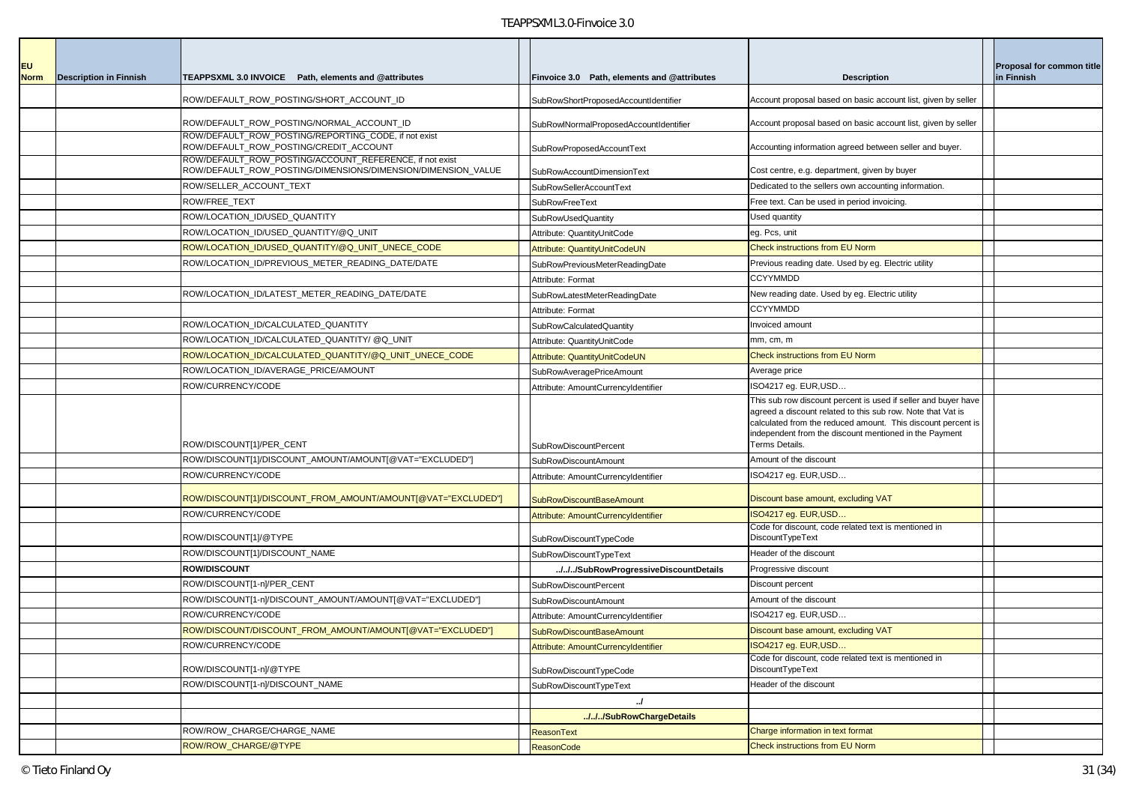| <b>EU</b><br><b>Norm</b> | <b>Description in Finnish</b> | TEAPPSXML 3.0 INVOICE Path, elements and @attributes                                                                    | Finvoice 3.0 Path, elements and @attributes                            | <b>Description</b>                                                                                                                                                                                                                                                        | Proposal for common title<br>in Finnish |
|--------------------------|-------------------------------|-------------------------------------------------------------------------------------------------------------------------|------------------------------------------------------------------------|---------------------------------------------------------------------------------------------------------------------------------------------------------------------------------------------------------------------------------------------------------------------------|-----------------------------------------|
|                          |                               | ROW/DEFAULT ROW POSTING/SHORT ACCOUNT ID                                                                                | SubRowShortProposedAccountIdentifier                                   | Account proposal based on basic account list, given by seller                                                                                                                                                                                                             |                                         |
|                          |                               | ROW/DEFAULT_ROW_POSTING/NORMAL_ACCOUNT_ID                                                                               | SubRowlNormalProposedAccountIdentifier                                 | Account proposal based on basic account list, given by seller                                                                                                                                                                                                             |                                         |
|                          |                               | ROW/DEFAULT ROW POSTING/REPORTING CODE, if not exist<br>ROW/DEFAULT_ROW_POSTING/CREDIT_ACCOUNT                          | SubRowProposedAccountText                                              | Accounting information agreed between seller and buyer.                                                                                                                                                                                                                   |                                         |
|                          |                               | ROW/DEFAULT_ROW_POSTING/ACCOUNT_REFERENCE, if not exist<br>ROW/DEFAULT_ROW_POSTING/DIMENSIONS/DIMENSION/DIMENSION_VALUE | SubRowAccountDimensionText                                             | Cost centre, e.g. department, given by buyer                                                                                                                                                                                                                              |                                         |
|                          |                               | ROW/SELLER_ACCOUNT_TEXT                                                                                                 | <b>SubRowSellerAccountText</b>                                         | Dedicated to the sellers own accounting information.                                                                                                                                                                                                                      |                                         |
|                          |                               | ROW/FREE_TEXT                                                                                                           | SubRowFreeText                                                         | Free text. Can be used in period invoicing.                                                                                                                                                                                                                               |                                         |
|                          |                               | ROW/LOCATION_ID/USED_QUANTITY                                                                                           | <b>SubRowUsedQuantity</b>                                              | Used quantity                                                                                                                                                                                                                                                             |                                         |
|                          |                               | ROW/LOCATION_ID/USED_QUANTITY/@Q_UNIT                                                                                   | Attribute: QuantityUnitCode                                            | eg. Pcs, unit                                                                                                                                                                                                                                                             |                                         |
|                          |                               | ROW/LOCATION_ID/USED_QUANTITY/@Q_UNIT_UNECE_CODE                                                                        | Attribute: QuantityUnitCodeUN                                          | Check instructions from EU Norm                                                                                                                                                                                                                                           |                                         |
|                          |                               | ROW/LOCATION_ID/PREVIOUS_METER_READING_DATE/DATE                                                                        | SubRowPreviousMeterReadingDate                                         | Previous reading date. Used by eg. Electric utility                                                                                                                                                                                                                       |                                         |
|                          |                               |                                                                                                                         | Attribute: Format                                                      | <b>CCYYMMDD</b>                                                                                                                                                                                                                                                           |                                         |
|                          |                               | ROW/LOCATION_ID/LATEST_METER_READING_DATE/DATE                                                                          | SubRowLatestMeterReadingDate                                           | New reading date. Used by eg. Electric utility                                                                                                                                                                                                                            |                                         |
|                          |                               |                                                                                                                         | Attribute: Format                                                      | <b>CCYYMMDD</b>                                                                                                                                                                                                                                                           |                                         |
|                          |                               | ROW/LOCATION_ID/CALCULATED_QUANTITY                                                                                     | SubRowCalculatedQuantity                                               | Invoiced amount                                                                                                                                                                                                                                                           |                                         |
|                          |                               | ROW/LOCATION_ID/CALCULATED_QUANTITY/ @Q_UNIT                                                                            | Attribute: QuantityUnitCode                                            | mm, cm, m                                                                                                                                                                                                                                                                 |                                         |
|                          |                               | ROW/LOCATION_ID/CALCULATED_QUANTITY/@Q_UNIT_UNECE_CODE                                                                  | Attribute: QuantityUnitCodeUN                                          | <b>Check instructions from EU Norm</b>                                                                                                                                                                                                                                    |                                         |
|                          |                               | ROW/LOCATION_ID/AVERAGE_PRICE/AMOUNT                                                                                    | SubRowAveragePriceAmount                                               | Average price                                                                                                                                                                                                                                                             |                                         |
|                          |                               | ROW/CURRENCY/CODE                                                                                                       | Attribute: AmountCurrencyIdentifier                                    | ISO4217 eq. EUR, USD                                                                                                                                                                                                                                                      |                                         |
|                          |                               | ROW/DISCOUNT[1]/PER_CENT                                                                                                | SubRowDiscountPercent                                                  | This sub row discount percent is used if seller and buyer have<br>agreed a discount related to this sub row. Note that Vat is<br>calculated from the reduced amount. This discount percent is<br>independent from the discount mentioned in the Payment<br>Terms Details. |                                         |
|                          |                               | ROW/DISCOUNT[1]/DISCOUNT_AMOUNT/AMOUNT[@VAT="EXCLUDED"]                                                                 |                                                                        | Amount of the discount                                                                                                                                                                                                                                                    |                                         |
|                          |                               | ROW/CURRENCY/CODE                                                                                                       | <b>SubRowDiscountAmount</b>                                            | ISO4217 eg. EUR,USD                                                                                                                                                                                                                                                       |                                         |
|                          |                               | ROW/DISCOUNT[1]/DISCOUNT_FROM_AMOUNT/AMOUNT[@VAT="EXCLUDED"]                                                            | Attribute: AmountCurrencyIdentifier<br><b>SubRowDiscountBaseAmount</b> | Discount base amount, excluding VAT                                                                                                                                                                                                                                       |                                         |
|                          |                               | ROW/CURRENCY/CODE                                                                                                       | Attribute: AmountCurrencyIdentifier                                    | SO4217 eg. EUR, USD                                                                                                                                                                                                                                                       |                                         |
|                          |                               | ROW/DISCOUNT[1]/@TYPE                                                                                                   | SubRowDiscountTypeCode                                                 | Code for discount, code related text is mentioned in<br>DiscountTypeText                                                                                                                                                                                                  |                                         |
|                          |                               | ROW/DISCOUNT[1]/DISCOUNT_NAME                                                                                           | SubRowDiscountTypeText                                                 | Header of the discount                                                                                                                                                                                                                                                    |                                         |
|                          |                               | <b>ROW/DISCOUNT</b>                                                                                                     | ///SubRowProgressiveDiscountDetails                                    | Progressive discount                                                                                                                                                                                                                                                      |                                         |
|                          |                               | ROW/DISCOUNT[1-n]/PER_CENT                                                                                              | SubRowDiscountPercent                                                  | Discount percent                                                                                                                                                                                                                                                          |                                         |
|                          |                               | ROW/DISCOUNT[1-n]/DISCOUNT_AMOUNT/AMOUNT[@VAT="EXCLUDED"]                                                               | SubRowDiscountAmount                                                   | Amount of the discount                                                                                                                                                                                                                                                    |                                         |
|                          |                               | ROW/CURRENCY/CODE                                                                                                       | Attribute: AmountCurrencyIdentifier                                    | ISO4217 eg. EUR,USD                                                                                                                                                                                                                                                       |                                         |
|                          |                               | ROW/DISCOUNT/DISCOUNT_FROM_AMOUNT/AMOUNT[@VAT="EXCLUDED"]                                                               | SubRowDiscountBaseAmount                                               | Discount base amount, excluding VAT                                                                                                                                                                                                                                       |                                         |
|                          |                               | ROW/CURRENCY/CODE                                                                                                       | Attribute: AmountCurrencyIdentifier                                    | ISO4217 eg. EUR,USD                                                                                                                                                                                                                                                       |                                         |
|                          |                               | ROW/DISCOUNT[1-n]/@TYPE                                                                                                 | SubRowDiscountTypeCode                                                 | Code for discount, code related text is mentioned in<br>DiscountTypeText                                                                                                                                                                                                  |                                         |
|                          |                               | ROW/DISCOUNT[1-n]/DISCOUNT NAME                                                                                         | SubRowDiscountTypeText                                                 | Header of the discount                                                                                                                                                                                                                                                    |                                         |
|                          |                               |                                                                                                                         | $\cdot$                                                                |                                                                                                                                                                                                                                                                           |                                         |
|                          |                               |                                                                                                                         | //./SubRowChargeDetails                                                |                                                                                                                                                                                                                                                                           |                                         |
|                          |                               | ROW/ROW_CHARGE/CHARGE_NAME                                                                                              | <b>ReasonText</b>                                                      | Charge information in text format                                                                                                                                                                                                                                         |                                         |
|                          |                               | ROW/ROW CHARGE/@TYPE                                                                                                    | <b>ReasonCode</b>                                                      | Check instructions from EU Norm                                                                                                                                                                                                                                           |                                         |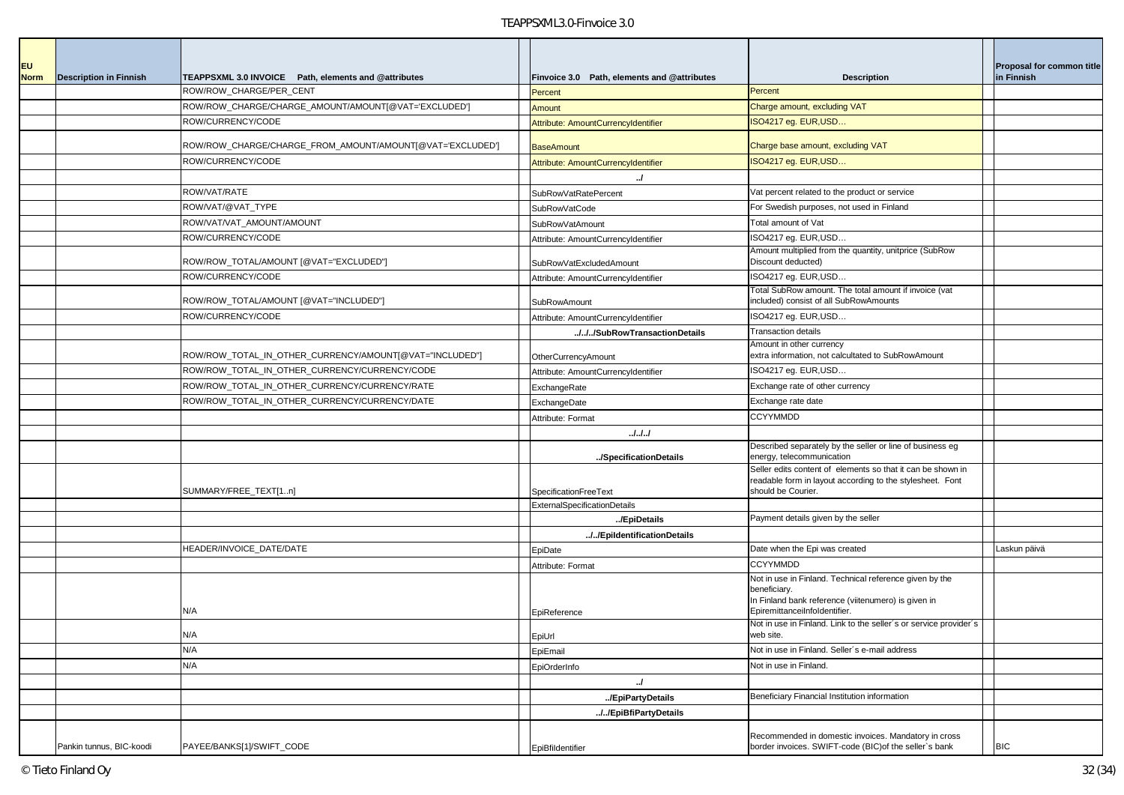| <b>EU</b>   |                               |                                                           |                                             |                                                                                                                                                                 | Proposal for common title |
|-------------|-------------------------------|-----------------------------------------------------------|---------------------------------------------|-----------------------------------------------------------------------------------------------------------------------------------------------------------------|---------------------------|
| <b>Norm</b> | <b>Description in Finnish</b> | TEAPPSXML 3.0 INVOICE Path, elements and @attributes      | Finvoice 3.0 Path, elements and @attributes | <b>Description</b>                                                                                                                                              | in Finnish                |
|             |                               | ROW/ROW_CHARGE/PER_CENT                                   | Percent                                     | Percent                                                                                                                                                         |                           |
|             |                               | ROW/ROW_CHARGE/CHARGE_AMOUNT/AMOUNT[@VAT='EXCLUDED']      | Amount                                      | Charge amount, excluding VAT                                                                                                                                    |                           |
|             |                               | ROW/CURRENCY/CODE                                         | Attribute: AmountCurrencyIdentifier         | ISO4217 eg. EUR, USD                                                                                                                                            |                           |
|             |                               | ROW/ROW_CHARGE/CHARGE_FROM_AMOUNT/AMOUNT[@VAT='EXCLUDED'] | <b>BaseAmount</b>                           | Charge base amount, excluding VAT                                                                                                                               |                           |
|             |                               | ROW/CURRENCY/CODE                                         | Attribute: AmountCurrencyIdentifier         | ISO4217 eg. EUR, USD                                                                                                                                            |                           |
|             |                               |                                                           | J                                           |                                                                                                                                                                 |                           |
|             |                               | ROW/VAT/RATE                                              | SubRowVatRatePercent                        | Vat percent related to the product or service                                                                                                                   |                           |
|             |                               | ROW/VAT/@VAT_TYPE                                         | SubRowVatCode                               | For Swedish purposes, not used in Finland                                                                                                                       |                           |
|             |                               | ROW/VAT/VAT_AMOUNT/AMOUNT                                 | SubRowVatAmount                             | Total amount of Vat                                                                                                                                             |                           |
|             |                               | ROW/CURRENCY/CODE                                         | Attribute: AmountCurrencyIdentifier         | ISO4217 eg. EUR, USD                                                                                                                                            |                           |
|             |                               | ROW/ROW_TOTAL/AMOUNT [@VAT="EXCLUDED"]                    | SubRowVatExcludedAmount                     | Amount multiplied from the quantity, unitprice (SubRow<br>Discount deducted)                                                                                    |                           |
|             |                               | ROW/CURRENCY/CODE                                         | Attribute: AmountCurrencyIdentifier         | ISO4217 eg. EUR, USD                                                                                                                                            |                           |
|             |                               | ROW/ROW_TOTAL/AMOUNT [@VAT="INCLUDED"]                    | SubRowAmount                                | Total SubRow amount. The total amount if invoice (vat<br>included) consist of all SubRowAmounts                                                                 |                           |
|             |                               | ROW/CURRENCY/CODE                                         | Attribute: AmountCurrencyIdentifier         | ISO4217 eg. EUR, USD                                                                                                                                            |                           |
|             |                               |                                                           | ///SubRowTransactionDetails                 | <b>Transaction details</b>                                                                                                                                      |                           |
|             |                               | ROW/ROW_TOTAL_IN_OTHER_CURRENCY/AMOUNT[@VAT="INCLUDED"]   | OtherCurrencyAmount                         | Amount in other currency<br>extra information, not calcultated to SubRowAmount                                                                                  |                           |
|             |                               | ROW/ROW_TOTAL_IN_OTHER_CURRENCY/CURRENCY/CODE             | Attribute: AmountCurrencyIdentifier         | ISO4217 eg. EUR, USD                                                                                                                                            |                           |
|             |                               | ROW/ROW_TOTAL_IN_OTHER_CURRENCY/CURRENCY/RATE             | ExchangeRate                                | Exchange rate of other currency                                                                                                                                 |                           |
|             |                               | ROW/ROW TOTAL IN OTHER CURRENCY/CURRENCY/DATE             | ExchangeDate                                | Exchange rate date                                                                                                                                              |                           |
|             |                               |                                                           |                                             | <b>CCYYMMDD</b>                                                                                                                                                 |                           |
|             |                               |                                                           | Attribute: Format                           |                                                                                                                                                                 |                           |
|             |                               |                                                           | . J. J. J.                                  | Described separately by the seller or line of business eg                                                                                                       |                           |
|             |                               |                                                           | /SpecificationDetails                       | energy, telecommunication                                                                                                                                       |                           |
|             |                               | SUMMARY/FREE_TEXT[1n]                                     | SpecificationFreeText                       | Seller edits content of elements so that it can be shown in<br>readable form in layout according to the stylesheet. Font<br>should be Courier.                  |                           |
|             |                               |                                                           | <b>ExternalSpecificationDetails</b>         |                                                                                                                                                                 |                           |
|             |                               |                                                           | /EpiDetails                                 | Payment details given by the seller                                                                                                                             |                           |
|             |                               |                                                           | //EpildentificationDetails                  |                                                                                                                                                                 |                           |
|             |                               | HEADER/INVOICE_DATE/DATE                                  | EpiDate                                     | Date when the Epi was created                                                                                                                                   | Laskun päivä              |
|             |                               |                                                           | Attribute: Format                           | <b>CCYYMMDD</b>                                                                                                                                                 |                           |
|             |                               | N/A                                                       |                                             | Not in use in Finland. Technical reference given by the<br>beneficiary.<br>In Finland bank reference (viitenumero) is given in<br>EpiremittanceiInfoldentifier. |                           |
|             |                               |                                                           | EpiReference                                | Not in use in Finland. Link to the seller's or service provider's                                                                                               |                           |
|             |                               | N/A                                                       | EpiUrl                                      | web site.                                                                                                                                                       |                           |
|             |                               | N/A                                                       | EpiEmail                                    | Not in use in Finland. Seller's e-mail address                                                                                                                  |                           |
|             |                               | N/A                                                       | EpiOrderInfo                                | Not in use in Finland.                                                                                                                                          |                           |
|             |                               |                                                           | J                                           |                                                                                                                                                                 |                           |
|             |                               |                                                           | /EpiPartyDetails                            | Beneficiary Financial Institution information                                                                                                                   |                           |
|             |                               |                                                           | //EpiBfiPartyDetails                        |                                                                                                                                                                 |                           |
|             | Pankin tunnus, BIC-koodi      | PAYEE/BANKS[1]/SWIFT_CODE                                 | EpiBfildentifier                            | Recommended in domestic invoices. Mandatory in cross<br>border invoices. SWIFT-code (BIC) of the seller's bank                                                  | <b>BIC</b>                |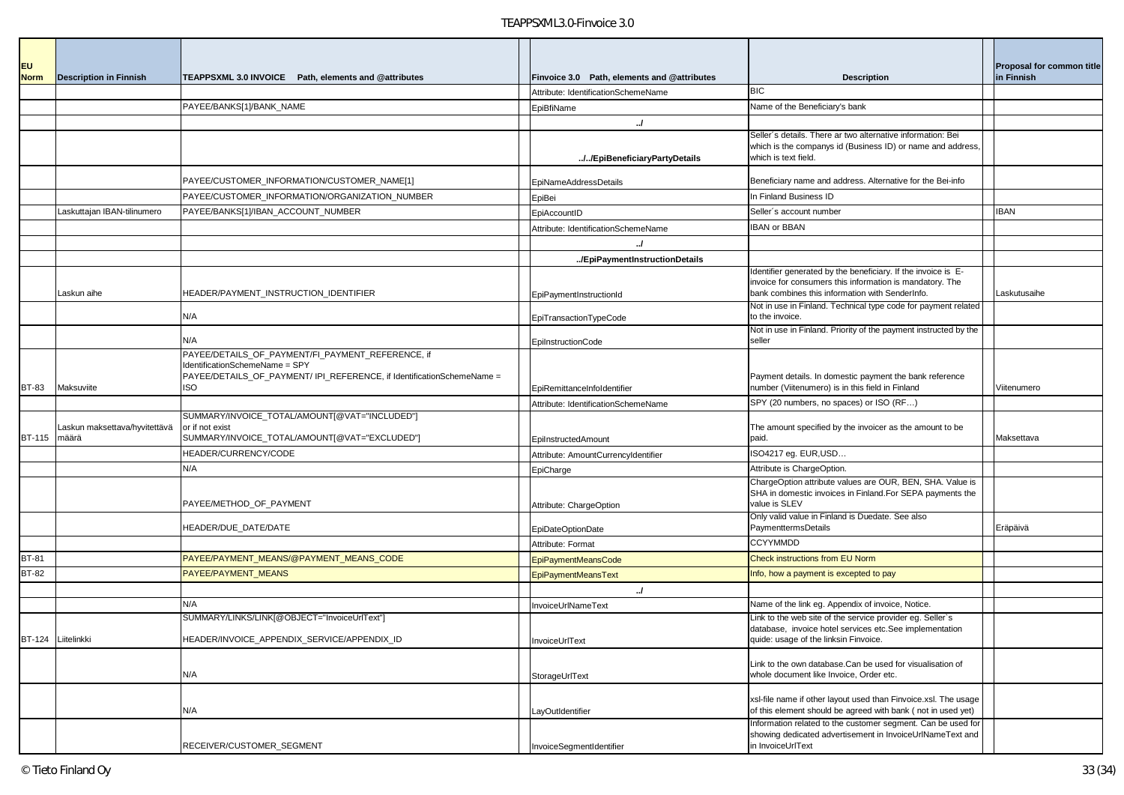| <b>EU</b>    |                                              |                                                                                                                                                                             |                                             |                                                                                                                                                                             | Proposal for common title |
|--------------|----------------------------------------------|-----------------------------------------------------------------------------------------------------------------------------------------------------------------------------|---------------------------------------------|-----------------------------------------------------------------------------------------------------------------------------------------------------------------------------|---------------------------|
| <b>Norm</b>  | <b>Description in Finnish</b>                | TEAPPSXML 3.0 INVOICE Path, elements and @attributes                                                                                                                        | Finvoice 3.0 Path, elements and @attributes | <b>Description</b><br><b>BIC</b>                                                                                                                                            | in Finnish                |
|              |                                              | PAYEE/BANKS[1]/BANK_NAME                                                                                                                                                    | Attribute: IdentificationSchemeName         | Name of the Beneficiary's bank                                                                                                                                              |                           |
|              |                                              |                                                                                                                                                                             | EpiBfiName<br>$\cdot$                       |                                                                                                                                                                             |                           |
|              |                                              |                                                                                                                                                                             |                                             | Seller's details. There ar two alternative information: Bei                                                                                                                 |                           |
|              |                                              |                                                                                                                                                                             | //EpiBeneficiaryPartyDetails                | which is the companys id (Business ID) or name and address,<br>which is text field.                                                                                         |                           |
|              |                                              | PAYEE/CUSTOMER_INFORMATION/CUSTOMER_NAME[1]                                                                                                                                 | <b>EpiNameAddressDetails</b>                | Beneficiary name and address. Alternative for the Bei-info                                                                                                                  |                           |
|              |                                              | PAYEE/CUSTOMER INFORMATION/ORGANIZATION NUMBER                                                                                                                              | EpiBei                                      | In Finland Business ID                                                                                                                                                      |                           |
|              | askuttajan IBAN-tilinumero                   | PAYEE/BANKS[1]/IBAN_ACCOUNT_NUMBER                                                                                                                                          | EpiAccountID                                | Seller's account number                                                                                                                                                     | <b>IBAN</b>               |
|              |                                              |                                                                                                                                                                             | Attribute: IdentificationSchemeName         | <b>IBAN or BBAN</b>                                                                                                                                                         |                           |
|              |                                              |                                                                                                                                                                             |                                             |                                                                                                                                                                             |                           |
|              |                                              |                                                                                                                                                                             | /EpiPaymentInstructionDetails               |                                                                                                                                                                             |                           |
|              | Laskun aihe                                  | HEADER/PAYMENT_INSTRUCTION_IDENTIFIER                                                                                                                                       | EpiPaymentInstructionId                     | dentifier generated by the beneficiary. If the invoice is E-<br>invoice for consumers this information is mandatory. The<br>bank combines this information with SenderInfo. | Laskutusaihe              |
|              |                                              | N/A                                                                                                                                                                         | EpiTransactionTypeCode                      | Not in use in Finland. Technical type code for payment related<br>to the invoice.                                                                                           |                           |
|              |                                              | N/A                                                                                                                                                                         | EpilnstructionCode                          | Not in use in Finland. Priority of the payment instructed by the<br>seller                                                                                                  |                           |
| <b>BT-83</b> | Maksuviite                                   | PAYEE/DETAILS_OF_PAYMENT/FI_PAYMENT_REFERENCE, if<br>IdentificationSchemeName = SPY<br>PAYEE/DETAILS OF PAYMENT/ IPI REFERENCE, if IdentificationSchemeName =<br><b>ISO</b> | EpiRemittanceInfoldentifier                 | Payment details. In domestic payment the bank reference<br>number (Viitenumero) is in this field in Finland                                                                 | Viitenumero               |
|              |                                              |                                                                                                                                                                             | Attribute: IdentificationSchemeName         | SPY (20 numbers, no spaces) or ISO (RF)                                                                                                                                     |                           |
|              | askun maksettava/hyvitettävä<br>BT-115 määrä | SUMMARY/INVOICE_TOTAL/AMOUNT[@VAT="INCLUDED"]<br>or if not exist<br>SUMMARY/INVOICE_TOTAL/AMOUNT[@VAT="EXCLUDED"]                                                           | EpilnstructedAmount                         | The amount specified by the invoicer as the amount to be<br>paid.                                                                                                           | Maksettava                |
|              |                                              | HEADER/CURRENCY/CODE                                                                                                                                                        | Attribute: AmountCurrencyIdentifier         | ISO4217 eg. EUR,USD                                                                                                                                                         |                           |
|              |                                              | N/A                                                                                                                                                                         | EpiCharge                                   | Attribute is ChargeOption.                                                                                                                                                  |                           |
|              |                                              | PAYEE/METHOD_OF_PAYMENT                                                                                                                                                     | Attribute: ChargeOption                     | ChargeOption attribute values are OUR, BEN, SHA. Value is<br>SHA in domestic invoices in Finland. For SEPA payments the<br>value is SLEV                                    |                           |
|              |                                              | HEADER/DUE_DATE/DATE                                                                                                                                                        | EpiDateOptionDate                           | Only valid value in Finland is Duedate. See also<br>PaymenttermsDetails                                                                                                     | Eräpäivä                  |
|              |                                              |                                                                                                                                                                             | Attribute: Format                           | <b>CCYYMMDD</b>                                                                                                                                                             |                           |
| <b>BT-81</b> |                                              | PAYEE/PAYMENT_MEANS/@PAYMENT_MEANS_CODE                                                                                                                                     | <b>EpiPaymentMeansCode</b>                  | <b>Check instructions from EU Norm</b>                                                                                                                                      |                           |
| <b>BT-82</b> |                                              | PAYEE/PAYMENT_MEANS                                                                                                                                                         | EpiPaymentMeansText                         | Info, how a payment is excepted to pay                                                                                                                                      |                           |
|              |                                              |                                                                                                                                                                             | $\overline{a}$                              |                                                                                                                                                                             |                           |
|              |                                              | N/A                                                                                                                                                                         | InvoiceUrlNameText                          | Name of the link eg. Appendix of invoice, Notice.                                                                                                                           |                           |
|              |                                              | SUMMARY/LINKS/LINK[@OBJECT="InvoiceUrlText"]                                                                                                                                |                                             | Link to the web site of the service provider eg. Seller's                                                                                                                   |                           |
|              | BT-124 Liitelinkki                           | HEADER/INVOICE_APPENDIX_SERVICE/APPENDIX_ID_                                                                                                                                | InvoiceUrlText                              | database, invoice hotel services etc. See implementation<br>quide: usage of the linksin Finvoice.                                                                           |                           |
|              |                                              | N/A                                                                                                                                                                         | StorageUrlText                              | Link to the own database.Can be used for visualisation of<br>whole document like Invoice, Order etc.                                                                        |                           |
|              |                                              | N/A                                                                                                                                                                         | LayOutIdentifier                            | xsl-file name if other layout used than Finvoice.xsl. The usage<br>of this element should be agreed with bank (not in used yet)                                             |                           |
|              |                                              | RECEIVER/CUSTOMER SEGMENT                                                                                                                                                   | InvoiceSegmentIdentifier                    | Information related to the customer segment. Can be used for<br>showing dedicated advertisement in InvoiceUrlNameText and<br>in InvoiceUrlText                              |                           |